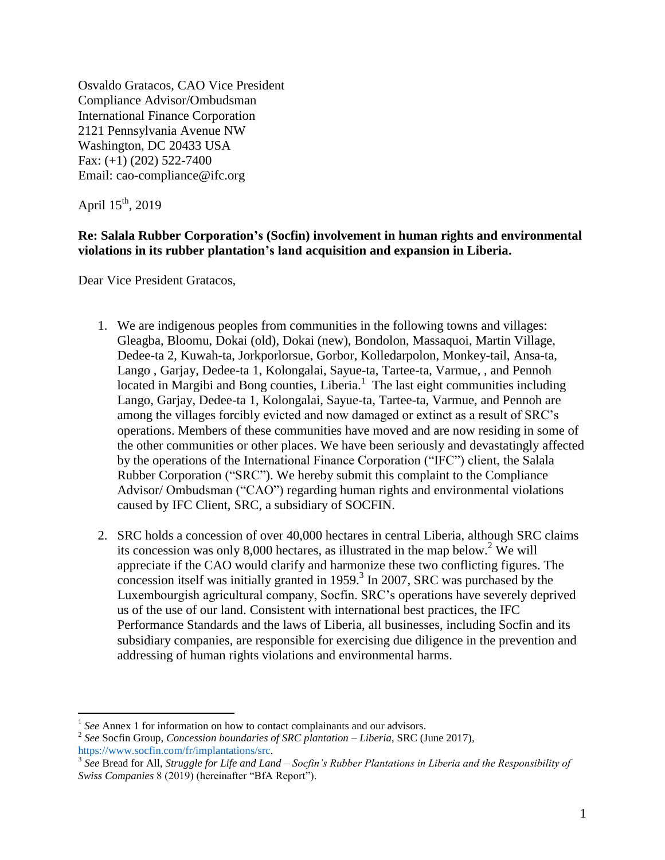Osvaldo Gratacos, CAO Vice President Compliance Advisor/Ombudsman International Finance Corporation 2121 Pennsylvania Avenue NW Washington, DC 20433 USA Fax: (+1) (202) 522-7400 Email: cao-compliance@ifc.org

April  $15^{th}$ , 2019

### **Re: Salala Rubber Corporation's (Socfin) involvement in human rights and environmental violations in its rubber plantation's land acquisition and expansion in Liberia.**

Dear Vice President Gratacos,

- 1. We are indigenous peoples from communities in the following towns and villages: Gleagba, Bloomu, Dokai (old), Dokai (new), Bondolon, Massaquoi, Martin Village, Dedee-ta 2, Kuwah-ta, Jorkporlorsue, Gorbor, Kolledarpolon, Monkey-tail, Ansa-ta, Lango , Garjay, Dedee-ta 1, Kolongalai, Sayue-ta, Tartee-ta, Varmue, , and Pennoh located in Margibi and Bong counties, Liberia.<sup>1</sup> The last eight communities including Lango, Garjay, Dedee-ta 1, Kolongalai, Sayue-ta, Tartee-ta, Varmue, and Pennoh are among the villages forcibly evicted and now damaged or extinct as a result of SRC's operations. Members of these communities have moved and are now residing in some of the other communities or other places. We have been seriously and devastatingly affected by the operations of the International Finance Corporation ("IFC") client, the Salala Rubber Corporation ("SRC"). We hereby submit this complaint to the Compliance Advisor/ Ombudsman ("CAO") regarding human rights and environmental violations caused by IFC Client, SRC, a subsidiary of SOCFIN.
- <span id="page-0-1"></span><span id="page-0-0"></span>2. SRC holds a concession of over 40,000 hectares in central Liberia, although SRC claims its concession was only 8,000 hectares, as illustrated in the map below.<sup>2</sup> We will appreciate if the CAO would clarify and harmonize these two conflicting figures. The  $\frac{1}{2}$  concession itself was initially granted in 1959.<sup>3</sup> In 2007, SRC was purchased by the Luxembourgish agricultural company, Socfin. SRC's operations have severely deprived us of the use of our land. Consistent with international best practices, the IFC Performance Standards and the laws of Liberia, all businesses, including Socfin and its subsidiary companies, are responsible for exercising due diligence in the prevention and addressing of human rights violations and environmental harms.

<sup>&</sup>lt;sup>1</sup> See Annex 1 for information on how to contact complainants and our advisors.

<sup>2</sup> *See* Socfin Group, *Concession boundaries of SRC plantation – Liberia*, SRC (June 2017)*,*  [https://www.socfin.com/fr/implantations/src.](https://www.socfin.com/fr/implantations/src)

<sup>3</sup> *See* Bread for All, *Struggle for Life and Land – Socfin's Rubber Plantations in Liberia and the Responsibility of Swiss Companies* 8 (2019) (hereinafter "BfA Report").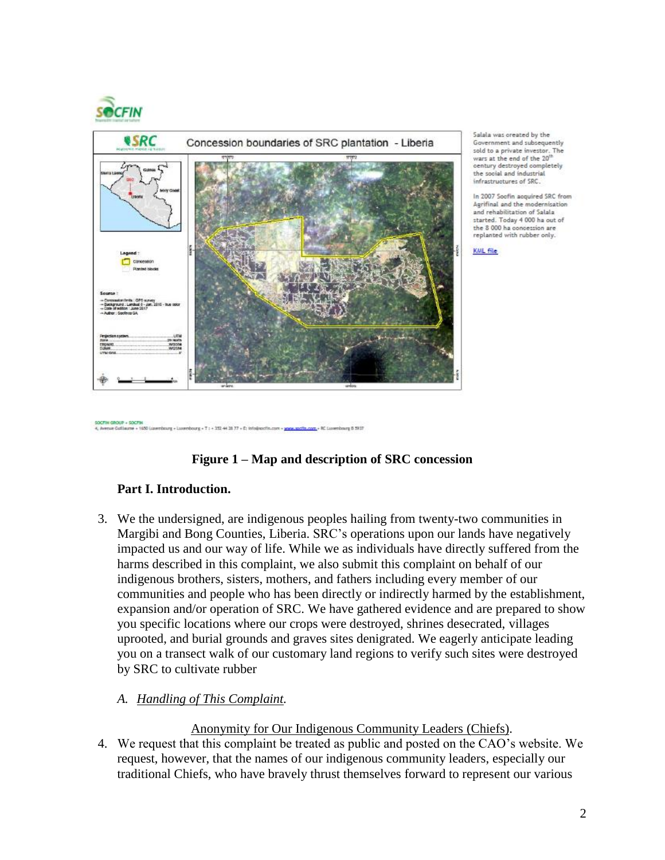

OCFIN GROUP + SOCFIN a Galla



Salala was oreated by the Government and subsequently sold to a private investor. The wars at the end of the 20' century destroyed completely the social and industrial infrastructures of SRC.

In 2007 Soofin agguired SRC from Agrifinal and the modernisation and rehabilitation of Salala started. Today 4 000 ha out of the 8 000 ha concession are<br>replanted with rubber only.



**Figure 1 – Map and description of SRC concession**

### **Part I. Introduction.**

rg + T : + 352 44 38 77 + E: Info@socfie

3. We the undersigned, are indigenous peoples hailing from twenty-two communities in Margibi and Bong Counties, Liberia. SRC's operations upon our lands have negatively impacted us and our way of life. While we as individuals have directly suffered from the harms described in this complaint, we also submit this complaint on behalf of our indigenous brothers, sisters, mothers, and fathers including every member of our communities and people who has been directly or indirectly harmed by the establishment, expansion and/or operation of SRC. We have gathered evidence and are prepared to show you specific locations where our crops were destroyed, shrines desecrated, villages uprooted, and burial grounds and graves sites denigrated. We eagerly anticipate leading you on a transect walk of our customary land regions to verify such sites were destroyed by SRC to cultivate rubber

### *A. Handling of This Complaint.*

Anonymity for Our Indigenous Community Leaders (Chiefs).

4. We request that this complaint be treated as public and posted on the CAO's website. We request, however, that the names of our indigenous community leaders, especially our traditional Chiefs, who have bravely thrust themselves forward to represent our various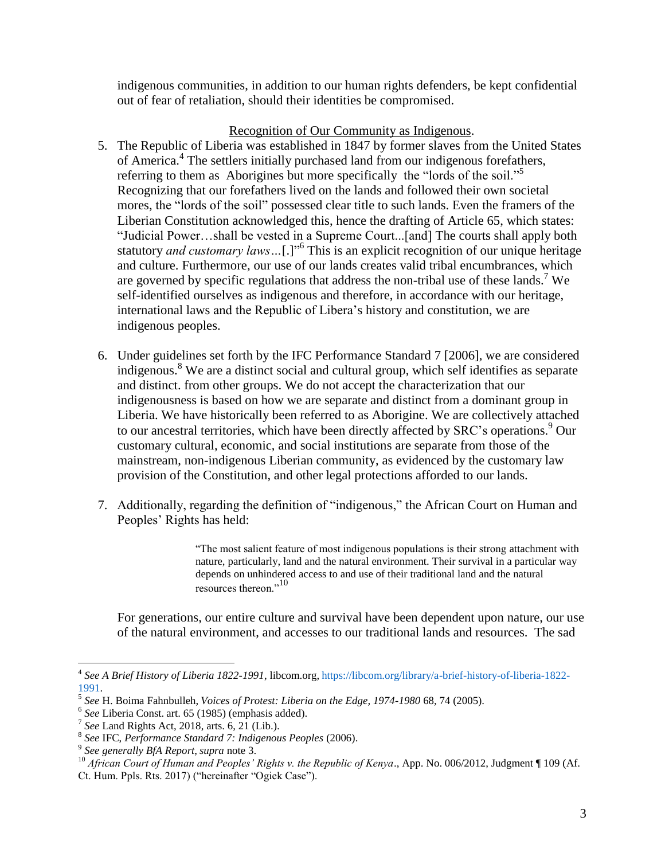indigenous communities, in addition to our human rights defenders, be kept confidential out of fear of retaliation, should their identities be compromised.

### Recognition of Our Community as Indigenous.

- 5. The Republic of Liberia was established in 1847 by former slaves from the United States of America.<sup>4</sup> The settlers initially purchased land from our indigenous forefathers, referring to them as Aborigines but more specifically the "lords of the soil."<sup>5</sup> Recognizing that our forefathers lived on the lands and followed their own societal mores, the "lords of the soil" possessed clear title to such lands. Even the framers of the Liberian Constitution acknowledged this, hence the drafting of Article 65, which states: "Judicial Power…shall be vested in a Supreme Court...[and] The courts shall apply both statutory *and customary laws*...[.]<sup>" This is an explicit recognition of our unique heritage</sup> and culture. Furthermore, our use of our lands creates valid tribal encumbrances, which are governed by specific regulations that address the non-tribal use of these lands.<sup>7</sup> We self-identified ourselves as indigenous and therefore, in accordance with our heritage, international laws and the Republic of Libera's history and constitution, we are indigenous peoples.
- 6. Under guidelines set forth by the IFC Performance Standard 7 [2006], we are considered indigenous. <sup>8</sup> We are a distinct social and cultural group, which self identifies as separate and distinct. from other groups. We do not accept the characterization that our indigenousness is based on how we are separate and distinct from a dominant group in Liberia. We have historically been referred to as Aborigine. We are collectively attached to our ancestral territories, which have been directly affected by SRC's operations. <sup>9</sup> Our customary cultural, economic, and social institutions are separate from those of the mainstream, non-indigenous Liberian community, as evidenced by the customary law provision of the Constitution, and other legal protections afforded to our lands.
- 7. Additionally, regarding the definition of "indigenous," the African Court on Human and Peoples' Rights has held:

<span id="page-2-0"></span>"The most salient feature of most indigenous populations is their strong attachment with nature, particularly, land and the natural environment. Their survival in a particular way depends on unhindered access to and use of their traditional land and the natural resources thereon."<sup>10</sup>

For generations, our entire culture and survival have been dependent upon nature, our use of the natural environment, and accesses to our traditional lands and resources. The sad

 $\overline{a}$ 4 *See A Brief History of Liberia 1822-1991*, libcom.org, [https://libcom.org/library/a-brief-history-of-liberia-1822-](https://libcom.org/library/a-brief-history-of-liberia-1822-1991) [1991.](https://libcom.org/library/a-brief-history-of-liberia-1822-1991)

<sup>5</sup> *See* H. Boima Fahnbulleh, *Voices of Protest: Liberia on the Edge, 1974-1980* 68, 74 (2005).

<sup>6</sup> *See* Liberia Const. art. 65 (1985) (emphasis added).

<sup>7</sup> *See* Land Rights Act, 2018, arts. 6, 21 (Lib.).

<sup>8</sup> *See* IFC, *Performance Standard 7: Indigenous Peoples* (2006).

<sup>9</sup> *See generally BfA Report*, *supra* not[e 3.](#page-0-0)

<sup>&</sup>lt;sup>10</sup> African Court of Human and Peoples' Rights v. the Republic of Kenya., App. No. 006/2012, Judgment ¶ 109 (Af. Ct. Hum. Ppls. Rts. 2017) ("hereinafter "Ogiek Case").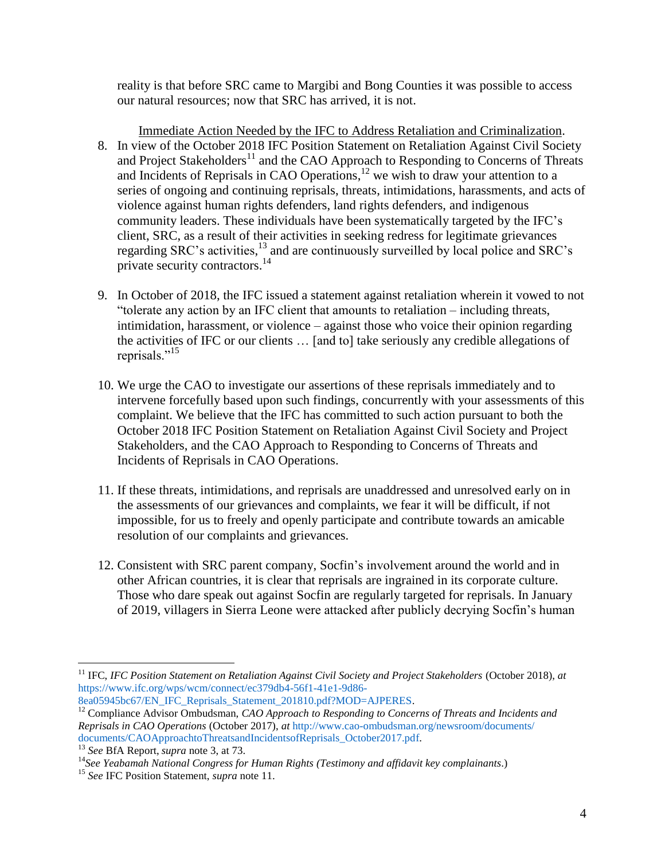<span id="page-3-0"></span>reality is that before SRC came to Margibi and Bong Counties it was possible to access our natural resources; now that SRC has arrived, it is not.

- Immediate Action Needed by the IFC to Address Retaliation and Criminalization. 8. In view of the October 2018 IFC Position Statement on Retaliation Against Civil Society and Project Stakeholders<sup>11</sup> and the CAO Approach to Responding to Concerns of Threats and Incidents of Reprisals in CAO Operations, $12$  we wish to draw your attention to a series of ongoing and continuing reprisals, threats, intimidations, harassments, and acts of violence against human rights defenders, land rights defenders, and indigenous community leaders. These individuals have been systematically targeted by the IFC's client, SRC, as a result of their activities in seeking redress for legitimate grievances regarding SRC's activities,<sup>13</sup> and are continuously surveilled by local police and SRC's private security contractors.<sup>14</sup>
- 9. In October of 2018, the IFC issued a statement against retaliation wherein it vowed to not "tolerate any action by an IFC client that amounts to retaliation – including threats, intimidation, harassment, or violence – against those who voice their opinion regarding the activities of IFC or our clients … [and to] take seriously any credible allegations of reprisals."<sup>15</sup>
- 10. We urge the CAO to investigate our assertions of these reprisals immediately and to intervene forcefully based upon such findings, concurrently with your assessments of this complaint. We believe that the IFC has committed to such action pursuant to both the October 2018 IFC Position Statement on Retaliation Against Civil Society and Project Stakeholders, and the CAO Approach to Responding to Concerns of Threats and Incidents of Reprisals in CAO Operations.
- 11. If these threats, intimidations, and reprisals are unaddressed and unresolved early on in the assessments of our grievances and complaints, we fear it will be difficult, if not impossible, for us to freely and openly participate and contribute towards an amicable resolution of our complaints and grievances.
- 12. Consistent with SRC parent company, Socfin's involvement around the world and in other African countries, it is clear that reprisals are ingrained in its corporate culture. Those who dare speak out against Socfin are regularly targeted for reprisals. In January of 2019, villagers in Sierra Leone were attacked after publicly decrying Socfin's human

[8ea05945bc67/EN\\_IFC\\_Reprisals\\_Statement\\_201810.pdf?MOD=AJPERES.](https://www.ifc.org/wps/wcm/connect/ec379db4-56f1-41e1-9d86-8ea05945bc67/EN_IFC_Reprisals_Statement_201810.pdf?MOD=AJPERES)

<sup>12</sup> Compliance Advisor Ombudsman, *CAO Approach to Responding to Concerns of Threats and Incidents and Reprisals in CAO Operations* (October 2017), *at* [http://www.cao-ombudsman.org/newsroom/documents/](http://www.cao-ombudsman.org/newsroom/documents/%20documents/CAOApproachtoThreatsandIncidentsofReprisals_October2017.pdf)  [documents/CAOApproachtoThreatsandIncidentsofReprisals\\_October2017.pdf.](http://www.cao-ombudsman.org/newsroom/documents/%20documents/CAOApproachtoThreatsandIncidentsofReprisals_October2017.pdf)

<sup>&</sup>lt;sup>11</sup> IFC, *IFC Position Statement on Retaliation Against Civil Society and Project Stakeholders (October 2018), at* [https://www.ifc.org/wps/wcm/connect/ec379db4-56f1-41e1-9d86-](https://www.ifc.org/wps/wcm/connect/ec379db4-56f1-41e1-9d86-8ea05945bc67/EN_IFC_Reprisals_Statement_201810.pdf?MOD=AJPERES)

<sup>13</sup> *See* BfA Report, *supra* note [3,](#page-0-0) at 73.

<sup>14</sup>*See Yeabamah National Congress for Human Rights (Testimony and affidavit key complainants*.)

<sup>15</sup> *See* IFC Position Statement, *supra* not[e 11.](#page-3-0)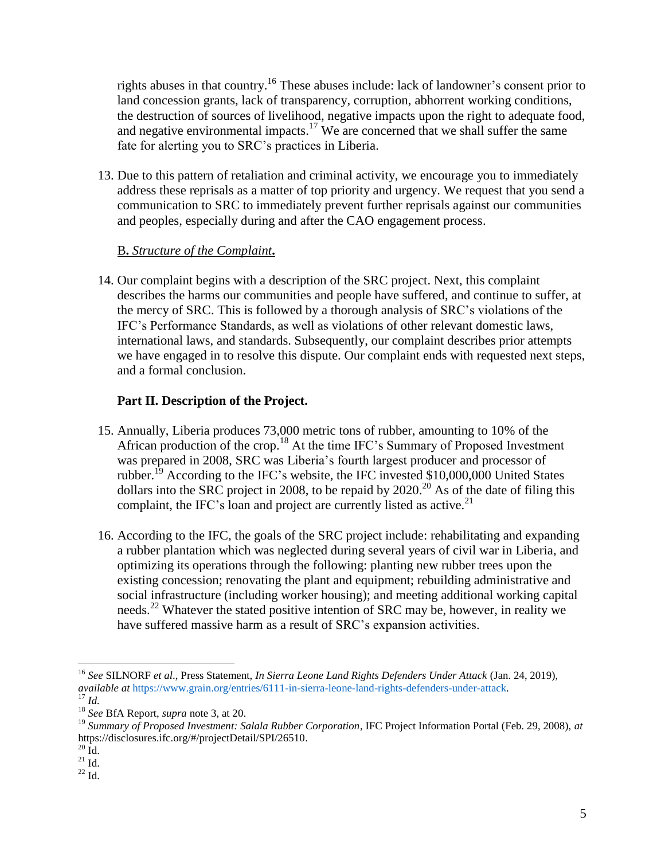rights abuses in that country.<sup>16</sup> These abuses include: lack of landowner's consent prior to land concession grants, lack of transparency, corruption, abhorrent working conditions, the destruction of sources of livelihood, negative impacts upon the right to adequate food, and negative environmental impacts.<sup>17</sup> We are concerned that we shall suffer the same fate for alerting you to SRC's practices in Liberia.

13. Due to this pattern of retaliation and criminal activity, we encourage you to immediately address these reprisals as a matter of top priority and urgency. We request that you send a communication to SRC to immediately prevent further reprisals against our communities and peoples, especially during and after the CAO engagement process.

# B**.** *Structure of the Complaint***.**

14. Our complaint begins with a description of the SRC project. Next, this complaint describes the harms our communities and people have suffered, and continue to suffer, at the mercy of SRC. This is followed by a thorough analysis of SRC's violations of the IFC's Performance Standards, as well as violations of other relevant domestic laws, international laws, and standards. Subsequently, our complaint describes prior attempts we have engaged in to resolve this dispute. Our complaint ends with requested next steps, and a formal conclusion.

# **Part II. Description of the Project.**

- 15. Annually, Liberia produces 73,000 metric tons of rubber, amounting to 10% of the African production of the crop.<sup>18</sup> At the time IFC's Summary of Proposed Investment was prepared in 2008, SRC was Liberia's fourth largest producer and processor of rubber.<sup>19</sup> According to the IFC's website, the IFC invested \$10,000,000 United States dollars into the SRC project in 2008, to be repaid by 2020.<sup>20</sup> As of the date of filing this complaint, the IFC's loan and project are currently listed as active.<sup>21</sup>
- 16. According to the IFC, the goals of the SRC project include: rehabilitating and expanding a rubber plantation which was neglected during several years of civil war in Liberia, and optimizing its operations through the following: planting new rubber trees upon the existing concession; renovating the plant and equipment; rebuilding administrative and social infrastructure (including worker housing); and meeting additional working capital needs.<sup>22</sup> Whatever the stated positive intention of SRC may be, however, in reality we have suffered massive harm as a result of SRC's expansion activities.

<sup>16</sup> *See* SILNORF *et al*., Press Statement, *In Sierra Leone Land Rights Defenders Under Attack* (Jan. 24, 2019), *available at* [https://www.grain.org/entries/6111-in-sierra-leone-land-rights-defenders-under-attack.](https://www.grain.org/entries/6111-in-sierra-leone-land-rights-defenders-under-attack)  $^{17}$  *Id.* 

<sup>18</sup> *See* BfA Report, *supra* note [3,](#page-0-0) at 20.

<sup>19</sup> *Summary of Proposed Investment: Salala Rubber Corporation*, IFC Project Information Portal (Feb. 29, 2008), *at* [https://disclosures.ifc.org/#/projectDetail/SPI/26510.](https://disclosures.ifc.org/#/projectDetail/SPI/26510)

 $^{20}$  Id.

 $^{21}$  Id.

 $22$  Id.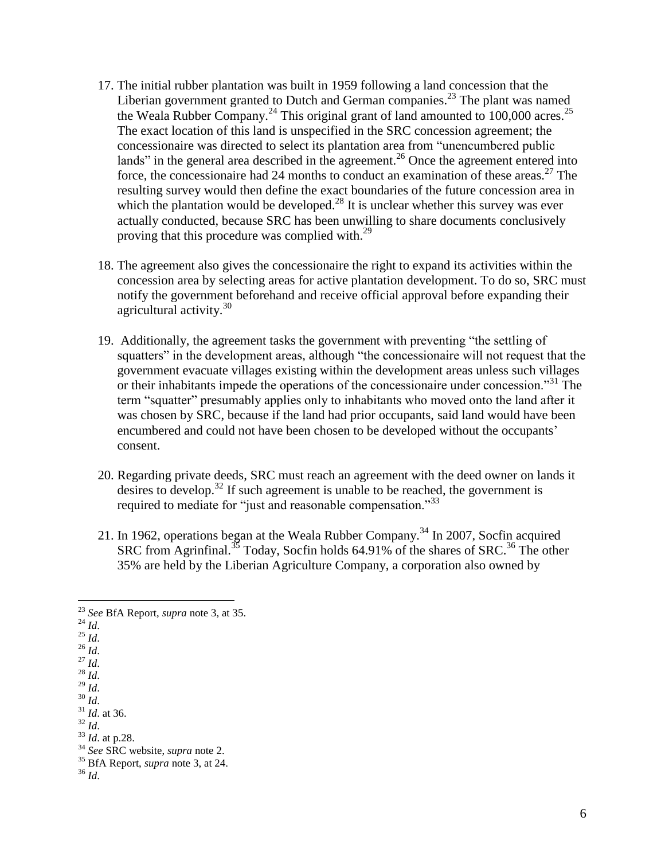- 17. The initial rubber plantation was built in 1959 following a land concession that the Liberian government granted to Dutch and German companies.<sup>23</sup> The plant was named the Weala Rubber Company.<sup>24</sup> This original grant of land amounted to 100,000 acres.<sup>25</sup> The exact location of this land is unspecified in the SRC concession agreement; the concessionaire was directed to select its plantation area from "unencumbered public lands" in the general area described in the agreement.<sup>26</sup> Once the agreement entered into force, the concessionaire had 24 months to conduct an examination of these areas.<sup>27</sup> The resulting survey would then define the exact boundaries of the future concession area in which the plantation would be developed. $^{28}$  It is unclear whether this survey was ever actually conducted, because SRC has been unwilling to share documents conclusively proving that this procedure was complied with.<sup>29</sup>
- 18. The agreement also gives the concessionaire the right to expand its activities within the concession area by selecting areas for active plantation development. To do so, SRC must notify the government beforehand and receive official approval before expanding their agricultural activity.<sup>30</sup>
- 19. Additionally, the agreement tasks the government with preventing "the settling of squatters" in the development areas, although "the concessionaire will not request that the government evacuate villages existing within the development areas unless such villages or their inhabitants impede the operations of the concessionaire under concession."<sup>31</sup> The term "squatter" presumably applies only to inhabitants who moved onto the land after it was chosen by SRC, because if the land had prior occupants, said land would have been encumbered and could not have been chosen to be developed without the occupants' consent.
- 20. Regarding private deeds, SRC must reach an agreement with the deed owner on lands it desires to develop. <sup>32</sup> If such agreement is unable to be reached, the government is required to mediate for "just and reasonable compensation."<sup>33</sup>
- 21. In 1962, operations began at the Weala Rubber Company.<sup>34</sup> In 2007, Socfin acquired SRC from Agrinfinal.<sup>35</sup> Today, Socfin holds 64.91% of the shares of SRC.<sup>36</sup> The other 35% are held by the Liberian Agriculture Company, a corporation also owned by

 $\overline{a}$ <sup>23</sup> *See* BfA Report, *supra* note [3,](#page-0-0) at 35.

 $^{24}$  *Id.* 

 $^{25}$  *Id.* 

<sup>26</sup> *Id*.

<sup>27</sup> *Id*.

<sup>28</sup> *Id*.  $^{29}$  *Id.* 

<sup>30</sup> *Id*.

<sup>31</sup> *Id*. at 36.

 $32$  *Id.* 

<sup>33</sup> *Id*. at p.28.

<sup>34</sup> *See* SRC website, *supra* note [2.](#page-0-1)

<sup>35</sup> BfA Report, *supra* note [3,](#page-0-0) at 24.

<sup>36</sup> *Id*.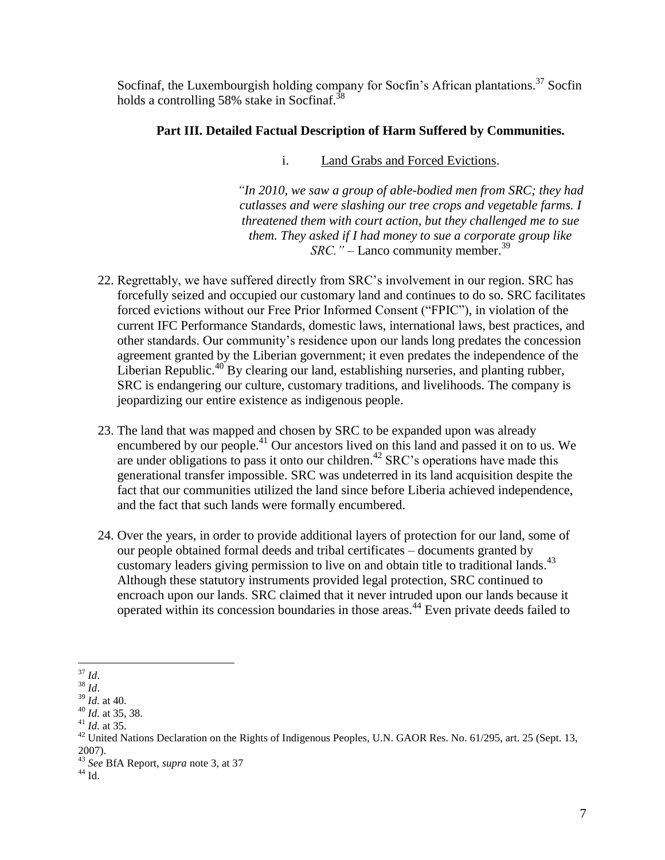Socfinaf, the Luxembourgish holding company for Socfin's African plantations.<sup>37</sup> Socfin holds a controlling 58% stake in Socfinaf.<sup>38</sup>

# **Part III. Detailed Factual Description of Harm Suffered by Communities.**

i. Land Grabs and Forced Evictions.

*"In 2010, we saw a group of able-bodied men from SRC; they had cutlasses and were slashing our tree crops and vegetable farms. I threatened them with court action, but they challenged me to sue them. They asked if I had money to sue a corporate group like SRC.*" – Lanco community member.<sup>39</sup>

- 22. Regrettably, we have suffered directly from SRC's involvement in our region. SRC has forcefully seized and occupied our customary land and continues to do so. SRC facilitates forced evictions without our Free Prior Informed Consent ("FPIC"), in violation of the current IFC Performance Standards, domestic laws, international laws, best practices, and other standards. Our community's residence upon our lands long predates the concession agreement granted by the Liberian government; it even predates the independence of the Liberian Republic.<sup>40</sup> By clearing our land, establishing nurseries, and planting rubber, SRC is endangering our culture, customary traditions, and livelihoods. The company is jeopardizing our entire existence as indigenous people.
- <span id="page-6-0"></span>23. The land that was mapped and chosen by SRC to be expanded upon was already encumbered by our people.<sup>41</sup> Our ancestors lived on this land and passed it on to us. We are under obligations to pass it onto our children.<sup>42</sup> SRC's operations have made this generational transfer impossible. SRC was undeterred in its land acquisition despite the fact that our communities utilized the land since before Liberia achieved independence, and the fact that such lands were formally encumbered.
- 24. Over the years, in order to provide additional layers of protection for our land, some of our people obtained formal deeds and tribal certificates – documents granted by customary leaders giving permission to live on and obtain title to traditional lands.<sup>43</sup> Although these statutory instruments provided legal protection, SRC continued to encroach upon our lands. SRC claimed that it never intruded upon our lands because it operated within its concession boundaries in those areas.<sup>44</sup> Even private deeds failed to

 $\overline{a}$ <sup>37</sup> *Id*.

<sup>38</sup> *Id*.

<sup>39</sup> *Id.* at 40.

<sup>40</sup> *Id.* at 35, 38.

<sup>41</sup> *Id.* at 35.

 $^{42}$  United Nations Declaration on the Rights of Indigenous Peoples, U.N. GAOR Res. No. 61/295, art. 25 (Sept. 13, 2007).

<sup>43</sup> *See* BfA Report, *supra* note [3,](#page-0-0) at 37

 $^{44}$  Id.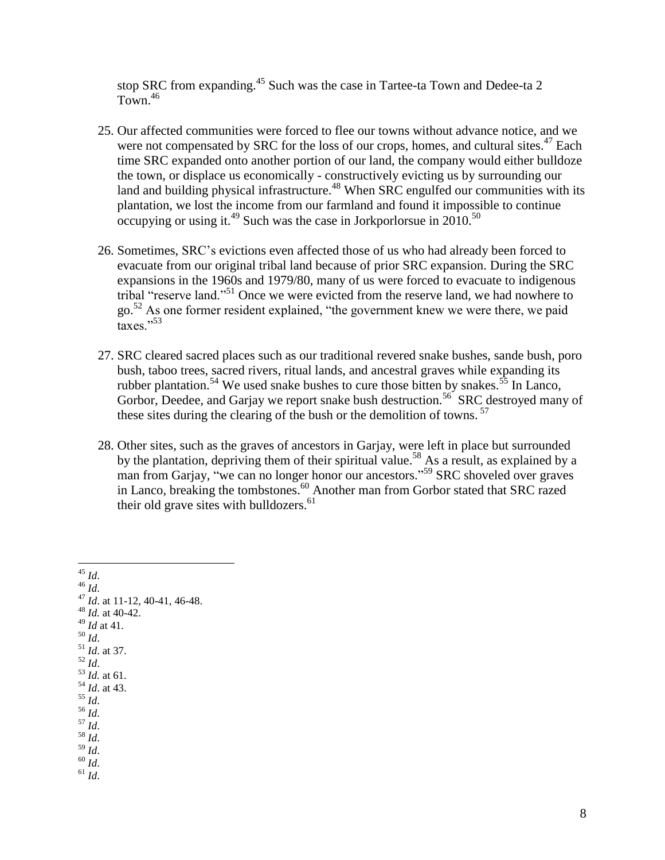stop SRC from expanding.<sup>45</sup> Such was the case in Tartee-ta Town and Dedee-ta 2 Town. 46

- 25. Our affected communities were forced to flee our towns without advance notice, and we were not compensated by SRC for the loss of our crops, homes, and cultural sites. $47$  Each time SRC expanded onto another portion of our land, the company would either bulldoze the town, or displace us economically - constructively evicting us by surrounding our land and building physical infrastructure.<sup>48</sup> When SRC engulfed our communities with its plantation, we lost the income from our farmland and found it impossible to continue occupying or using it.<sup>49</sup> Such was the case in Jorkporlorsue in  $20\overline{10}$ .<sup>50</sup>
- 26. Sometimes, SRC's evictions even affected those of us who had already been forced to evacuate from our original tribal land because of prior SRC expansion. During the SRC expansions in the 1960s and 1979/80, many of us were forced to evacuate to indigenous tribal "reserve land."<sup>51</sup> Once we were evicted from the reserve land, we had nowhere to go.<sup>52</sup> As one former resident explained, "the government knew we were there, we paid  $t$ axes $"$ <sup>53</sup>
- 27. SRC cleared sacred places such as our traditional revered snake bushes, sande bush, poro bush, taboo trees, sacred rivers, ritual lands, and ancestral graves while expanding its rubber plantation.<sup>54</sup> We used snake bushes to cure those bitten by snakes.<sup>55</sup> In Lanco, Gorbor, Deedee, and Garjay we report snake bush destruction.<sup>56</sup> SRC destroyed many of these sites during the clearing of the bush or the demolition of towns.<sup>57</sup>
- 28. Other sites, such as the graves of ancestors in Garjay, were left in place but surrounded by the plantation, depriving them of their spiritual value.<sup>58</sup> As a result, as explained by a man from Garjay, "we can no longer honor our ancestors." <sup>59</sup> SRC shoveled over graves in Lanco, breaking the tombstones.<sup>60</sup> Another man from Gorbor stated that SRC razed their old grave sites with bulldozers. $61$

<sup>45</sup> *Id*. <sup>46</sup> *Id*. <sup>47</sup> *Id*. at 11-12, 40-41, 46-48. <sup>48</sup> *Id.* at 40-42. <sup>49</sup> *Id* at 41. <sup>50</sup> *Id*. <sup>51</sup> *Id*. at 37. <sup>52</sup> *Id*.  $\frac{53}{1}$ *Id.* at 61. <sup>54</sup> *Id*. at 43.  $^{55}$  *Id.* <sup>56</sup> *Id*. <sup>57</sup> *Id*. <sup>58</sup> *Id*.  $^{59}$  *Id.*  $60 \frac{1}{1}$  $^{61}$  *Id.*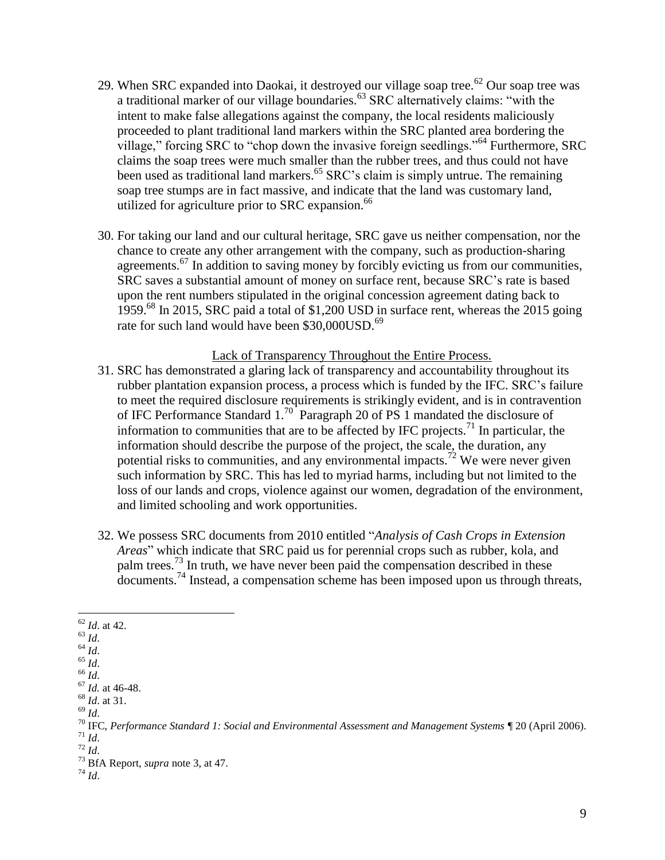- 29. When SRC expanded into Daokai, it destroyed our village soap tree.<sup>62</sup> Our soap tree was a traditional marker of our village boundaries.<sup>63</sup> SRC alternatively claims: "with the intent to make false allegations against the company, the local residents maliciously proceeded to plant traditional land markers within the SRC planted area bordering the village," forcing SRC to "chop down the invasive foreign seedlings."<sup>64</sup> Furthermore, SRC claims the soap trees were much smaller than the rubber trees, and thus could not have been used as traditional land markers.<sup>65</sup> SRC's claim is simply untrue. The remaining soap tree stumps are in fact massive, and indicate that the land was customary land, utilized for agriculture prior to SRC expansion. 66
- 30. For taking our land and our cultural heritage, SRC gave us neither compensation, nor the chance to create any other arrangement with the company, such as production-sharing agreements.<sup>67</sup> In addition to saving money by forcibly evicting us from our communities, SRC saves a substantial amount of money on surface rent, because SRC's rate is based upon the rent numbers stipulated in the original concession agreement dating back to 1959.<sup>68</sup> In 2015, SRC paid a total of \$1,200 USD in surface rent, whereas the 2015 going rate for such land would have been \$30,000USD.<sup>69</sup>

### Lack of Transparency Throughout the Entire Process.

- 31. SRC has demonstrated a glaring lack of transparency and accountability throughout its rubber plantation expansion process, a process which is funded by the IFC. SRC's failure to meet the required disclosure requirements is strikingly evident, and is in contravention of IFC Performance Standard  $1.^{70}$  Paragraph 20 of PS 1 mandated the disclosure of information to communities that are to be affected by IFC projects.<sup>71</sup> In particular, the information should describe the purpose of the project, the scale, the duration, any potential risks to communities, and any environmental impacts.<sup>72</sup> We were never given such information by SRC. This has led to myriad harms, including but not limited to the loss of our lands and crops, violence against our women, degradation of the environment, and limited schooling and work opportunities.
- 32. We possess SRC documents from 2010 entitled "*Analysis of Cash Crops in Extension Areas*" which indicate that SRC paid us for perennial crops such as rubber, kola, and palm trees.<sup>73</sup> In truth, we have never been paid the compensation described in these documents.<sup>74</sup> Instead, a compensation scheme has been imposed upon us through threats,

 $\overline{a}$ <sup>62</sup> *Id*. at 42.

 $^{63}$  *Id.* 

<sup>64</sup> *Id*.

<sup>65</sup> *Id*.  $66$   $\overline{Id}$ .

<sup>67</sup> *Id.* at 46-48. <sup>68</sup> *Id*. at 31.

<sup>69</sup> *Id*.

<sup>70</sup> IFC, *Performance Standard 1: Social and Environmental Assessment and Management Systems* ¶ 20 (April 2006). <sup>71</sup> *Id*.

<sup>72</sup> *Id*.

<sup>73</sup> BfA Report, *supra* note [3,](#page-0-0) at 47.

<sup>74</sup> *Id*.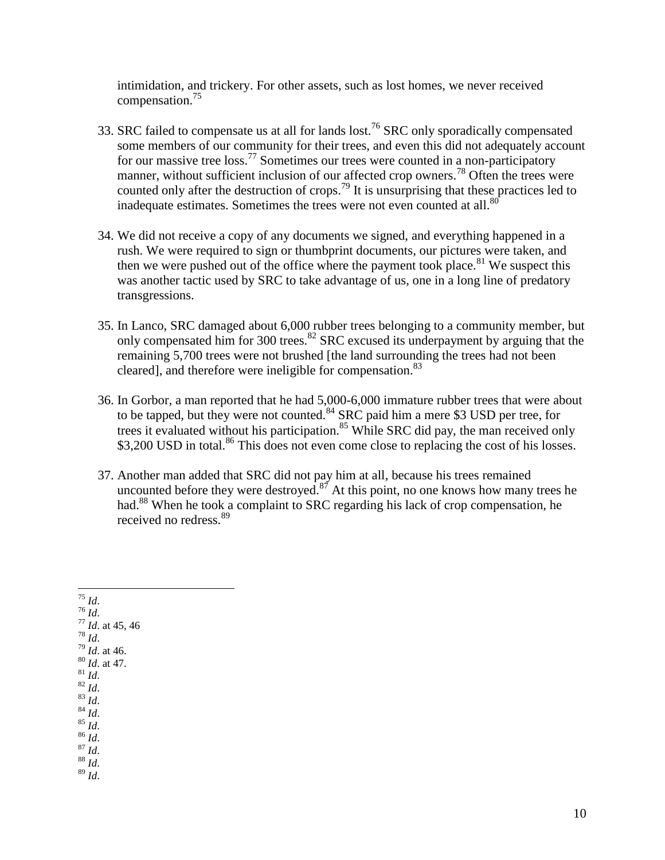intimidation, and trickery. For other assets, such as lost homes, we never received compensation.<sup>75</sup>

- 33. SRC failed to compensate us at all for lands lost.<sup>76</sup> SRC only sporadically compensated some members of our community for their trees, and even this did not adequately account for our massive tree loss.<sup>77</sup> Sometimes our trees were counted in a non-participatory manner, without sufficient inclusion of our affected crop owners.<sup>78</sup> Often the trees were counted only after the destruction of crops.<sup>79</sup> It is unsurprising that these practices led to inadequate estimates. Sometimes the trees were not even counted at all. $80$
- 34. We did not receive a copy of any documents we signed, and everything happened in a rush. We were required to sign or thumbprint documents, our pictures were taken, and then we were pushed out of the office where the payment took place.<sup>81</sup> We suspect this was another tactic used by SRC to take advantage of us, one in a long line of predatory transgressions.
- 35. In Lanco, SRC damaged about 6,000 rubber trees belonging to a community member, but only compensated him for 300 trees.<sup>82</sup> SRC excused its underpayment by arguing that the remaining 5,700 trees were not brushed [the land surrounding the trees had not been cleared], and therefore were ineligible for compensation.<sup>83</sup>
- 36. In Gorbor, a man reported that he had 5,000-6,000 immature rubber trees that were about to be tapped, but they were not counted.<sup>84</sup> SRC paid him a mere \$3 USD per tree, for trees it evaluated without his participation.<sup>85</sup> While SRC did pay, the man received only \$3,200 USD in total.<sup>86</sup> This does not even come close to replacing the cost of his losses.
- 37. Another man added that SRC did not pay him at all, because his trees remained uncounted before they were destroyed.<sup>87</sup> At this point, no one knows how many trees he had.<sup>88</sup> When he took a complaint to SRC regarding his lack of crop compensation, he received no redress.<sup>89</sup>

 $\overline{a}$ <sup>75</sup> *Id*.  $76 \frac{\mu}{Id}$ . <sup>77</sup> *Id*. at 45, 46 <sup>78</sup> *Id*. <sup>79</sup> *Id*. at 46. <sup>80</sup> *Id*. at 47.  $\int_{81}^{1}$  *Id.*  $82$  *Id.*  $^{83}$  *Id.*  $84 \overline{Id}$ . <sup>85</sup> *Id*. <sup>86</sup> *Id*. <sup>87</sup> *Id*. <sup>88</sup> *Id*. <sup>89</sup> *Id*.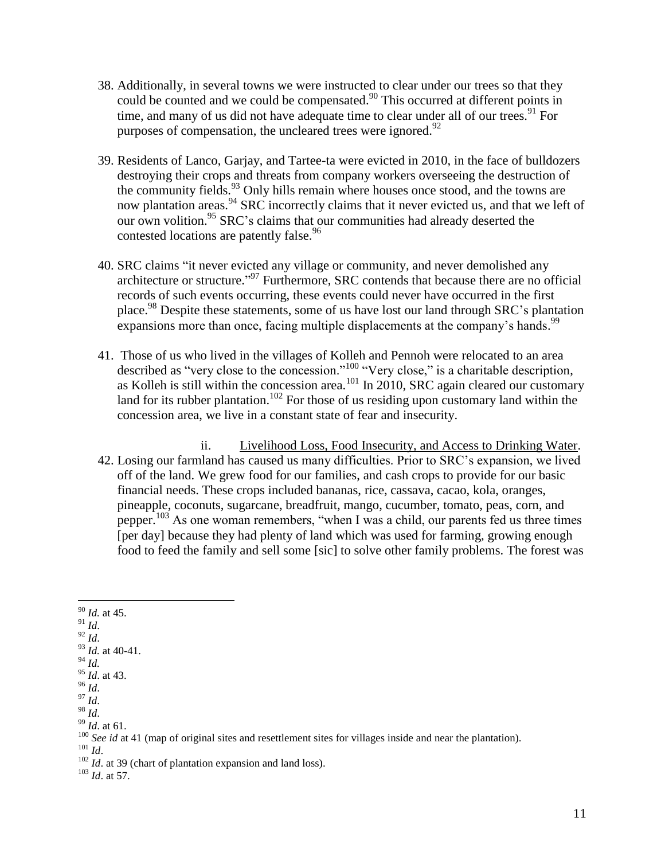- 38. Additionally, in several towns we were instructed to clear under our trees so that they could be counted and we could be compensated. <sup>90</sup> This occurred at different points in time, and many of us did not have adequate time to clear under all of our trees.<sup>91</sup> For purposes of compensation, the uncleared trees were ignored.<sup>92</sup>
- 39. Residents of Lanco, Garjay, and Tartee-ta were evicted in 2010, in the face of bulldozers destroying their crops and threats from company workers overseeing the destruction of the community fields.<sup>93</sup> Only hills remain where houses once stood, and the towns are now plantation areas.<sup>94</sup> SRC incorrectly claims that it never evicted us, and that we left of our own volition.<sup>95</sup> SRC's claims that our communities had already deserted the contested locations are patently false.<sup>96</sup>
- 40. SRC claims "it never evicted any village or community, and never demolished any architecture or structure." <sup>97</sup> Furthermore, SRC contends that because there are no official records of such events occurring, these events could never have occurred in the first place.<sup>98</sup> Despite these statements, some of us have lost our land through SRC's plantation expansions more than once, facing multiple displacements at the company's hands.<sup>99</sup>
- 41. Those of us who lived in the villages of Kolleh and Pennoh were relocated to an area described as "very close to the concession."<sup>100</sup> "Very close," is a charitable description, as Kolleh is still within the concession area.<sup>101</sup> In 2010, SRC again cleared our customary land for its rubber plantation.<sup>102</sup> For those of us residing upon customary land within the concession area, we live in a constant state of fear and insecurity.
- ii. Livelihood Loss, Food Insecurity, and Access to Drinking Water. 42. Losing our farmland has caused us many difficulties. Prior to SRC's expansion, we lived off of the land. We grew food for our families, and cash crops to provide for our basic financial needs. These crops included bananas, rice, cassava, cacao, kola, oranges, pineapple, coconuts, sugarcane, breadfruit, mango, cucumber, tomato, peas, corn, and pepper.<sup>103</sup> As one woman remembers, "when I was a child, our parents fed us three times [per day] because they had plenty of land which was used for farming, growing enough food to feed the family and sell some [sic] to solve other family problems. The forest was
- $\overline{a}$ <sup>90</sup> *Id.* at 45.
- $^{91}$  *Id.*
- $^{92}$   $\frac{1}{d}$ .
- <sup>93</sup> *Id.* at 40-41.
- <sup>94</sup> *Id.*
- <sup>95</sup> *Id*. at 43.
- <sup>96</sup> *Id*.  $^{97}$  *Id.*
- <sup>98</sup> *Id*.
- <sup>99</sup> *Id*. at 61.

<sup>&</sup>lt;sup>100</sup> *See id* at 41 (map of original sites and resettlement sites for villages inside and near the plantation).

<sup>101</sup> *Id*.

<sup>&</sup>lt;sup>102</sup> *Id.* at 39 (chart of plantation expansion and land loss).

<sup>103</sup> *Id*. at 57.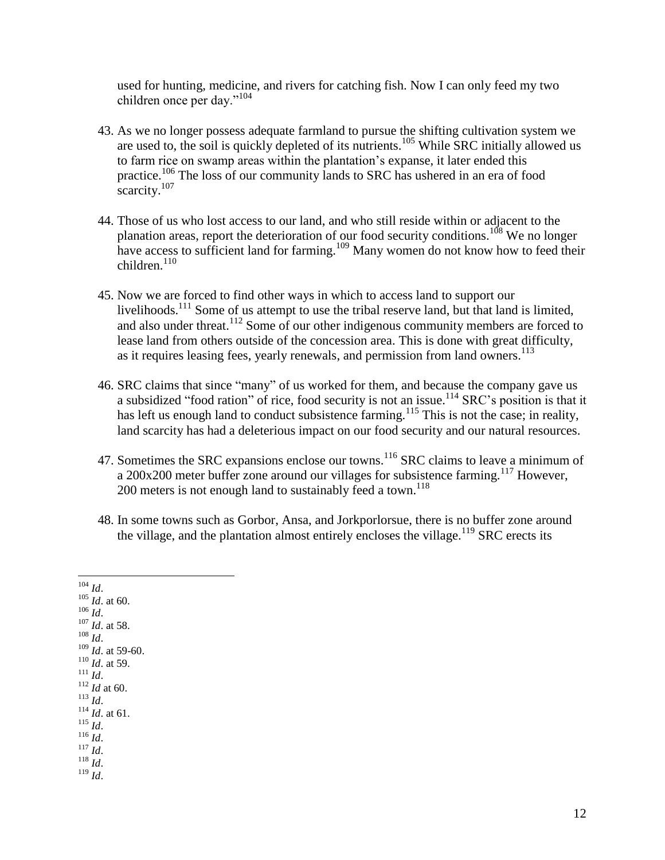used for hunting, medicine, and rivers for catching fish. Now I can only feed my two children once per day."<sup>104</sup>

- 43. As we no longer possess adequate farmland to pursue the shifting cultivation system we are used to, the soil is quickly depleted of its nutrients.<sup>105</sup> While SRC initially allowed us to farm rice on swamp areas within the plantation's expanse, it later ended this practice.<sup>106</sup> The loss of our community lands to SRC has ushered in an era of food scarcity.<sup>107</sup>
- 44. Those of us who lost access to our land, and who still reside within or adjacent to the planation areas, report the deterioration of our food security conditions.<sup>108</sup> We no longer have access to sufficient land for farming.<sup>109</sup> Many women do not know how to feed their  $children<sup>110</sup>$
- 45. Now we are forced to find other ways in which to access land to support our livelihoods.<sup>111</sup> Some of us attempt to use the tribal reserve land, but that land is limited, and also under threat.<sup>112</sup> Some of our other indigenous community members are forced to lease land from others outside of the concession area. This is done with great difficulty, as it requires leasing fees, yearly renewals, and permission from land owners.<sup>113</sup>
- 46. SRC claims that since "many" of us worked for them, and because the company gave us a subsidized "food ration" of rice, food security is not an issue.<sup>114</sup> SRC's position is that it has left us enough land to conduct subsistence farming.<sup>115</sup> This is not the case; in reality, land scarcity has had a deleterious impact on our food security and our natural resources.
- 47. Sometimes the SRC expansions enclose our towns.<sup>116</sup> SRC claims to leave a minimum of a 200x200 meter buffer zone around our villages for subsistence farming.<sup>117</sup> However, 200 meters is not enough land to sustainably feed a town.<sup>118</sup>
- 48. In some towns such as Gorbor, Ansa, and Jorkporlorsue, there is no buffer zone around the village, and the plantation almost entirely encloses the village.<sup>119</sup> SRC erects its

 $\overline{a}$ <sup>104</sup> *Id*. <sup>105</sup> *Id*. at 60. <sup>106</sup> *Id*. <sup>107</sup> *Id*. at 58. <sup>108</sup> *Id*. <sup>109</sup> *Id*. at 59-60. <sup>110</sup> *Id*. at 59. <sup>111</sup> *Id*. <sup>112</sup> *Id* at 60. <sup>113</sup> *Id*. <sup>114</sup> *Id*. at 61. <sup>115</sup> *Id*. <sup>116</sup> *Id*.  $^{117}$  *Id.* <sup>118</sup> *Id*. <sup>119</sup> *Id*.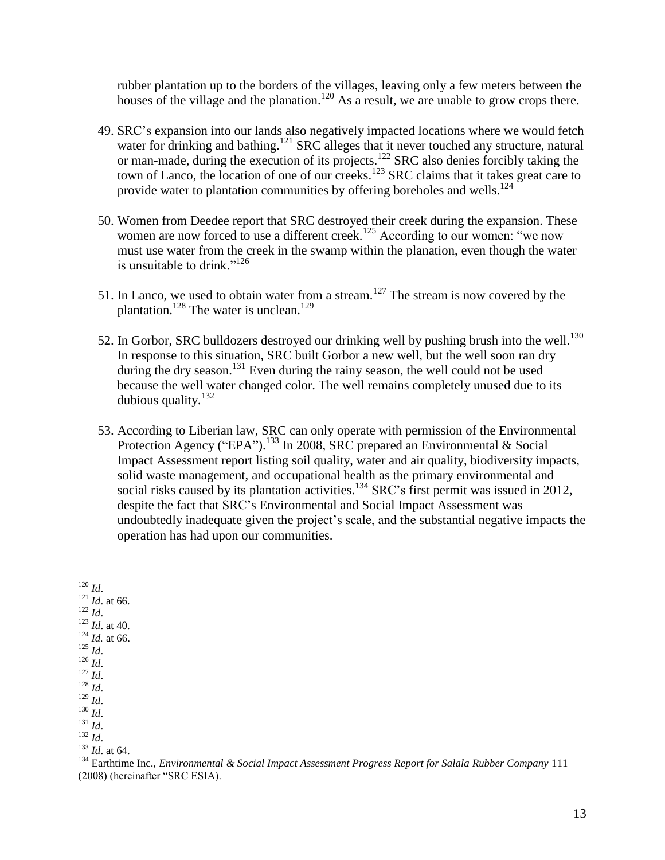rubber plantation up to the borders of the villages, leaving only a few meters between the houses of the village and the planation.<sup>120</sup> As a result, we are unable to grow crops there.

- 49. SRC's expansion into our lands also negatively impacted locations where we would fetch water for drinking and bathing.<sup>121</sup> SRC alleges that it never touched any structure, natural or man-made, during the execution of its projects.<sup>122</sup> SRC also denies forcibly taking the town of Lanco, the location of one of our creeks.<sup>123</sup> SRC claims that it takes great care to provide water to plantation communities by offering boreholes and wells.<sup>124</sup>
- 50. Women from Deedee report that SRC destroyed their creek during the expansion. These women are now forced to use a different creek.<sup>125</sup> According to our women: "we now must use water from the creek in the swamp within the planation, even though the water is unsuitable to drink." $126$
- 51. In Lanco, we used to obtain water from a stream.<sup>127</sup> The stream is now covered by the plantation.<sup>128</sup> The water is unclean.<sup>129</sup>
- 52. In Gorbor, SRC bulldozers destroyed our drinking well by pushing brush into the well.<sup>130</sup> In response to this situation, SRC built Gorbor a new well, but the well soon ran dry during the dry season.<sup>131</sup> Even during the rainy season, the well could not be used because the well water changed color. The well remains completely unused due to its dubious quality.<sup>132</sup>
- <span id="page-12-0"></span>53. According to Liberian law, SRC can only operate with permission of the Environmental Protection Agency ("EPA").<sup>133</sup> In 2008, SRC prepared an Environmental & Social Impact Assessment report listing soil quality, water and air quality, biodiversity impacts, solid waste management, and occupational health as the primary environmental and social risks caused by its plantation activities.<sup>134</sup> SRC's first permit was issued in 2012. despite the fact that SRC's Environmental and Social Impact Assessment was undoubtedly inadequate given the project's scale, and the substantial negative impacts the operation has had upon our communities.

 $\frac{121}{1}$  *Id.* at 66.

 $\frac{122}{Id}$ .

<sup>123</sup> *Id*. at 40.  $124$  *Id.* at 66.

- <sup>125</sup> *Id*.
- <sup>126</sup> *Id*.
- <sup>127</sup> *Id*.

<sup>128</sup> *Id*.

<sup>129</sup> *Id*. <sup>130</sup> *Id*.

<sup>131</sup> *Id*.

<sup>132</sup> *Id*.

<sup>133</sup> *Id*. at 64.

 $\overline{a}$ <sup>120</sup> *Id*.

<sup>134</sup> Earthtime Inc., *Environmental & Social Impact Assessment Progress Report for Salala Rubber Company* 111 (2008) (hereinafter "SRC ESIA).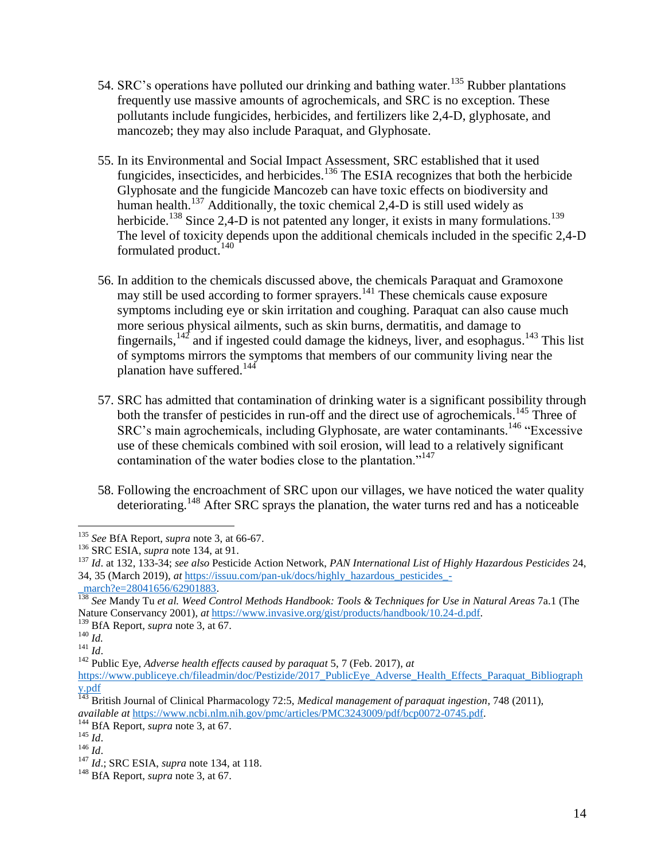- 54. SRC's operations have polluted our drinking and bathing water.<sup>135</sup> Rubber plantations frequently use massive amounts of agrochemicals, and SRC is no exception. These pollutants include fungicides, herbicides, and fertilizers like 2,4-D, glyphosate, and mancozeb; they may also include Paraquat, and Glyphosate.
- <span id="page-13-0"></span>55. In its Environmental and Social Impact Assessment, SRC established that it used fungicides, insecticides, and herbicides.<sup>136</sup> The ESIA recognizes that both the herbicide Glyphosate and the fungicide Mancozeb can have toxic effects on biodiversity and human health.<sup>137</sup> Additionally, the toxic chemical 2,4-D is still used widely as herbicide.<sup>138</sup> Since 2,4-D is not patented any longer, it exists in many formulations.<sup>139</sup> The level of toxicity depends upon the additional chemicals included in the specific 2,4-D formulated product.<sup>140</sup>
- 56. In addition to the chemicals discussed above, the chemicals Paraquat and Gramoxone may still be used according to former sprayers.<sup>141</sup> These chemicals cause exposure symptoms including eye or skin irritation and coughing. Paraquat can also cause much more serious physical ailments, such as skin burns, dermatitis, and damage to fingernails,  $142$  and if ingested could damage the kidneys, liver, and esophagus.  $143$  This list of symptoms mirrors the symptoms that members of our community living near the planation have suffered. $144$
- 57. SRC has admitted that contamination of drinking water is a significant possibility through both the transfer of pesticides in run-off and the direct use of agrochemicals.<sup>145</sup> Three of SRC's main agrochemicals, including Glyphosate, are water contaminants.<sup>146</sup> "Excessive use of these chemicals combined with soil erosion, will lead to a relatively significant contamination of the water bodies close to the plantation."<sup>147</sup>
- 58. Following the encroachment of SRC upon our villages, we have noticed the water quality deteriorating. <sup>148</sup> After SRC sprays the planation, the water turns red and has a noticeable

 $\overline{a}$ <sup>135</sup> *See* BfA Report, *supra* not[e 3,](#page-0-0) at 66-67.

<sup>136</sup> SRC ESIA, *supra* note [134,](#page-12-0) at 91.

<sup>137</sup> *Id*. at 132, 133-34; *see also* Pesticide Action Network, *PAN International List of Highly Hazardous Pesticides* 24, 34, 35 (March 2019), *at* [https://issuu.com/pan-uk/docs/highly\\_hazardous\\_pesticides\\_-](https://issuu.com/pan-uk/docs/highly_hazardous_pesticides_-_march?e=28041656/62901883)

march?e=28041656/62901883.

<sup>138</sup> *See* Mandy Tu *et al. Weed Control Methods Handbook: Tools & Techniques for Use in Natural Areas* 7a.1 (The Nature Conservancy 2001), *at* [https://www.invasive.org/gist/products/handbook/10.24-d.pdf.](https://www.invasive.org/gist/products/handbook/10.24-d.pdf)

<sup>139</sup> BfA Report, *supra* note 3, at 67.

<sup>140</sup> *Id.*

<sup>141</sup> *Id*.

<sup>142</sup> Public Eye, *Adverse health effects caused by paraquat* 5, 7 (Feb. 2017), *at*

[https://www.publiceye.ch/fileadmin/doc/Pestizide/2017\\_PublicEye\\_Adverse\\_Health\\_Effects\\_Paraquat\\_Bibliograph](https://www.publiceye.ch/fileadmin/doc/Pestizide/2017_PublicEye_Adverse_Health_Effects_Paraquat_Bibliography.pdf) [y.pdf](https://www.publiceye.ch/fileadmin/doc/Pestizide/2017_PublicEye_Adverse_Health_Effects_Paraquat_Bibliography.pdf)

<sup>143</sup> British Journal of Clinical Pharmacology 72:5, *Medical management of paraquat ingestion*, 748 (2011), *available at* [https://www.ncbi.nlm.nih.gov/pmc/articles/PMC3243009/pdf/bcp0072-0745.pdf.](https://www.ncbi.nlm.nih.gov/pmc/articles/PMC3243009/pdf/bcp0072-0745.pdf)

<sup>&</sup>lt;sup>144</sup> BfA Report, *supra* note 3, at 67.

<sup>145</sup> *Id*.

<sup>146</sup> *Id*.

<sup>147</sup> *Id*.; SRC ESIA, *supra* note [134,](#page-12-0) at 118.

<sup>148</sup> BfA Report, *supra* note 3, at 67.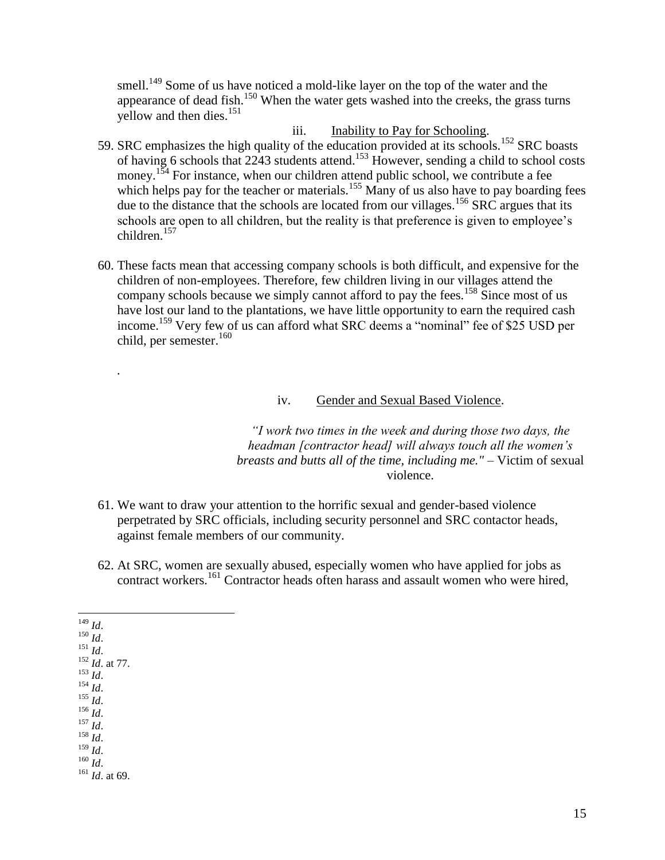smell.<sup>149</sup> Some of us have noticed a mold-like layer on the top of the water and the appearance of dead fish.<sup>150</sup> When the water gets washed into the creeks, the grass turns yellow and then dies.<sup>151</sup>

iii. Inability to Pay for Schooling.

- 59. SRC emphasizes the high quality of the education provided at its schools.<sup>152</sup> SRC boasts of having 6 schools that 2243 students attend.<sup>153</sup> However, sending a child to school costs money.<sup>154</sup> For instance, when our children attend public school, we contribute a fee which helps pay for the teacher or materials.<sup>155</sup> Many of us also have to pay boarding fees due to the distance that the schools are located from our villages.<sup>156</sup> SRC argues that its schools are open to all children, but the reality is that preference is given to employee's children.<sup>157</sup>
- 60. These facts mean that accessing company schools is both difficult, and expensive for the children of non-employees. Therefore, few children living in our villages attend the company schools because we simply cannot afford to pay the fees.<sup>158</sup> Since most of us have lost our land to the plantations, we have little opportunity to earn the required cash income.<sup>159</sup> Very few of us can afford what SRC deems a "nominal" fee of \$25 USD per child, per semester.<sup>160</sup>

### iv. Gender and Sexual Based Violence.

*"I work two times in the week and during those two days, the headman [contractor head] will always touch all the women's breasts and butts all of the time, including me."* – Victim of sexual violence.

- 61. We want to draw your attention to the horrific sexual and gender-based violence perpetrated by SRC officials, including security personnel and SRC contactor heads, against female members of our community.
- 62. At SRC, women are sexually abused, especially women who have applied for jobs as contract workers.<sup>161</sup> Contractor heads often harass and assault women who were hired,

<sup>149</sup> *Id*. <sup>150</sup> *Id*.  $^{151}$  *Id*. <sup>152</sup> *Id*. at 77.  $^{153}$  *Id*.  $^{154}$  *Id*. <sup>155</sup> *Id*. <sup>156</sup> *Id*.  $^{157}$  *Id.* 

 $\overline{a}$ 

*.*

<sup>158</sup> *Id*.

 $^{159}$  *Id.* 

<sup>160</sup> *Id*.

<sup>161</sup> *Id*. at 69.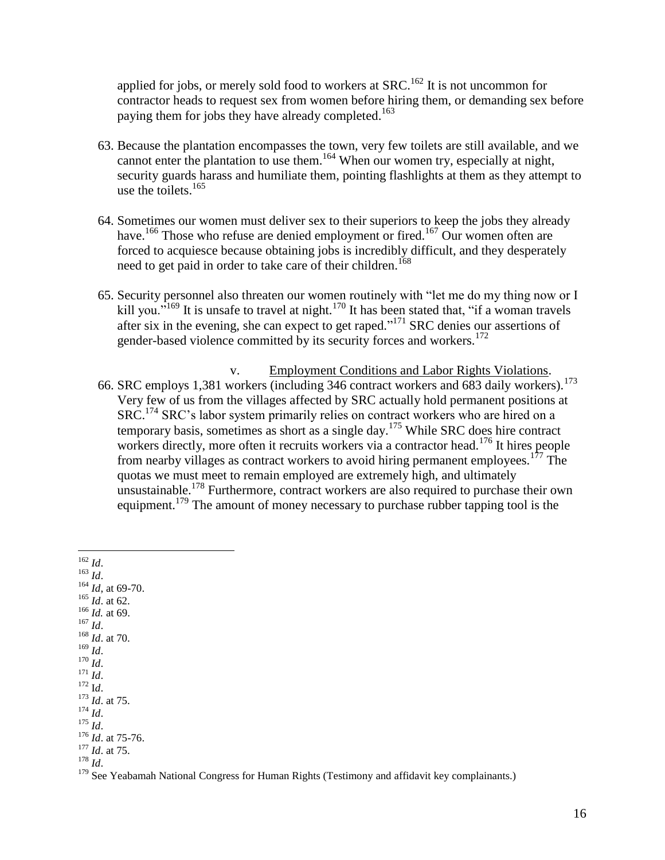applied for jobs, or merely sold food to workers at  $SRC$ <sup>162</sup> It is not uncommon for contractor heads to request sex from women before hiring them, or demanding sex before paying them for jobs they have already completed.<sup>163</sup>

- 63. Because the plantation encompasses the town, very few toilets are still available, and we cannot enter the plantation to use them.<sup>164</sup> When our women try, especially at night, security guards harass and humiliate them, pointing flashlights at them as they attempt to use the toilets. 165
- 64. Sometimes our women must deliver sex to their superiors to keep the jobs they already have.<sup>166</sup> Those who refuse are denied employment or fired.<sup>167</sup> Our women often are forced to acquiesce because obtaining jobs is incredibly difficult, and they desperately need to get paid in order to take care of their children.<sup>168</sup>
- 65. Security personnel also threaten our women routinely with "let me do my thing now or I kill you."<sup>169</sup> It is unsafe to travel at night.<sup>170</sup> It has been stated that, "if a woman travels" after six in the evening, she can expect to get raped."<sup>171</sup> SRC denies our assertions of gender-based violence committed by its security forces and workers.<sup>172</sup>
- v. Employment Conditions and Labor Rights Violations. 66. SRC employs 1,381 workers (including 346 contract workers and 683 daily workers).<sup>173</sup> Very few of us from the villages affected by SRC actually hold permanent positions at SRC.<sup>174</sup> SRC's labor system primarily relies on contract workers who are hired on a temporary basis, sometimes as short as a single day.<sup>175</sup> While SRC does hire contract workers directly, more often it recruits workers via a contractor head.<sup>176</sup> It hires people from nearby villages as contract workers to avoid hiring permanent employees.<sup>177</sup> The quotas we must meet to remain employed are extremely high, and ultimately unsustainable.<sup>178</sup> Furthermore, contract workers are also required to purchase their own equipment.<sup>179</sup> The amount of money necessary to purchase rubber tapping tool is the

 $\overline{a}$ <sup>162</sup> *Id*. <sup>163</sup> *Id*.  $164$  *Id*, at 69-70.  $165$  *Id.* at 62. <sup>166</sup> *Id.* at 69. <sup>167</sup> *Id*. <sup>168</sup> *Id*. at 70. <sup>169</sup> *Id*. <sup>170</sup> *Id*. <sup>171</sup> *Id*.  $172 \text{ Id.}$ <sup>173</sup> *Id*. at 75. <sup>174</sup> *Id*. <sup>175</sup> *Id*. <sup>176</sup> *Id*. at 75-76. <sup>177</sup> *Id*. at 75. <sup>178</sup> *Id*.

 $179$  See Yeabamah National Congress for Human Rights (Testimony and affidavit key complainants.)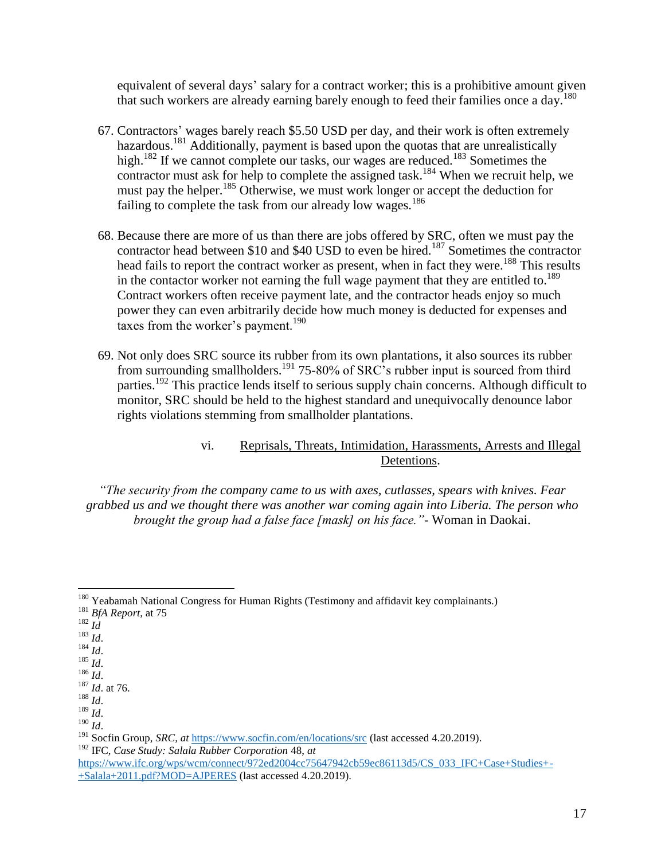equivalent of several days' salary for a contract worker; this is a prohibitive amount given that such workers are already earning barely enough to feed their families once a day.<sup>180</sup>

- 67. Contractors' wages barely reach \$5.50 USD per day, and their work is often extremely hazardous.<sup>181</sup> Additionally, payment is based upon the quotas that are unrealistically high.<sup>182</sup> If we cannot complete our tasks, our wages are reduced.<sup>183</sup> Sometimes the contractor must ask for help to complete the assigned task.<sup>184</sup> When we recruit help, we must pay the helper.<sup>185</sup> Otherwise, we must work longer or accept the deduction for failing to complete the task from our already low wages.<sup>186</sup>
- 68. Because there are more of us than there are jobs offered by SRC, often we must pay the contractor head between \$10 and \$40 USD to even be hired.<sup>187</sup> Sometimes the contractor head fails to report the contract worker as present, when in fact they were.<sup>188</sup> This results in the contactor worker not earning the full wage payment that they are entitled to.<sup>189</sup> Contract workers often receive payment late, and the contractor heads enjoy so much power they can even arbitrarily decide how much money is deducted for expenses and taxes from the worker's payment.<sup>190</sup>
- <span id="page-16-0"></span>69. Not only does SRC source its rubber from its own plantations, it also sources its rubber from surrounding smallholders.<sup>191</sup> 75-80% of SRC's rubber input is sourced from third parties.<sup>192</sup> This practice lends itself to serious supply chain concerns. Although difficult to monitor, SRC should be held to the highest standard and unequivocally denounce labor rights violations stemming from smallholder plantations.

# vi. Reprisals, Threats, Intimidation, Harassments, Arrests and Illegal Detentions.

*"The security from the company came to us with axes, cutlasses, spears with knives. Fear grabbed us and we thought there was another war coming again into Liberia. The person who brought the group had a false face [mask] on his face."-* Woman in Daokai.

<sup>182</sup> *Id*

 $\overline{a}$ 

- <sup>183</sup> *Id*. <sup>184</sup> *Id*.
- <sup>185</sup> *Id*.
- <sup>186</sup> *Id*.

<sup>188</sup> *Id*.

<sup>&</sup>lt;sup>180</sup> Yeabamah National Congress for Human Rights (Testimony and affidavit key complainants.)

<sup>181</sup> *BfA Report,* at 75

<sup>187</sup> *Id*. at 76.

<sup>189</sup> *Id*.

<sup>190</sup> *Id*.

<sup>191</sup> Socfin Group, *SRC, at* <https://www.socfin.com/en/locations/src> (last accessed 4.20.2019). <sup>192</sup> IFC, *Case Study: Salala Rubber Corporation* 48, *at*

[https://www.ifc.org/wps/wcm/connect/972ed2004cc75647942cb59ec86113d5/CS\\_033\\_IFC+Case+Studies+-](https://www.ifc.org/wps/wcm/connect/972ed2004cc75647942cb59ec86113d5/CS_033_IFC+Case+Studies+-+Salala+2011.pdf?MOD=AJPERES) [+Salala+2011.pdf?MOD=AJPERES](https://www.ifc.org/wps/wcm/connect/972ed2004cc75647942cb59ec86113d5/CS_033_IFC+Case+Studies+-+Salala+2011.pdf?MOD=AJPERES) (last accessed 4.20.2019).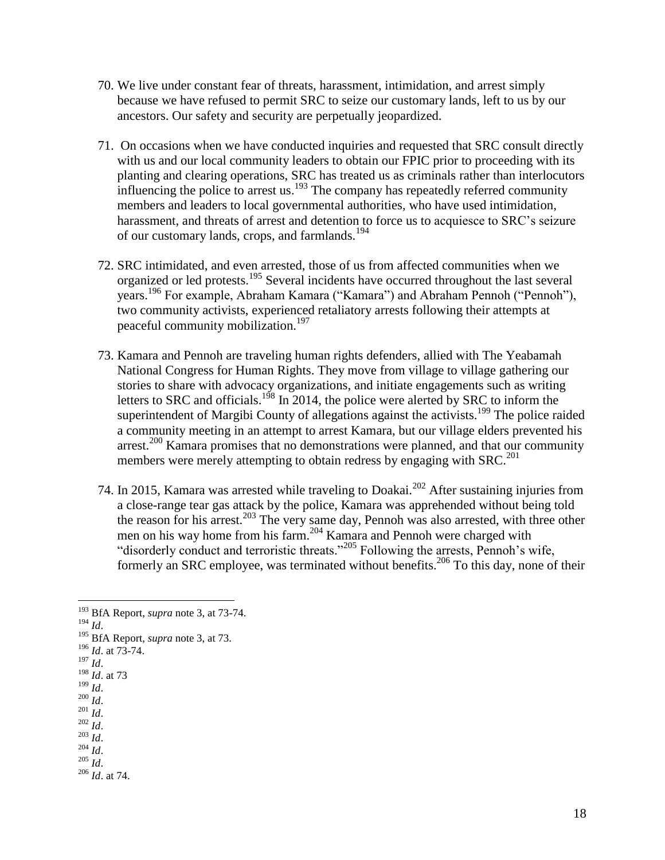- 70. We live under constant fear of threats, harassment, intimidation, and arrest simply because we have refused to permit SRC to seize our customary lands, left to us by our ancestors. Our safety and security are perpetually jeopardized.
- 71. On occasions when we have conducted inquiries and requested that SRC consult directly with us and our local community leaders to obtain our FPIC prior to proceeding with its planting and clearing operations, SRC has treated us as criminals rather than interlocutors influencing the police to arrest us.<sup>193</sup> The company has repeatedly referred community members and leaders to local governmental authorities, who have used intimidation, harassment, and threats of arrest and detention to force us to acquiesce to SRC's seizure of our customary lands, crops, and farmlands.<sup>194</sup>
- 72. SRC intimidated, and even arrested, those of us from affected communities when we organized or led protests.<sup>195</sup> Several incidents have occurred throughout the last several years.<sup>196</sup> For example, Abraham Kamara ("Kamara") and Abraham Pennoh ("Pennoh"), two community activists, experienced retaliatory arrests following their attempts at peaceful community mobilization.<sup>197</sup>
- 73. Kamara and Pennoh are traveling human rights defenders, allied with The Yeabamah National Congress for Human Rights. They move from village to village gathering our stories to share with advocacy organizations, and initiate engagements such as writing letters to SRC and officials.<sup>198</sup> In 2014, the police were alerted by SRC to inform the superintendent of Margibi County of allegations against the activists.<sup>199</sup> The police raided a community meeting in an attempt to arrest Kamara, but our village elders prevented his arrest.<sup>200</sup> Kamara promises that no demonstrations were planned, and that our community members were merely attempting to obtain redress by engaging with  $SRC<sup>201</sup>$
- 74. In 2015, Kamara was arrested while traveling to Doakai.<sup>202</sup> After sustaining injuries from a close-range tear gas attack by the police, Kamara was apprehended without being told the reason for his arrest.<sup>203</sup> The very same day, Pennoh was also arrested, with three other men on his way home from his farm.<sup>204</sup> Kamara and Pennoh were charged with "disorderly conduct and terroristic threats."<sup>205</sup> Following the arrests, Pennoh's wife, formerly an SRC employee, was terminated without benefits.<sup>206</sup> To this day, none of their

 $\overline{a}$ 

- <sup>196</sup> *Id*. at 73-74.
- <sup>197</sup> *Id*.
- <sup>198</sup> *Id*. at 73  $199$   $\overline{Id}$ .
- <sup>200</sup> *Id*.
- $^{201}$  *Id*.
- <sup>202</sup> *Id*.
- <sup>203</sup> *Id*.
- <sup>204</sup> *Id*.

<sup>205</sup> *Id*.

<sup>206</sup> *Id*. at 74.

<sup>193</sup> BfA Report, *supra* note 3, at 73-74.

<sup>194</sup> *Id*.

<sup>195</sup> BfA Report, *supra* note 3, at 73.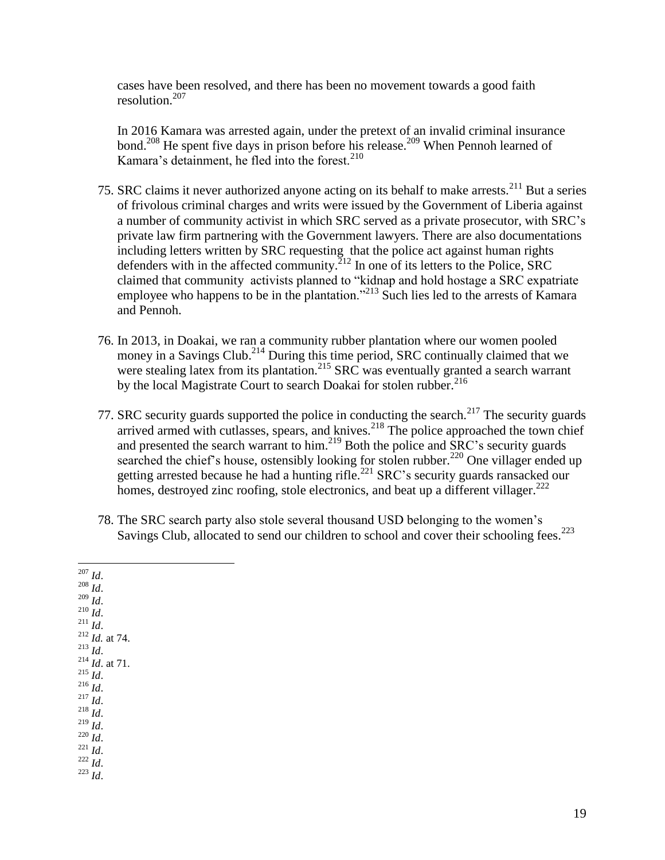cases have been resolved, and there has been no movement towards a good faith resolution. 207

In 2016 Kamara was arrested again, under the pretext of an invalid criminal insurance bond.<sup>208</sup> He spent five days in prison before his release.<sup>209</sup> When Pennoh learned of Kamara's detainment, he fled into the forest. $210$ 

- 75. SRC claims it never authorized anyone acting on its behalf to make arrests.<sup>211</sup> But a series of frivolous criminal charges and writs were issued by the Government of Liberia against a number of community activist in which SRC served as a private prosecutor, with SRC's private law firm partnering with the Government lawyers. There are also documentations including letters written by SRC requesting that the police act against human rights defenders with in the affected community. $^{212}$  In one of its letters to the Police, SRC claimed that community activists planned to "kidnap and hold hostage a SRC expatriate employee who happens to be in the plantation."<sup>213</sup> Such lies led to the arrests of Kamara and Pennoh.
- 76. In 2013, in Doakai, we ran a community rubber plantation where our women pooled money in a Savings Club.<sup>214</sup> During this time period, SRC continually claimed that we were stealing latex from its plantation.<sup>215</sup> SRC was eventually granted a search warrant by the local Magistrate Court to search Doakai for stolen rubber.<sup>216</sup>
- 77. SRC security guards supported the police in conducting the search.<sup>217</sup> The security guards arrived armed with cutlasses, spears, and knives.<sup>218</sup> The police approached the town chief and presented the search warrant to him.<sup>219</sup> Both the police and SRC's security guards searched the chief's house, ostensibly looking for stolen rubber.<sup>220</sup> One villager ended up getting arrested because he had a hunting rifle.<sup>221</sup> SRC's security guards ransacked our homes, destroved zinc roofing, stole electronics, and beat up a different villager. $^{222}$
- 78. The SRC search party also stole several thousand USD belonging to the women's Savings Club, allocated to send our children to school and cover their schooling fees.<sup>223</sup>

 $\overline{a}$ <sup>207</sup> *Id*.  $^{208}$  *Id.*  $^{209}$  *Id*.  $^{210}$  *Id.* <sup>211</sup> *Id*. <sup>212</sup> *Id.* at 74. <sup>213</sup> *Id*. <sup>214</sup> *Id*. at 71.  $\frac{1}{215}$   $\frac{1}{10}$ .  $^{216}$  *Id.* <sup>217</sup> *Id*. <sup>218</sup> *Id*.  $^{219}$  *Id.* <sup>220</sup> *Id*. <sup>221</sup> *Id*.  $^{222}$  *Id.* <sup>223</sup> *Id*.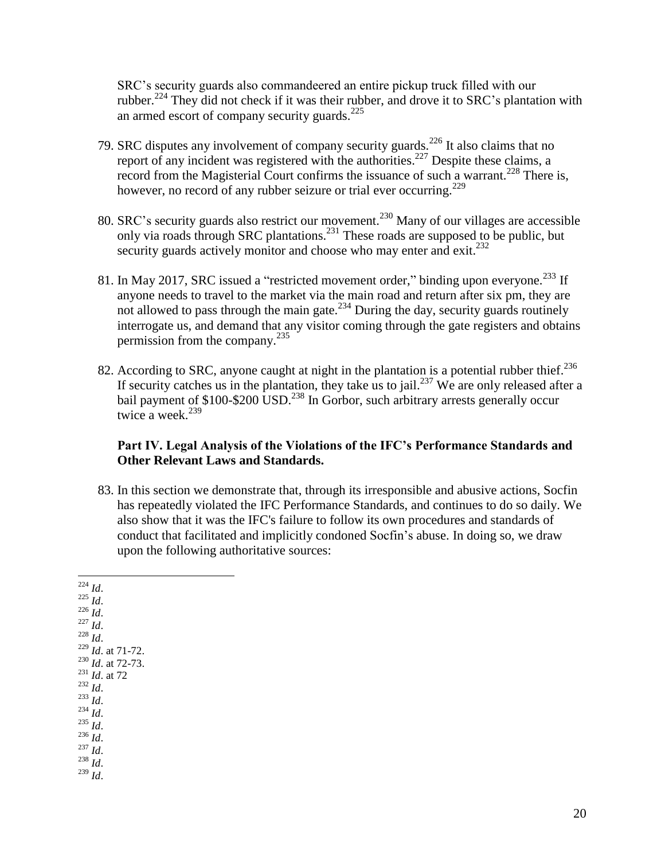SRC's security guards also commandeered an entire pickup truck filled with our rubber.<sup>224</sup> They did not check if it was their rubber, and drove it to SRC's plantation with an armed escort of company security guards. $^{225}$ 

- 79. SRC disputes any involvement of company security guards.<sup>226</sup> It also claims that no report of any incident was registered with the authorities.<sup>227</sup> Despite these claims, a record from the Magisterial Court confirms the issuance of such a warrant.<sup>228</sup> There is, however, no record of any rubber seizure or trial ever occurring.<sup>229</sup>
- 80. SRC's security guards also restrict our movement.<sup>230</sup> Many of our villages are accessible only via roads through SRC plantations.<sup>231</sup> These roads are supposed to be public, but security guards actively monitor and choose who may enter and  $exit.<sup>232</sup>$
- 81. In May 2017, SRC issued a "restricted movement order," binding upon everyone.<sup>233</sup> If anyone needs to travel to the market via the main road and return after six pm, they are not allowed to pass through the main gate.<sup>234</sup> During the day, security guards routinely interrogate us, and demand that any visitor coming through the gate registers and obtains permission from the company.<sup>235</sup>
- 82. According to SRC, anyone caught at night in the plantation is a potential rubber thief. $^{236}$ If security catches us in the plantation, they take us to jail.<sup>237</sup> We are only released after a bail payment of  $$100-\$200$  USD.<sup>238</sup> In Gorbor, such arbitrary arrests generally occur twice a week. $239$

### **Part IV. Legal Analysis of the Violations of the IFC's Performance Standards and Other Relevant Laws and Standards.**

83. In this section we demonstrate that, through its irresponsible and abusive actions, Socfin has repeatedly violated the IFC Performance Standards, and continues to do so daily. We also show that it was the IFC's failure to follow its own procedures and standards of conduct that facilitated and implicitly condoned Socfin's abuse. In doing so, we draw upon the following authoritative sources:

 $\overline{a}$ <sup>224</sup> *Id*.  $^{225}$  *Id.*  $^{14}$ <sup>226</sup> *Id*. <sup>227</sup> *Id*. <sup>228</sup> *Id*. <sup>229</sup> *Id*. at 71-72. <sup>230</sup> *Id*. at 72-73. <sup>231</sup> *Id*. at 72  $^{232}$  *Id.*  $^{233}$  *Id.* <sup>234</sup> *Id*. <sup>235</sup> *Id*. <sup>236</sup> *Id*. <sup>237</sup> *Id*. <sup>238</sup> *Id*. <sup>239</sup> *Id*.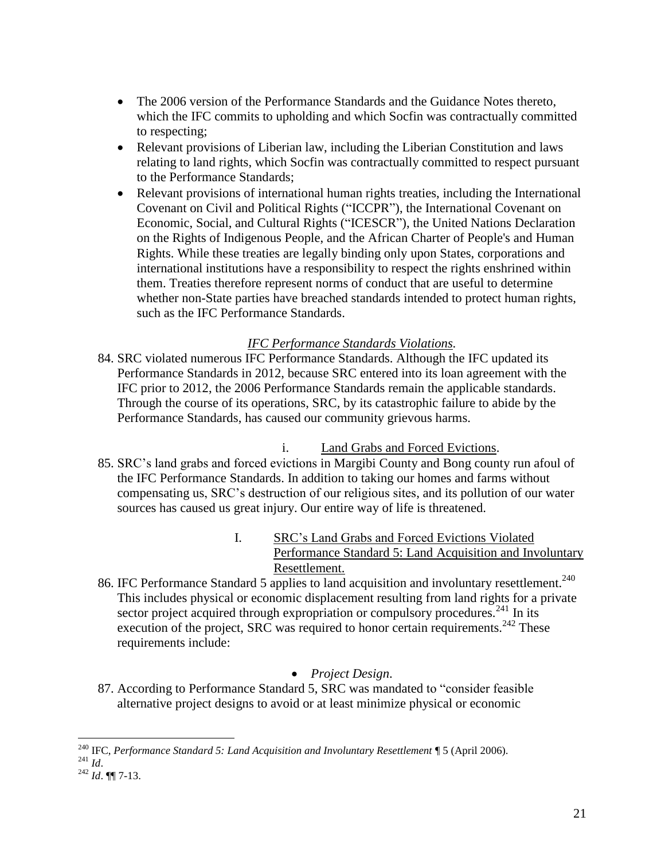- The 2006 version of the Performance Standards and the Guidance Notes thereto, which the IFC commits to upholding and which Socfin was contractually committed to respecting;
- Relevant provisions of Liberian law, including the Liberian Constitution and laws relating to land rights, which Socfin was contractually committed to respect pursuant to the Performance Standards;
- Relevant provisions of international human rights treaties, including the International Covenant on Civil and Political Rights ("ICCPR"), the International Covenant on Economic, Social, and Cultural Rights ("ICESCR"), the United Nations Declaration on the Rights of Indigenous People, and the African Charter of People's and Human Rights. While these treaties are legally binding only upon States, corporations and international institutions have a responsibility to respect the rights enshrined within them. Treaties therefore represent norms of conduct that are useful to determine whether non-State parties have breached standards intended to protect human rights, such as the IFC Performance Standards.

# *IFC Performance Standards Violations.*

84. SRC violated numerous IFC Performance Standards. Although the IFC updated its Performance Standards in 2012, because SRC entered into its loan agreement with the IFC prior to 2012, the 2006 Performance Standards remain the applicable standards. Through the course of its operations, SRC, by its catastrophic failure to abide by the Performance Standards, has caused our community grievous harms.

# i. Land Grabs and Forced Evictions.

- 85. SRC's land grabs and forced evictions in Margibi County and Bong county run afoul of the IFC Performance Standards. In addition to taking our homes and farms without compensating us, SRC's destruction of our religious sites, and its pollution of our water sources has caused us great injury. Our entire way of life is threatened.
	- I. SRC's Land Grabs and Forced Evictions Violated Performance Standard 5: Land Acquisition and Involuntary Resettlement.
- 86. IFC Performance Standard 5 applies to land acquisition and involuntary resettlement.<sup>240</sup> This includes physical or economic displacement resulting from land rights for a private sector project acquired through expropriation or compulsory procedures.<sup>241</sup> In its execution of the project,  $SRC$  was required to honor certain requirements.<sup>242</sup> These requirements include:

# *Project Design*.

87. According to Performance Standard 5, SRC was mandated to "consider feasible alternative project designs to avoid or at least minimize physical or economic

 $\overline{a}$ <sup>240</sup> IFC, *Performance Standard 5: Land Acquisition and Involuntary Resettlement* ¶ 5 (April 2006). <sup>241</sup> *Id*.

<sup>242</sup> *Id*. ¶¶ 7-13.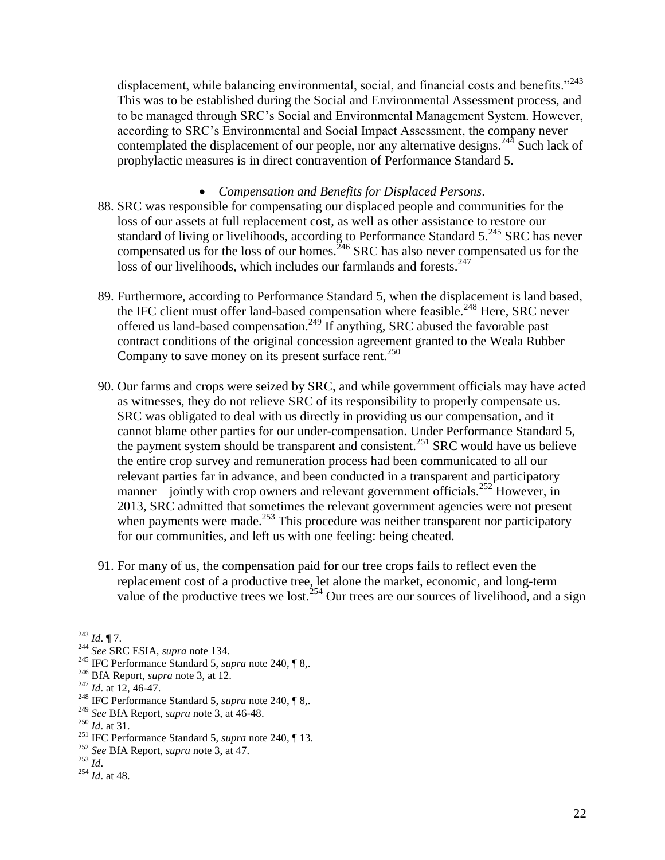displacement, while balancing environmental, social, and financial costs and benefits." $243$ This was to be established during the Social and Environmental Assessment process, and to be managed through SRC's Social and Environmental Management System. However, according to SRC's Environmental and Social Impact Assessment, the company never contemplated the displacement of our people, nor any alternative designs.<sup>244</sup> Such lack of prophylactic measures is in direct contravention of Performance Standard 5.

#### *Compensation and Benefits for Displaced Persons*.

- 88. SRC was responsible for compensating our displaced people and communities for the loss of our assets at full replacement cost, as well as other assistance to restore our standard of living or livelihoods, according to Performance Standard  $5.^{245}$  SRC has never compensated us for the loss of our homes.<sup>246</sup> SRC has also never compensated us for the loss of our livelihoods, which includes our farmlands and forests.<sup>247</sup>
- 89. Furthermore, according to Performance Standard 5, when the displacement is land based, the IFC client must offer land-based compensation where feasible.<sup>248</sup> Here, SRC never offered us land-based compensation.<sup>249</sup> If anything, SRC abused the favorable past contract conditions of the original concession agreement granted to the Weala Rubber Company to save money on its present surface rent.<sup>250</sup>
- 90. Our farms and crops were seized by SRC, and while government officials may have acted as witnesses, they do not relieve SRC of its responsibility to properly compensate us. SRC was obligated to deal with us directly in providing us our compensation, and it cannot blame other parties for our under-compensation. Under Performance Standard 5, the payment system should be transparent and consistent.<sup>251</sup> SRC would have us believe the entire crop survey and remuneration process had been communicated to all our relevant parties far in advance, and been conducted in a transparent and participatory manner – jointly with crop owners and relevant government officials.<sup>252</sup> However, in 2013, SRC admitted that sometimes the relevant government agencies were not present when payments were made.<sup>253</sup> This procedure was neither transparent nor participatory for our communities, and left us with one feeling: being cheated.
- 91. For many of us, the compensation paid for our tree crops fails to reflect even the replacement cost of a productive tree, let alone the market, economic, and long-term value of the productive trees we lost.<sup>254</sup> Our trees are our sources of livelihood, and a sign

<sup>243</sup> *Id*. ¶ 7.

<sup>244</sup> *See* SRC ESIA, *supra* note [134.](#page-12-0)

<sup>245</sup> IFC Performance Standard 5, *supra* note 240, ¶ 8,.

<sup>246</sup> BfA Report, *supra* note 3, at 12.

<sup>&</sup>lt;sup>247</sup> *Id.* at 12, 46-47.

<sup>248</sup> IFC Performance Standard 5, *supra* note 240, ¶ 8,.

<sup>249</sup> *See* BfA Report, *supra* note 3, at 46-48.

<sup>250</sup> *Id*. at 31.

<sup>251</sup> IFC Performance Standard 5, *supra* note 240, ¶ 13.

<sup>252</sup> *See* BfA Report, *supra* note 3, at 47.

 $^{253}$  *Id.* 

<sup>254</sup> *Id*. at 48.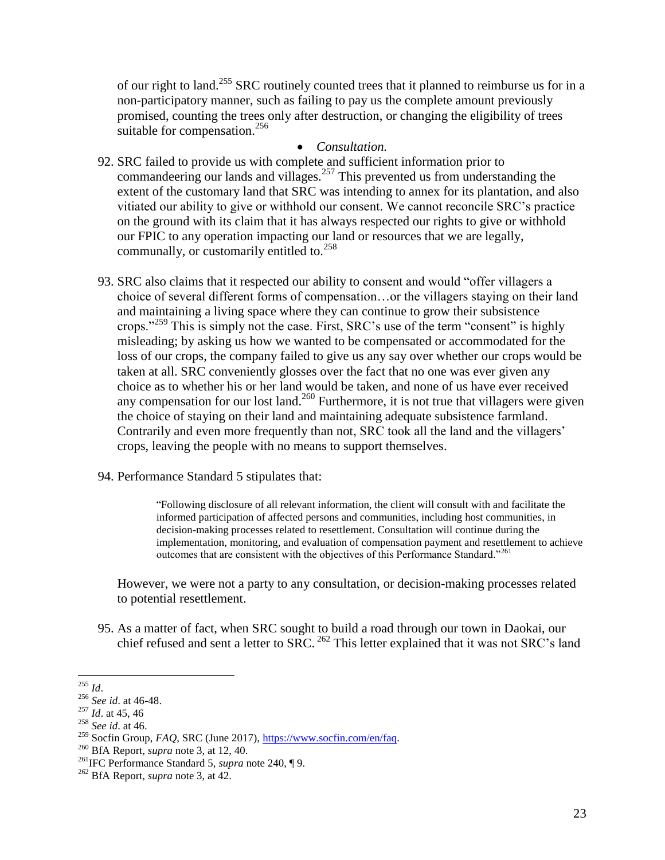of our right to land.<sup>255</sup> SRC routinely counted trees that it planned to reimburse us for in a non-participatory manner, such as failing to pay us the complete amount previously promised, counting the trees only after destruction, or changing the eligibility of trees suitable for compensation.<sup>256</sup>

#### *Consultation.*

- 92. SRC failed to provide us with complete and sufficient information prior to commandeering our lands and villages.<sup>257</sup> This prevented us from understanding the extent of the customary land that SRC was intending to annex for its plantation, and also vitiated our ability to give or withhold our consent. We cannot reconcile SRC's practice on the ground with its claim that it has always respected our rights to give or withhold our FPIC to any operation impacting our land or resources that we are legally, communally, or customarily entitled to. $^{258}$
- 93. SRC also claims that it respected our ability to consent and would "offer villagers a choice of several different forms of compensation…or the villagers staying on their land and maintaining a living space where they can continue to grow their subsistence crops."<sup>259</sup> This is simply not the case. First, SRC's use of the term "consent" is highly misleading; by asking us how we wanted to be compensated or accommodated for the loss of our crops, the company failed to give us any say over whether our crops would be taken at all. SRC conveniently glosses over the fact that no one was ever given any choice as to whether his or her land would be taken, and none of us have ever received any compensation for our lost land.<sup>260</sup> Furthermore, it is not true that villagers were given the choice of staying on their land and maintaining adequate subsistence farmland. Contrarily and even more frequently than not, SRC took all the land and the villagers' crops, leaving the people with no means to support themselves.
- 94. Performance Standard 5 stipulates that:

"Following disclosure of all relevant information, the client will consult with and facilitate the informed participation of affected persons and communities, including host communities, in decision-making processes related to resettlement. Consultation will continue during the implementation, monitoring, and evaluation of compensation payment and resettlement to achieve outcomes that are consistent with the objectives of this Performance Standard."<sup>261</sup>

However, we were not a party to any consultation, or decision-making processes related to potential resettlement.

95. As a matter of fact, when SRC sought to build a road through our town in Daokai, our chief refused and sent a letter to SRC.<sup>262</sup> This letter explained that it was not SRC's land

 $\overline{a}$ <sup>255</sup> *Id*.

<sup>256</sup> *See id*. at 46-48.

 $^{257}$  *Id.* at 45, 46

<sup>258</sup> *See id*. at 46.

<sup>259</sup> Socfin Group, *FAQ*, SRC (June 2017)[, https://www.socfin.com/en/faq.](https://www.socfin.com/en/faq)

<sup>260</sup> BfA Report, *supra* note 3, at 12, 40.

<sup>261</sup>IFC Performance Standard 5, *supra* note 240, ¶ 9.

<sup>262</sup> BfA Report, *supra* note 3, at 42.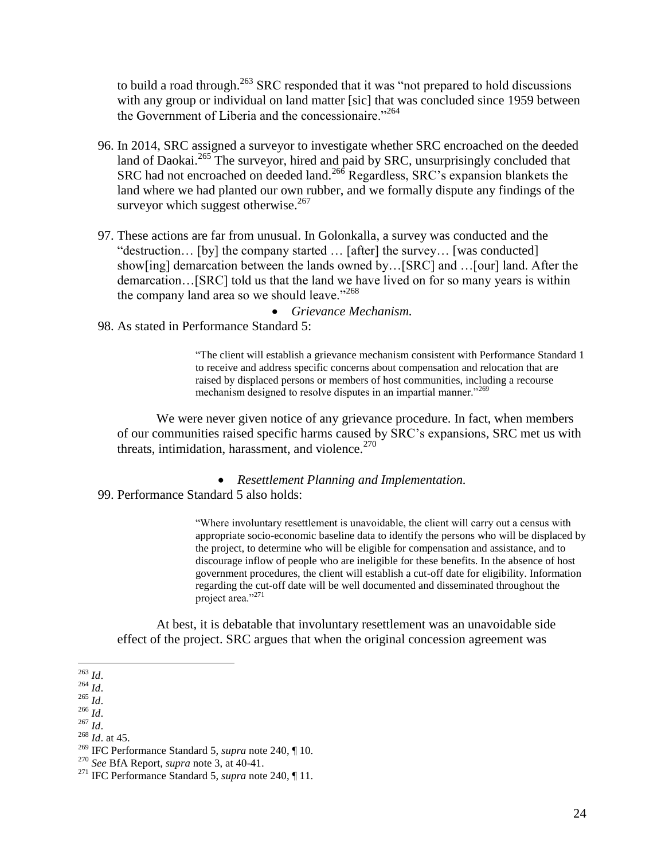to build a road through.<sup>263</sup> SRC responded that it was "not prepared to hold discussions with any group or individual on land matter [sic] that was concluded since 1959 between the Government of Liberia and the concessionaire."<sup>264</sup>

- 96. In 2014, SRC assigned a surveyor to investigate whether SRC encroached on the deeded land of Daokai.<sup>265</sup> The surveyor, hired and paid by SRC, unsurprisingly concluded that SRC had not encroached on deeded land.<sup>266</sup> Regardless, SRC's expansion blankets the land where we had planted our own rubber, and we formally dispute any findings of the surveyor which suggest otherwise.<sup>267</sup>
- 97. These actions are far from unusual. In Golonkalla, a survey was conducted and the "destruction… [by] the company started … [after] the survey… [was conducted] show[ing] demarcation between the lands owned by…[SRC] and …[our] land. After the demarcation…[SRC] told us that the land we have lived on for so many years is within the company land area so we should leave."<sup>268</sup>

*Grievance Mechanism.*

98. As stated in Performance Standard 5:

"The client will establish a grievance mechanism consistent with Performance Standard 1 to receive and address specific concerns about compensation and relocation that are raised by displaced persons or members of host communities, including a recourse mechanism designed to resolve disputes in an impartial manner."<sup>269</sup>

We were never given notice of any grievance procedure. In fact, when members of our communities raised specific harms caused by SRC's expansions, SRC met us with threats, intimidation, harassment, and violence. $270$ 

- *Resettlement Planning and Implementation.*
- 99. Performance Standard 5 also holds:

"Where involuntary resettlement is unavoidable, the client will carry out a census with appropriate socio-economic baseline data to identify the persons who will be displaced by the project, to determine who will be eligible for compensation and assistance, and to discourage inflow of people who are ineligible for these benefits. In the absence of host government procedures, the client will establish a cut-off date for eligibility. Information regarding the cut-off date will be well documented and disseminated throughout the project area."<sup>271</sup>

At best, it is debatable that involuntary resettlement was an unavoidable side effect of the project. SRC argues that when the original concession agreement was

 $\overline{a}$ <sup>263</sup> *Id*.

<sup>264</sup> *Id*.

<sup>265</sup> *Id*.

<sup>266</sup> *Id*.

<sup>267</sup> *Id*.

<sup>268</sup> *Id*. at 45.

<sup>269</sup> IFC Performance Standard 5, *supra* note 240, ¶ 10.

<sup>270</sup> *See* BfA Report, *supra* note 3, at 40-41.

<sup>271</sup> IFC Performance Standard 5, *supra* note 240, ¶ 11.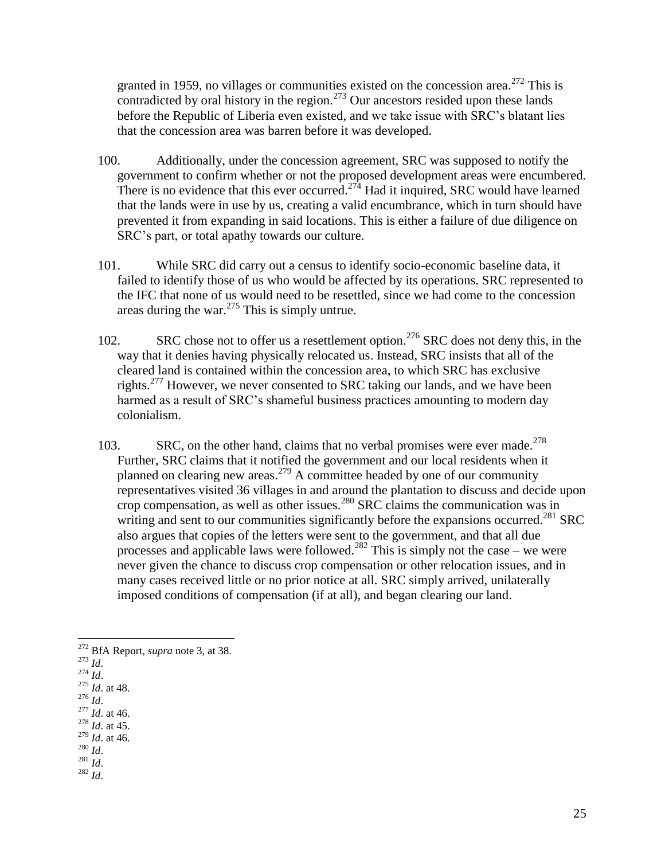granted in 1959, no villages or communities existed on the concession area.<sup>272</sup> This is contradicted by oral history in the region.<sup>273</sup> Our ancestors resided upon these lands before the Republic of Liberia even existed, and we take issue with SRC's blatant lies that the concession area was barren before it was developed.

- 100. Additionally, under the concession agreement, SRC was supposed to notify the government to confirm whether or not the proposed development areas were encumbered. There is no evidence that this ever occurred.<sup>274</sup> Had it inquired, SRC would have learned that the lands were in use by us, creating a valid encumbrance, which in turn should have prevented it from expanding in said locations. This is either a failure of due diligence on SRC's part, or total apathy towards our culture.
- 101. While SRC did carry out a census to identify socio-economic baseline data, it failed to identify those of us who would be affected by its operations. SRC represented to the IFC that none of us would need to be resettled, since we had come to the concession areas during the war.<sup>275</sup> This is simply untrue.
- 102. SRC chose not to offer us a resettlement option.<sup>276</sup> SRC does not deny this, in the way that it denies having physically relocated us. Instead, SRC insists that all of the cleared land is contained within the concession area, to which SRC has exclusive rights.<sup>277</sup> However, we never consented to SRC taking our lands, and we have been harmed as a result of SRC's shameful business practices amounting to modern day colonialism.
- 103. SRC, on the other hand, claims that no verbal promises were ever made.<sup>278</sup> Further, SRC claims that it notified the government and our local residents when it planned on clearing new areas.<sup>279</sup> A committee headed by one of our community representatives visited 36 villages in and around the plantation to discuss and decide upon crop compensation, as well as other issues.<sup>280</sup> SRC claims the communication was in writing and sent to our communities significantly before the expansions occurred.<sup>281</sup> SRC also argues that copies of the letters were sent to the government, and that all due processes and applicable laws were followed.<sup>282</sup> This is simply not the case – we were never given the chance to discuss crop compensation or other relocation issues, and in many cases received little or no prior notice at all. SRC simply arrived, unilaterally imposed conditions of compensation (if at all), and began clearing our land.

- <sup>277</sup> *Id*. at 46. <sup>278</sup> *Id*. at 45.
- <sup>279</sup> *Id*. at 46.
- <sup>280</sup> *Id*.
- <sup>281</sup> *Id*.
- $^{282}$  *Id.*

 $\overline{a}$ <sup>272</sup> BfA Report, *supra* note 3, at 38.

<sup>273</sup> *Id*.

 $274$  *Id.* 

<sup>275</sup> *Id*. at 48. <sup>276</sup> *Id*.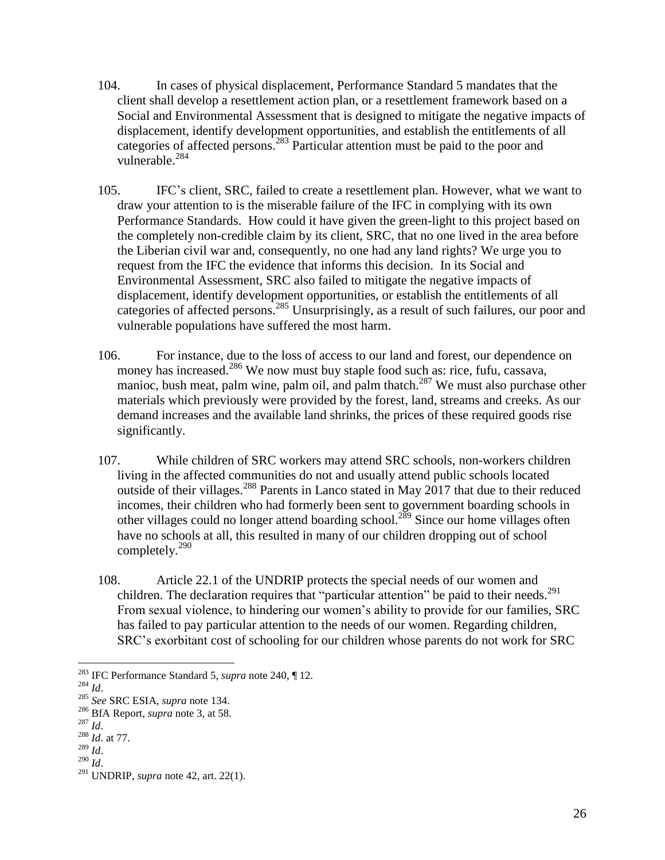- 104. In cases of physical displacement, Performance Standard 5 mandates that the client shall develop a resettlement action plan, or a resettlement framework based on a Social and Environmental Assessment that is designed to mitigate the negative impacts of displacement, identify development opportunities, and establish the entitlements of all categories of affected persons.<sup>283</sup> Particular attention must be paid to the poor and vulnerable.<sup>284</sup>
- 105. IFC's client, SRC, failed to create a resettlement plan. However, what we want to draw your attention to is the miserable failure of the IFC in complying with its own Performance Standards. How could it have given the green-light to this project based on the completely non-credible claim by its client, SRC, that no one lived in the area before the Liberian civil war and, consequently, no one had any land rights? We urge you to request from the IFC the evidence that informs this decision. In its Social and Environmental Assessment, SRC also failed to mitigate the negative impacts of displacement, identify development opportunities, or establish the entitlements of all categories of affected persons.<sup>285</sup> Unsurprisingly, as a result of such failures, our poor and vulnerable populations have suffered the most harm.
- 106. For instance, due to the loss of access to our land and forest, our dependence on money has increased.<sup>286</sup> We now must buy staple food such as: rice, fufu, cassava, manioc, bush meat, palm wine, palm oil, and palm thatch.<sup>287</sup> We must also purchase other materials which previously were provided by the forest, land, streams and creeks. As our demand increases and the available land shrinks, the prices of these required goods rise significantly.
- 107. While children of SRC workers may attend SRC schools, non-workers children living in the affected communities do not and usually attend public schools located outside of their villages.<sup>288</sup> Parents in Lanco stated in May 2017 that due to their reduced incomes, their children who had formerly been sent to government boarding schools in other villages could no longer attend boarding school.<sup>289</sup> Since our home villages often have no schools at all, this resulted in many of our children dropping out of school completely.<sup>290</sup>
- 108. Article 22.1 of the UNDRIP protects the special needs of our women and children. The declaration requires that "particular attention" be paid to their needs.<sup>291</sup> From sexual violence, to hindering our women's ability to provide for our families, SRC has failed to pay particular attention to the needs of our women. Regarding children, SRC's exorbitant cost of schooling for our children whose parents do not work for SRC

<sup>283</sup> IFC Performance Standard 5, *supra* note 240, ¶ 12.

<sup>284</sup> *Id*.

<sup>285</sup> *See* SRC ESIA, *supra* note [134.](#page-12-0)

<sup>286</sup> BfA Report, *supra* note 3, at 58.

<sup>287</sup> *Id*.

<sup>288</sup> *Id*. at 77.

 $\frac{1}{289}$  *Id.* <sup>290</sup> *Id*.

<sup>291</sup> UNDRIP, *supra* note [42,](#page-6-0) art. 22(1).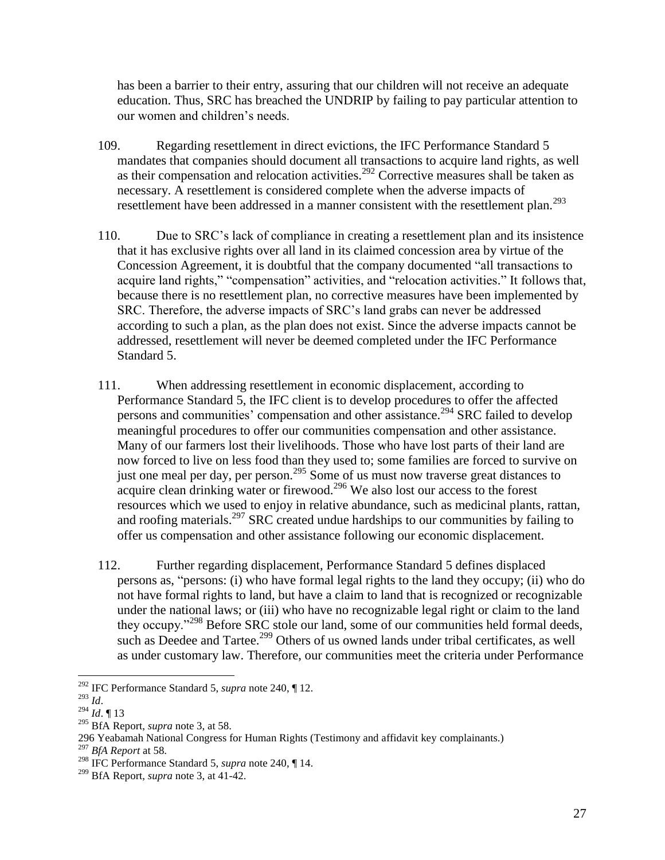has been a barrier to their entry, assuring that our children will not receive an adequate education. Thus, SRC has breached the UNDRIP by failing to pay particular attention to our women and children's needs.

- 109. Regarding resettlement in direct evictions, the IFC Performance Standard 5 mandates that companies should document all transactions to acquire land rights, as well as their compensation and relocation activities.<sup>292</sup> Corrective measures shall be taken as necessary. A resettlement is considered complete when the adverse impacts of resettlement have been addressed in a manner consistent with the resettlement plan.<sup>293</sup>
- 110. Due to SRC's lack of compliance in creating a resettlement plan and its insistence that it has exclusive rights over all land in its claimed concession area by virtue of the Concession Agreement, it is doubtful that the company documented "all transactions to acquire land rights," "compensation" activities, and "relocation activities." It follows that, because there is no resettlement plan, no corrective measures have been implemented by SRC. Therefore, the adverse impacts of SRC's land grabs can never be addressed according to such a plan, as the plan does not exist. Since the adverse impacts cannot be addressed, resettlement will never be deemed completed under the IFC Performance Standard 5.
- 111. When addressing resettlement in economic displacement, according to Performance Standard 5, the IFC client is to develop procedures to offer the affected persons and communities' compensation and other assistance.<sup>294</sup> SRC failed to develop meaningful procedures to offer our communities compensation and other assistance. Many of our farmers lost their livelihoods. Those who have lost parts of their land are now forced to live on less food than they used to; some families are forced to survive on just one meal per day, per person.<sup>295</sup> Some of us must now traverse great distances to acquire clean drinking water or firewood.<sup>296</sup> We also lost our access to the forest resources which we used to enjoy in relative abundance, such as medicinal plants, rattan, and roofing materials.<sup>297</sup> SRC created undue hardships to our communities by failing to offer us compensation and other assistance following our economic displacement.
- 112. Further regarding displacement, Performance Standard 5 defines displaced persons as, "persons: (i) who have formal legal rights to the land they occupy; (ii) who do not have formal rights to land, but have a claim to land that is recognized or recognizable under the national laws; or (iii) who have no recognizable legal right or claim to the land they occupy."<sup>298</sup> Before SRC stole our land, some of our communities held formal deeds, such as Deedee and Tartee.<sup>299</sup> Others of us owned lands under tribal certificates, as well as under customary law. Therefore, our communities meet the criteria under Performance

<sup>292</sup> IFC Performance Standard 5, *supra* note 240, ¶ 12.

<sup>293</sup> *Id*.

<sup>294</sup> *Id*. ¶ 13

<sup>295</sup> BfA Report, *supra* note 3, at 58.

<sup>296</sup> Yeabamah National Congress for Human Rights (Testimony and affidavit key complainants.)

<sup>297</sup> *BfA Report* at 58.

<sup>298</sup> IFC Performance Standard 5, *supra* note 240, ¶ 14.

<sup>299</sup> BfA Report, *supra* note 3, at 41-42.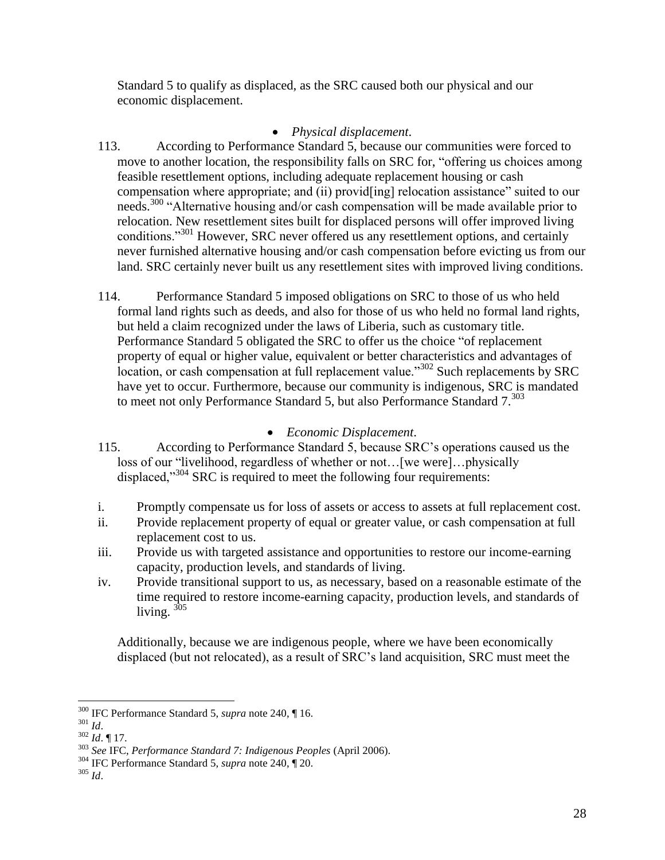Standard 5 to qualify as displaced, as the SRC caused both our physical and our economic displacement.

# *Physical displacement*.

- 113. According to Performance Standard 5, because our communities were forced to move to another location, the responsibility falls on SRC for, "offering us choices among feasible resettlement options, including adequate replacement housing or cash compensation where appropriate; and (ii) provid[ing] relocation assistance" suited to our needs.<sup>300</sup> "Alternative housing and/or cash compensation will be made available prior to relocation. New resettlement sites built for displaced persons will offer improved living conditions."<sup>301</sup> However, SRC never offered us any resettlement options, and certainly never furnished alternative housing and/or cash compensation before evicting us from our land. SRC certainly never built us any resettlement sites with improved living conditions.
- 114. Performance Standard 5 imposed obligations on SRC to those of us who held formal land rights such as deeds, and also for those of us who held no formal land rights, but held a claim recognized under the laws of Liberia, such as customary title. Performance Standard 5 obligated the SRC to offer us the choice "of replacement property of equal or higher value, equivalent or better characteristics and advantages of location, or cash compensation at full replacement value."<sup>302</sup> Such replacements by SRC have yet to occur. Furthermore, because our community is indigenous, SRC is mandated to meet not only Performance Standard 5, but also Performance Standard  $7^{303}$

# <span id="page-27-0"></span>*Economic Displacement*.

- 115. According to Performance Standard 5, because SRC's operations caused us the loss of our "livelihood, regardless of whether or not…[we were]…physically displaced,"<sup>304</sup> SRC is required to meet the following four requirements:
- i. Promptly compensate us for loss of assets or access to assets at full replacement cost.
- ii. Provide replacement property of equal or greater value, or cash compensation at full replacement cost to us.
- iii. Provide us with targeted assistance and opportunities to restore our income-earning capacity, production levels, and standards of living.
- iv. Provide transitional support to us, as necessary, based on a reasonable estimate of the time required to restore income-earning capacity, production levels, and standards of living. <sup>305</sup>

Additionally, because we are indigenous people, where we have been economically displaced (but not relocated), as a result of SRC's land acquisition, SRC must meet the

<sup>300</sup> IFC Performance Standard 5, *supra* note 240, ¶ 16.

<sup>301</sup> *Id*.

<sup>302</sup> *Id*. ¶ 17.

<sup>303</sup> *See* IFC, *Performance Standard 7: Indigenous Peoples* (April 2006).

<sup>304</sup> IFC Performance Standard 5, *supra* note 240, ¶ 20.

<sup>305</sup> *Id*.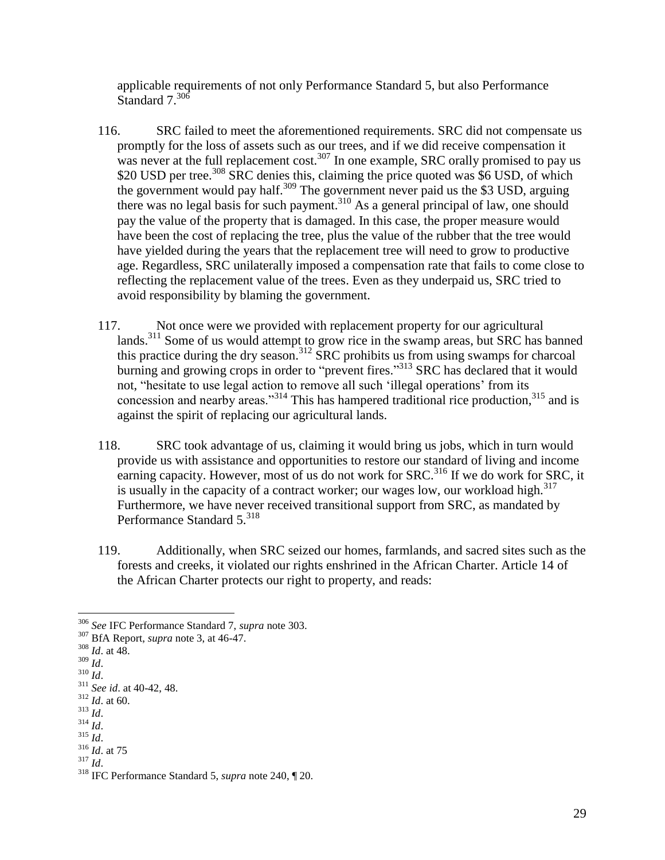applicable requirements of not only Performance Standard 5, but also Performance Standard 7.<sup>306</sup>

- 116. SRC failed to meet the aforementioned requirements. SRC did not compensate us promptly for the loss of assets such as our trees, and if we did receive compensation it was never at the full replacement cost.<sup>307</sup> In one example, SRC orally promised to pay us \$20 USD per tree.<sup>308</sup> SRC denies this, claiming the price quoted was \$6 USD, of which the government would pay half.<sup>309</sup> The government never paid us the \$3 USD, arguing there was no legal basis for such payment. <sup>310</sup> As a general principal of law, one should pay the value of the property that is damaged. In this case, the proper measure would have been the cost of replacing the tree, plus the value of the rubber that the tree would have yielded during the years that the replacement tree will need to grow to productive age. Regardless, SRC unilaterally imposed a compensation rate that fails to come close to reflecting the replacement value of the trees. Even as they underpaid us, SRC tried to avoid responsibility by blaming the government.
- 117. Not once were we provided with replacement property for our agricultural lands.<sup>311</sup> Some of us would attempt to grow rice in the swamp areas, but SRC has banned this practice during the dry season.<sup>312</sup> SRC prohibits us from using swamps for charcoal burning and growing crops in order to "prevent fires."<sup>313</sup> SRC has declared that it would not, "hesitate to use legal action to remove all such 'illegal operations' from its concession and nearby areas."<sup>314</sup> This has hampered traditional rice production, $^{315}$  and is against the spirit of replacing our agricultural lands.
- 118. SRC took advantage of us, claiming it would bring us jobs, which in turn would provide us with assistance and opportunities to restore our standard of living and income earning capacity. However, most of us do not work for  $SRC$ <sup>316</sup> If we do work for  $SRC$ , it is usually in the capacity of a contract worker; our wages low, our workload high.<sup>317</sup> Furthermore, we have never received transitional support from SRC, as mandated by Performance Standard 5.<sup>318</sup>
- 119. Additionally, when SRC seized our homes, farmlands, and sacred sites such as the forests and creeks, it violated our rights enshrined in the African Charter. Article 14 of the African Charter protects our right to property, and reads:

 $\overline{a}$ 

<sup>314</sup> *Id*.

<sup>306</sup> *See* IFC Performance Standard 7, *supra* note 303.

<sup>307</sup> BfA Report, *supra* note 3, at 46-47.

<sup>308</sup> *Id*. at 48.

<sup>309</sup> *Id*.

 $310$   $\frac{1}{1}$ .

<sup>311</sup> *See id*. at 40-42, 48.

<sup>312</sup> *Id*. at 60.

<sup>313</sup> *Id*.

<sup>315</sup> *Id*.

<sup>316</sup> *Id*. at 75 <sup>317</sup> *Id*.

<sup>318</sup> IFC Performance Standard 5, *supra* note 240, ¶ 20.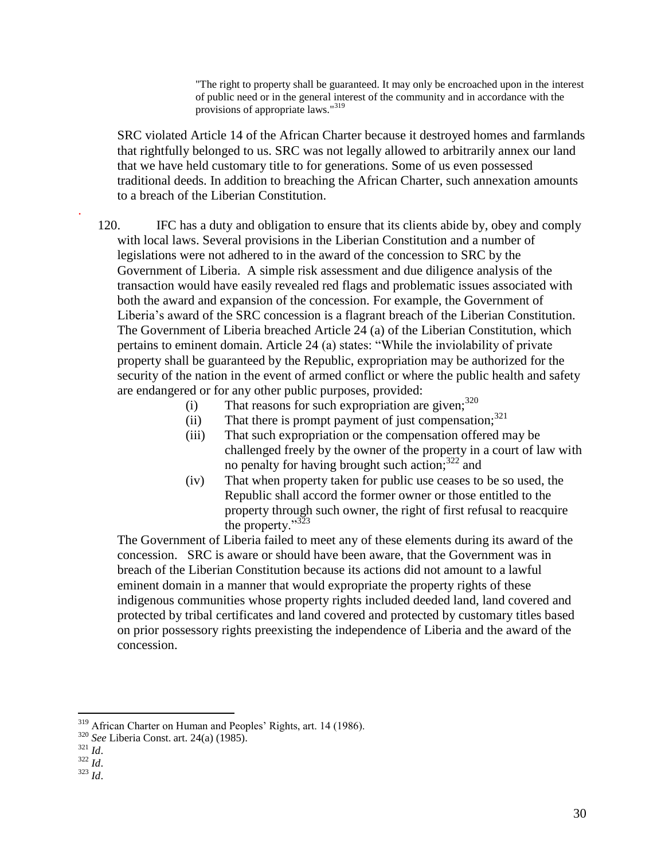<span id="page-29-0"></span>"The right to property shall be guaranteed. It may only be encroached upon in the interest of public need or in the general interest of the community and in accordance with the provisions of appropriate laws."<sup>319</sup>

SRC violated Article 14 of the African Charter because it destroyed homes and farmlands that rightfully belonged to us. SRC was not legally allowed to arbitrarily annex our land that we have held customary title to for generations. Some of us even possessed traditional deeds. In addition to breaching the African Charter, such annexation amounts to a breach of the Liberian Constitution.

120. IFC has a duty and obligation to ensure that its clients abide by, obey and comply with local laws. Several provisions in the Liberian Constitution and a number of legislations were not adhered to in the award of the concession to SRC by the Government of Liberia. A simple risk assessment and due diligence analysis of the transaction would have easily revealed red flags and problematic issues associated with both the award and expansion of the concession. For example, the Government of Liberia's award of the SRC concession is a flagrant breach of the Liberian Constitution. The Government of Liberia breached Article 24 (a) of the Liberian Constitution, which pertains to eminent domain. Article 24 (a) states: "While the inviolability of private property shall be guaranteed by the Republic, expropriation may be authorized for the security of the nation in the event of armed conflict or where the public health and safety are endangered or for any other public purposes, provided:

- (i) That reasons for such expropriation are given;  $320$
- (ii) That there is prompt payment of just compensation;  $321$
- (iii) That such expropriation or the compensation offered may be challenged freely by the owner of the property in a court of law with no penalty for having brought such action;<sup>322</sup> and
- (iv) That when property taken for public use ceases to be so used, the Republic shall accord the former owner or those entitled to the property through such owner, the right of first refusal to reacquire the property." $323$

The Government of Liberia failed to meet any of these elements during its award of the concession. SRC is aware or should have been aware, that the Government was in breach of the Liberian Constitution because its actions did not amount to a lawful eminent domain in a manner that would expropriate the property rights of these indigenous communities whose property rights included deeded land, land covered and protected by tribal certificates and land covered and protected by customary titles based on prior possessory rights preexisting the independence of Liberia and the award of the concession.

<sup>319</sup> African Charter on Human and Peoples' Rights, art. 14 (1986).

 $\overline{a}$ 

.

<sup>320</sup> *See* Liberia Const. art. 24(a) (1985).

<sup>321</sup> *Id*.

 $rac{1}{322}$  *Id.* 

<sup>323</sup> *Id*.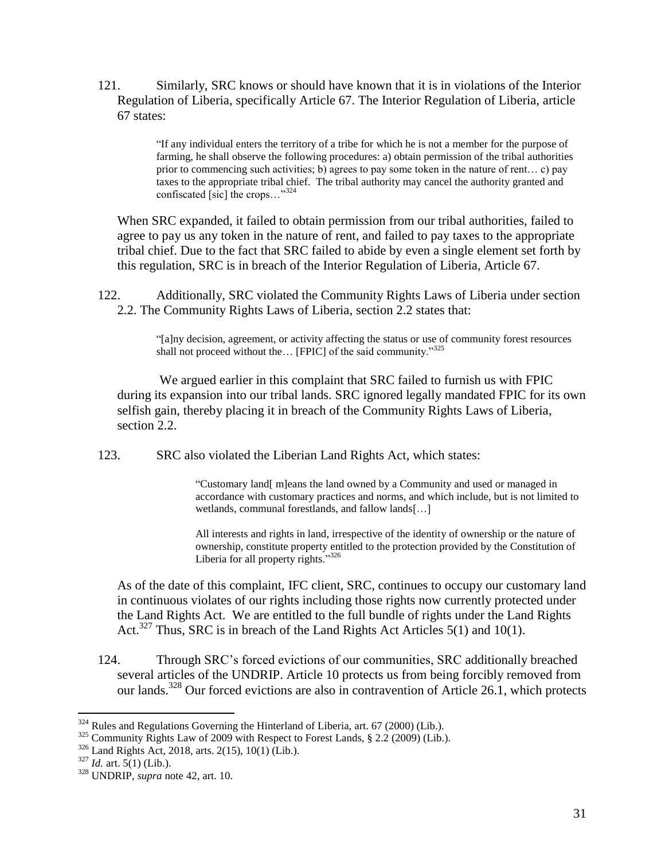121. Similarly, SRC knows or should have known that it is in violations of the Interior Regulation of Liberia, specifically Article 67. The Interior Regulation of Liberia, article 67 states:

> "If any individual enters the territory of a tribe for which he is not a member for the purpose of farming, he shall observe the following procedures: a) obtain permission of the tribal authorities prior to commencing such activities; b) agrees to pay some token in the nature of rent... c) pay taxes to the appropriate tribal chief. The tribal authority may cancel the authority granted and confiscated [sic] the crops..."<sup>324</sup>

When SRC expanded, it failed to obtain permission from our tribal authorities, failed to agree to pay us any token in the nature of rent, and failed to pay taxes to the appropriate tribal chief. Due to the fact that SRC failed to abide by even a single element set forth by this regulation, SRC is in breach of the Interior Regulation of Liberia, Article 67.

122. Additionally, SRC violated the Community Rights Laws of Liberia under section 2.2. The Community Rights Laws of Liberia, section 2.2 states that:

> "[a]ny decision, agreement, or activity affecting the status or use of community forest resources shall not proceed without the... [FPIC] of the said community."325

We argued earlier in this complaint that SRC failed to furnish us with FPIC during its expansion into our tribal lands. SRC ignored legally mandated FPIC for its own selfish gain, thereby placing it in breach of the Community Rights Laws of Liberia, section 2.2.

123. SRC also violated the Liberian Land Rights Act, which states:

"Customary land[ m]eans the land owned by a Community and used or managed in accordance with customary practices and norms, and which include, but is not limited to wetlands, communal forestlands, and fallow lands[…]

All interests and rights in land, irrespective of the identity of ownership or the nature of ownership, constitute property entitled to the protection provided by the Constitution of Liberia for all property rights."<sup>326</sup>

As of the date of this complaint, IFC client, SRC, continues to occupy our customary land in continuous violates of our rights including those rights now currently protected under the Land Rights Act. We are entitled to the full bundle of rights under the Land Rights Act.<sup>327</sup> Thus, SRC is in breach of the Land Rights Act Articles  $5(1)$  and  $10(1)$ .

124. Through SRC's forced evictions of our communities, SRC additionally breached several articles of the UNDRIP. Article 10 protects us from being forcibly removed from our lands.<sup>328</sup> Our forced evictions are also in contravention of Article 26.1, which protects

 $324$  Rules and Regulations Governing the Hinterland of Liberia, art. 67 (2000) (Lib.).

<sup>&</sup>lt;sup>325</sup> Community Rights Law of 2009 with Respect to Forest Lands, § 2.2 (2009) (Lib.).

 $326$  Land Rights Act, 2018, arts. 2(15), 10(1) (Lib.).

 $327$  *Id.* art.  $5(1)$  (Lib.).

<sup>328</sup> UNDRIP, *supra* note [42,](#page-6-0) art. 10.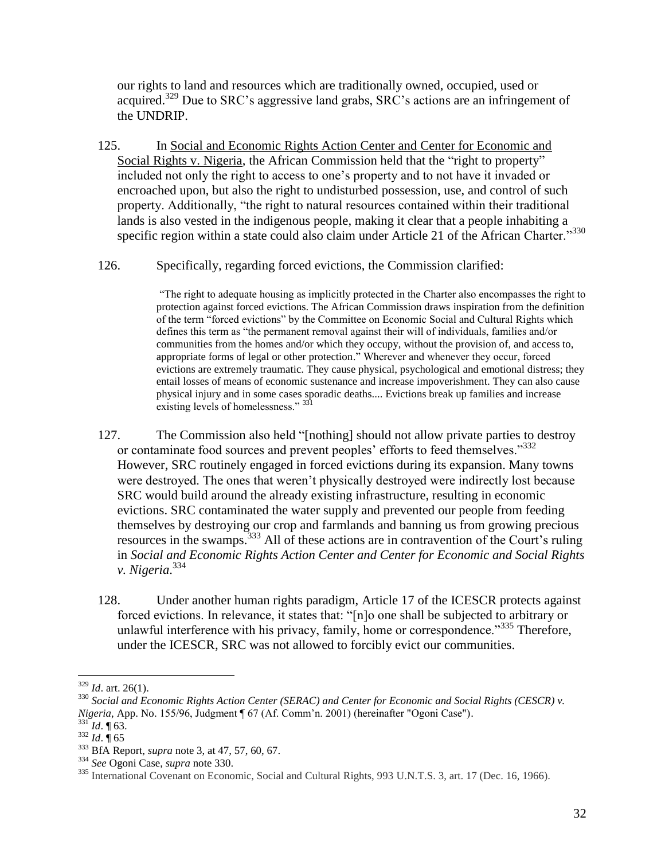our rights to land and resources which are traditionally owned, occupied, used or acquired.<sup>329</sup> Due to SRC's aggressive land grabs, SRC's actions are an infringement of the UNDRIP.

- 125. In Social and Economic Rights Action Center and Center for Economic and Social Rights v. Nigeria, the African Commission held that the "right to property" included not only the right to access to one's property and to not have it invaded or encroached upon, but also the right to undisturbed possession, use, and control of such property. Additionally, "the right to natural resources contained within their traditional lands is also vested in the indigenous people, making it clear that a people inhabiting a specific region within a state could also claim under Article 21 of the African Charter."<sup>330</sup>
- 126. Specifically, regarding forced evictions, the Commission clarified:

"The right to adequate housing as implicitly protected in the Charter also encompasses the right to protection against forced evictions. The African Commission draws inspiration from the definition of the term "forced evictions" by the Committee on Economic Social and Cultural Rights which defines this term as "the permanent removal against their will of individuals, families and/or communities from the homes and/or which they occupy, without the provision of, and access to, appropriate forms of legal or other protection." Wherever and whenever they occur, forced evictions are extremely traumatic. They cause physical, psychological and emotional distress; they entail losses of means of economic sustenance and increase impoverishment. They can also cause physical injury and in some cases sporadic deaths.... Evictions break up families and increase existing levels of homelessness." 331

- 127. The Commission also held "[nothing] should not allow private parties to destroy or contaminate food sources and prevent peoples' efforts to feed themselves."<sup>332</sup> However, SRC routinely engaged in forced evictions during its expansion. Many towns were destroyed. The ones that weren't physically destroyed were indirectly lost because SRC would build around the already existing infrastructure, resulting in economic evictions. SRC contaminated the water supply and prevented our people from feeding themselves by destroying our crop and farmlands and banning us from growing precious resources in the swamps.  $333$  All of these actions are in contravention of the Court's ruling in *Social and Economic Rights Action Center and Center for Economic and Social Rights v. Nigeria*. 334
- 128. Under another human rights paradigm, Article 17 of the ICESCR protects against forced evictions. In relevance, it states that: "[n]o one shall be subjected to arbitrary or unlawful interference with his privacy, family, home or correspondence."<sup>335</sup> Therefore, under the ICESCR, SRC was not allowed to forcibly evict our communities.

<sup>329</sup> *Id*. art. 26(1).

<sup>&</sup>lt;sup>330</sup> Social and Economic Rights Action Center (SERAC) and Center for Economic and Social Rights (CESCR) v. *Nigeria*, App. No. 155/96, Judgment ¶ 67 (Af. Comm'n. 2001) (hereinafter "Ogoni Case").

 $^{331}$ *Id.* ¶ 63.

<sup>332</sup> *Id*. ¶ 65

<sup>333</sup> BfA Report, *supra* note 3, at 47, 57, 60, 67.

<sup>334</sup> *See* Ogoni Case, *supra* note 330.

<sup>&</sup>lt;sup>335</sup> International Covenant on Economic, Social and Cultural Rights, 993 U.N.T.S. 3, art. 17 (Dec. 16, 1966).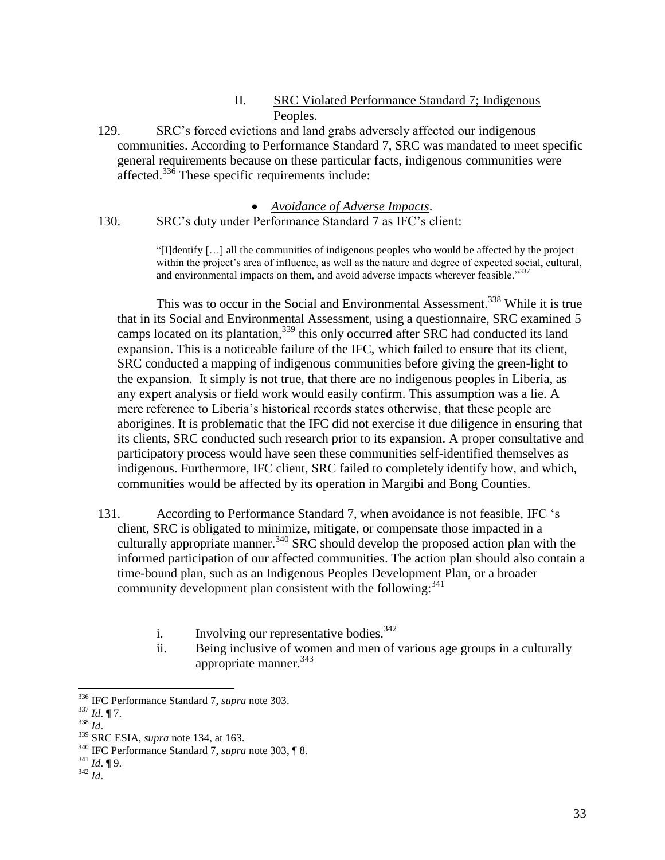### II. SRC Violated Performance Standard 7; Indigenous Peoples.

129. SRC's forced evictions and land grabs adversely affected our indigenous communities. According to Performance Standard 7, SRC was mandated to meet specific general requirements because on these particular facts, indigenous communities were affected.<sup>336</sup> These specific requirements include:

#### *Avoidance of Adverse Impacts*.

130. SRC's duty under Performance Standard 7 as IFC's client:

"[I]dentify […] all the communities of indigenous peoples who would be affected by the project within the project's area of influence, as well as the nature and degree of expected social, cultural, and environmental impacts on them, and avoid adverse impacts wherever feasible."337

This was to occur in the Social and Environmental Assessment.<sup>338</sup> While it is true that in its Social and Environmental Assessment, using a questionnaire, SRC examined 5 camps located on its plantation,<sup>339</sup> this only occurred after SRC had conducted its land expansion. This is a noticeable failure of the IFC, which failed to ensure that its client, SRC conducted a mapping of indigenous communities before giving the green-light to the expansion. It simply is not true, that there are no indigenous peoples in Liberia, as any expert analysis or field work would easily confirm. This assumption was a lie. A mere reference to Liberia's historical records states otherwise, that these people are aborigines. It is problematic that the IFC did not exercise it due diligence in ensuring that its clients, SRC conducted such research prior to its expansion. A proper consultative and participatory process would have seen these communities self-identified themselves as indigenous. Furthermore, IFC client, SRC failed to completely identify how, and which, communities would be affected by its operation in Margibi and Bong Counties.

131. According to Performance Standard 7, when avoidance is not feasible, IFC 's client, SRC is obligated to minimize, mitigate, or compensate those impacted in a culturally appropriate manner.<sup>340</sup> SRC should develop the proposed action plan with the informed participation of our affected communities. The action plan should also contain a time-bound plan, such as an Indigenous Peoples Development Plan, or a broader community development plan consistent with the following:<sup>341</sup>

- i. Involving our representative bodies. $342$
- ii. Being inclusive of women and men of various age groups in a culturally appropriate manner.<sup>343</sup>

- <sup>337</sup> *Id*. ¶ 7.
- <sup>338</sup> *Id*.

 $\overline{a}$ 

<sup>341</sup> *Id*. ¶ 9. <sup>342</sup> *Id*.

<sup>336</sup> IFC Performance Standard 7, *supra* note 303.

<sup>339</sup> SRC ESIA, *supra* note [134,](#page-12-0) at 163.

<sup>340</sup> IFC Performance Standard 7, *supra* note 303, ¶ 8.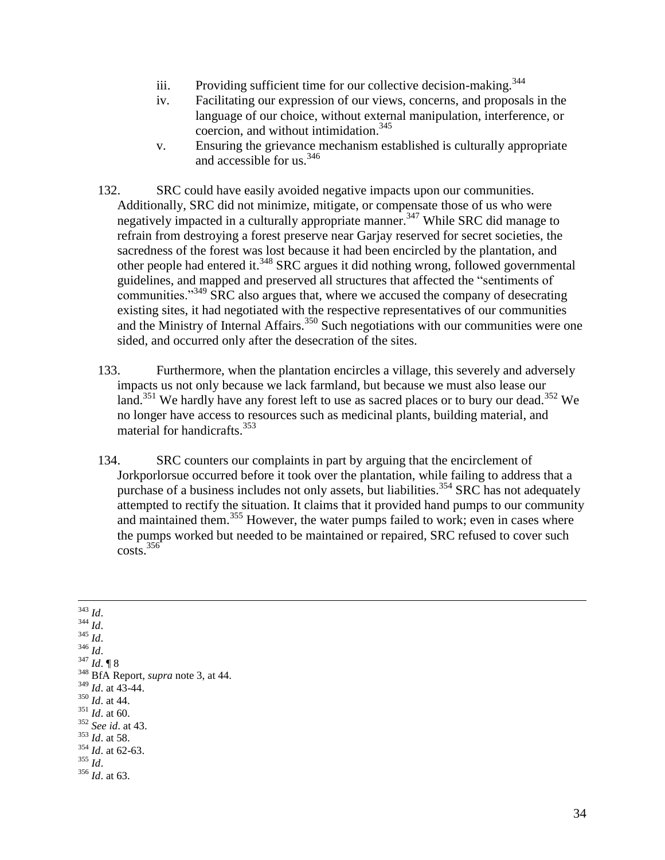- iii. Providing sufficient time for our collective decision-making.<sup>344</sup>
- iv. Facilitating our expression of our views, concerns, and proposals in the language of our choice, without external manipulation, interference, or coercion, and without intimidation.<sup>345</sup>
- v. Ensuring the grievance mechanism established is culturally appropriate and accessible for us.<sup>346</sup>

132. SRC could have easily avoided negative impacts upon our communities. Additionally, SRC did not minimize, mitigate, or compensate those of us who were negatively impacted in a culturally appropriate manner.<sup>347</sup> While SRC did manage to refrain from destroying a forest preserve near Garjay reserved for secret societies, the sacredness of the forest was lost because it had been encircled by the plantation, and other people had entered it.<sup>348</sup> SRC argues it did nothing wrong, followed governmental guidelines, and mapped and preserved all structures that affected the "sentiments of communities."<sup>349</sup> SRC also argues that, where we accused the company of desecrating existing sites, it had negotiated with the respective representatives of our communities and the Ministry of Internal Affairs. $350$  Such negotiations with our communities were one sided, and occurred only after the desecration of the sites.

133. Furthermore, when the plantation encircles a village, this severely and adversely impacts us not only because we lack farmland, but because we must also lease our land.<sup>351</sup> We hardly have any forest left to use as sacred places or to bury our dead.<sup>352</sup> We no longer have access to resources such as medicinal plants, building material, and material for handicrafts.<sup>353</sup>

134. SRC counters our complaints in part by arguing that the encirclement of Jorkporlorsue occurred before it took over the plantation, while failing to address that a purchase of a business includes not only assets, but liabilities.<sup>354</sup> SRC has not adequately attempted to rectify the situation. It claims that it provided hand pumps to our community and maintained them.<sup>355</sup> However, the water pumps failed to work; even in cases where the pumps worked but needed to be maintained or repaired, SRC refused to cover such  $costs.$ <sup>356</sup>

 $\overline{a}$ <sup>343</sup> *Id*. <sup>344</sup> *Id*.  $345$  *Id.* <sup>346</sup> *Id*. <sup>347</sup> *Id*. ¶ 8 <sup>348</sup> BfA Report, *supra* note 3, at 44. <sup>349</sup> *Id*. at 43-44. <sup>350</sup> *Id*. at 44. <sup>351</sup> *Id*. at 60. <sup>352</sup> *See id*. at 43. <sup>353</sup> *Id*. at 58. <sup>354</sup> *Id*. at 62-63. <sup>355</sup> *Id*. <sup>356</sup> *Id*. at 63.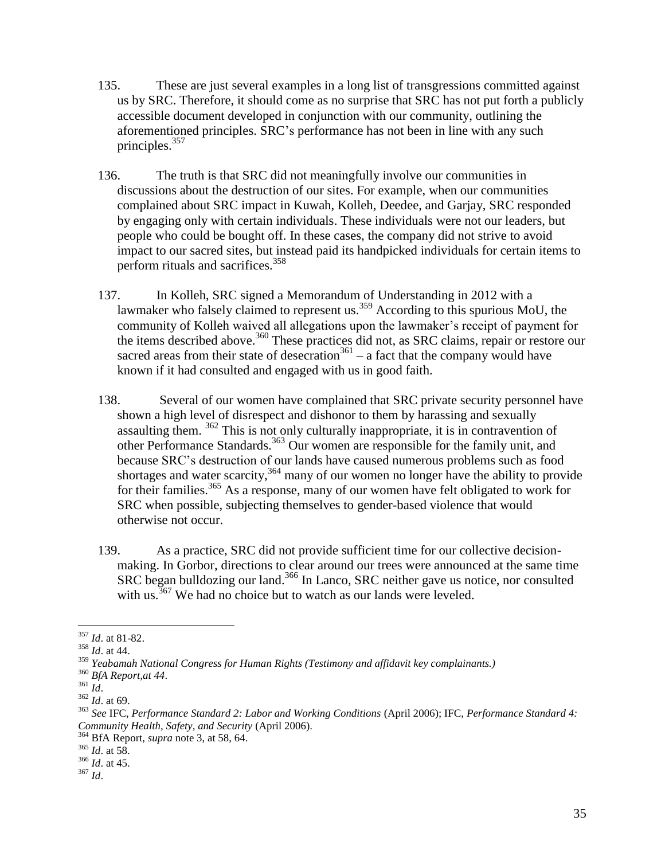- 135. These are just several examples in a long list of transgressions committed against us by SRC. Therefore, it should come as no surprise that SRC has not put forth a publicly accessible document developed in conjunction with our community, outlining the aforementioned principles. SRC's performance has not been in line with any such principles.<sup>357</sup>
- 136. The truth is that SRC did not meaningfully involve our communities in discussions about the destruction of our sites. For example, when our communities complained about SRC impact in Kuwah, Kolleh, Deedee, and Garjay, SRC responded by engaging only with certain individuals. These individuals were not our leaders, but people who could be bought off. In these cases, the company did not strive to avoid impact to our sacred sites, but instead paid its handpicked individuals for certain items to perform rituals and sacrifices.<sup>358</sup>
- 137. In Kolleh, SRC signed a Memorandum of Understanding in 2012 with a lawmaker who falsely claimed to represent us.<sup>359</sup> According to this spurious MoU, the community of Kolleh waived all allegations upon the lawmaker's receipt of payment for the items described above. <sup>360</sup> These practices did not, as SRC claims, repair or restore our sacred areas from their state of desecration<sup>361</sup> – a fact that the company would have known if it had consulted and engaged with us in good faith.
- <span id="page-34-0"></span>138. Several of our women have complained that SRC private security personnel have shown a high level of disrespect and dishonor to them by harassing and sexually assaulting them.  $362$  This is not only culturally inappropriate, it is in contravention of other Performance Standards.<sup>363</sup> Our women are responsible for the family unit, and because SRC's destruction of our lands have caused numerous problems such as food shortages and water scarcity,<sup>364</sup> many of our women no longer have the ability to provide for their families.<sup>365</sup> As a response, many of our women have felt obligated to work for SRC when possible, subjecting themselves to gender-based violence that would otherwise not occur.
- 139. As a practice, SRC did not provide sufficient time for our collective decisionmaking. In Gorbor, directions to clear around our trees were announced at the same time SRC began bulldozing our land.<sup>366</sup> In Lanco, SRC neither gave us notice, nor consulted with us.  $367$  We had no choice but to watch as our lands were leveled.

 $\overline{a}$ <sup>357</sup> *Id*. at 81-82.

<sup>358</sup> *Id*. at 44.

<sup>359</sup> *Yeabamah National Congress for Human Rights (Testimony and affidavit key complainants.)*

<sup>360</sup> *BfA Report,at 44*.

<sup>361</sup> *Id*.

<sup>362</sup> *Id*. at 69.

<sup>363</sup> *See* IFC, *Performance Standard 2: Labor and Working Conditions* (April 2006); IFC, *Performance Standard 4: Community Health, Safety, and Security* (April 2006).

<sup>364</sup> BfA Report, *supra* note 3, at 58, 64.

<sup>365</sup> *Id*. at 58.

<sup>366</sup> *Id*. at 45.

<sup>367</sup> *Id*.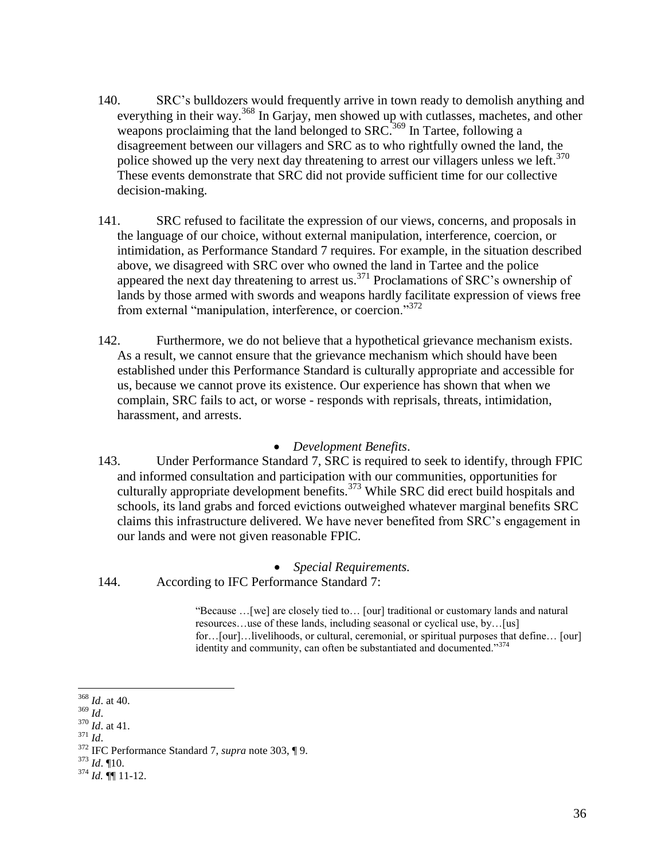- 140. SRC's bulldozers would frequently arrive in town ready to demolish anything and everything in their way.<sup>368</sup> In Garjay, men showed up with cutlasses, machetes, and other weapons proclaiming that the land belonged to SRC.<sup>369</sup> In Tartee, following a disagreement between our villagers and SRC as to who rightfully owned the land, the police showed up the very next day threatening to arrest our villagers unless we left.<sup>370</sup> These events demonstrate that SRC did not provide sufficient time for our collective decision-making.
- 141. SRC refused to facilitate the expression of our views, concerns, and proposals in the language of our choice, without external manipulation, interference, coercion, or intimidation, as Performance Standard 7 requires. For example, in the situation described above, we disagreed with SRC over who owned the land in Tartee and the police appeared the next day threatening to arrest us.<sup>371</sup> Proclamations of SRC's ownership of lands by those armed with swords and weapons hardly facilitate expression of views free from external "manipulation, interference, or coercion."<sup>372</sup>
- 142. Furthermore, we do not believe that a hypothetical grievance mechanism exists. As a result, we cannot ensure that the grievance mechanism which should have been established under this Performance Standard is culturally appropriate and accessible for us, because we cannot prove its existence. Our experience has shown that when we complain, SRC fails to act, or worse - responds with reprisals, threats, intimidation, harassment, and arrests.

### *Development Benefits*.

143. Under Performance Standard 7, SRC is required to seek to identify, through FPIC and informed consultation and participation with our communities, opportunities for culturally appropriate development benefits.<sup>373</sup> While SRC did erect build hospitals and schools, its land grabs and forced evictions outweighed whatever marginal benefits SRC claims this infrastructure delivered. We have never benefited from SRC's engagement in our lands and were not given reasonable FPIC.

*Special Requirements.*

144. According to IFC Performance Standard 7:

"Because …[we] are closely tied to… [our] traditional or customary lands and natural resources…use of these lands, including seasonal or cyclical use, by…[us] for…[our]…livelihoods, or cultural, ceremonial, or spiritual purposes that define… [our] identity and community, can often be substantiated and documented."374

 $\overline{a}$ 

<sup>373</sup> *Id*. ¶10.

<sup>368</sup> *Id*. at 40.

<sup>369</sup> *Id*.

<sup>370</sup> *Id*. at 41.

<sup>371</sup> *Id*.

<sup>372</sup> IFC Performance Standard 7, *supra* note [303,](#page-27-0) ¶ 9.

<sup>374</sup> *Id.* ¶¶ 11-12.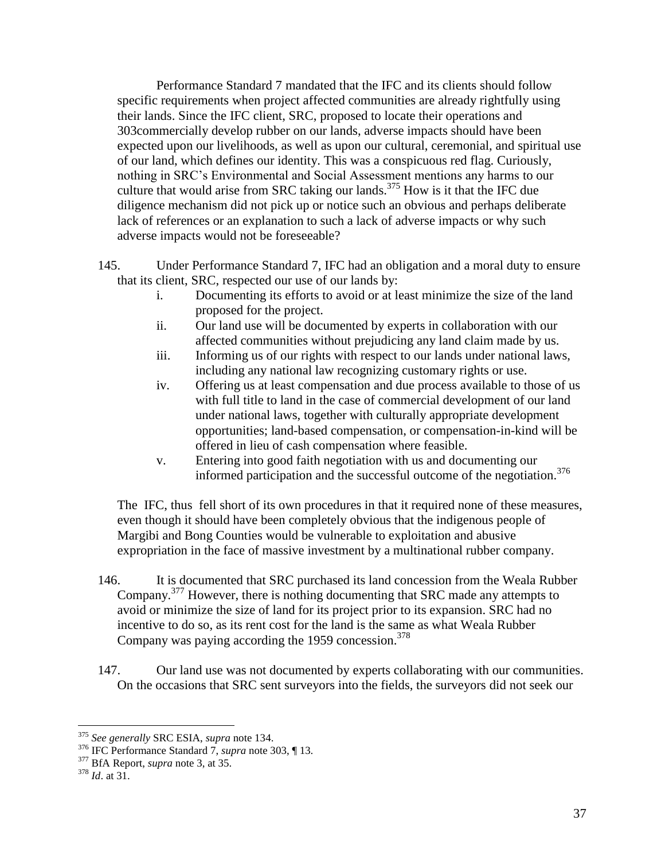Performance Standard 7 mandated that the IFC and its clients should follow specific requirements when project affected communities are already rightfully using their lands. Since the IFC client, SRC, proposed to locate their operations and [303c](#page-27-0)ommercially develop rubber on our lands, adverse impacts should have been expected upon our livelihoods, as well as upon our cultural, ceremonial, and spiritual use of our land, which defines our identity. This was a conspicuous red flag. Curiously, nothing in SRC's Environmental and Social Assessment mentions any harms to our culture that would arise from SRC taking our lands.<sup>375</sup> How is it that the IFC due diligence mechanism did not pick up or notice such an obvious and perhaps deliberate lack of references or an explanation to such a lack of adverse impacts or why such adverse impacts would not be foreseeable?

- 145. Under Performance Standard 7, IFC had an obligation and a moral duty to ensure that its client, SRC, respected our use of our lands by:
	- i. Documenting its efforts to avoid or at least minimize the size of the land proposed for the project.
	- ii. Our land use will be documented by experts in collaboration with our affected communities without prejudicing any land claim made by us.
	- iii. Informing us of our rights with respect to our lands under national laws, including any national law recognizing customary rights or use.
	- iv. Offering us at least compensation and due process available to those of us with full title to land in the case of commercial development of our land under national laws, together with culturally appropriate development opportunities; land-based compensation, or compensation-in-kind will be offered in lieu of cash compensation where feasible.
	- v. Entering into good faith negotiation with us and documenting our informed participation and the successful outcome of the negotiation.<sup>376</sup>

The IFC, thus fell short of its own procedures in that it required none of these measures, even though it should have been completely obvious that the indigenous people of Margibi and Bong Counties would be vulnerable to exploitation and abusive expropriation in the face of massive investment by a multinational rubber company.

- 146. It is documented that SRC purchased its land concession from the Weala Rubber Company.<sup>377</sup> However, there is nothing documenting that SRC made any attempts to avoid or minimize the size of land for its project prior to its expansion. SRC had no incentive to do so, as its rent cost for the land is the same as what Weala Rubber Company was paying according the 1959 concession. $378$
- 147. Our land use was not documented by experts collaborating with our communities. On the occasions that SRC sent surveyors into the fields, the surveyors did not seek our

<sup>375</sup> *See generally* SRC ESIA, *supra* note [134.](#page-12-0)

<sup>376</sup> IFC Performance Standard 7, *supra* note [303,](#page-27-0) ¶ 13.

<sup>377</sup> BfA Report, *supra* note [3,](#page-0-0) at 35.

<sup>378</sup> *Id*. at 31.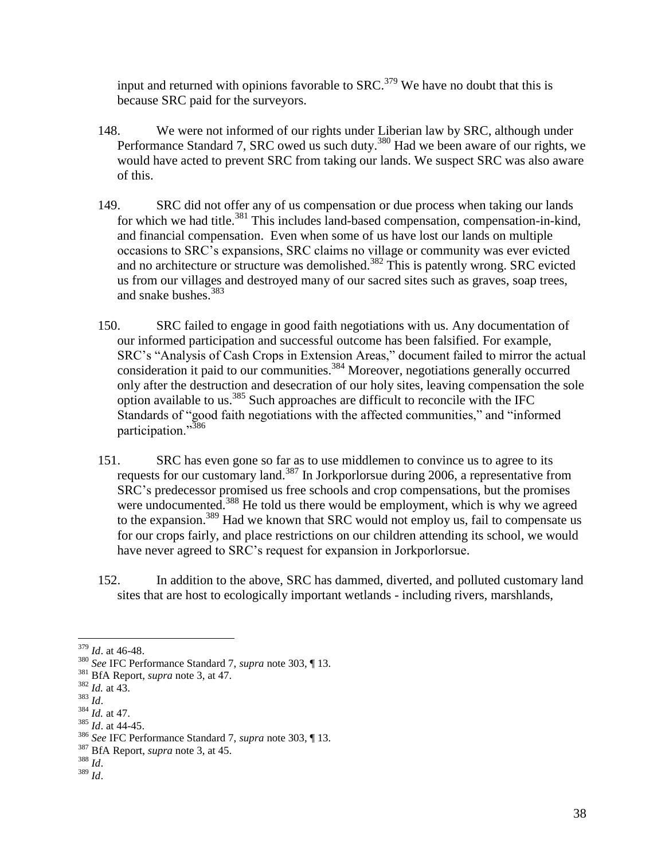input and returned with opinions favorable to  $SRC$ <sup>379</sup> We have no doubt that this is because SRC paid for the surveyors.

- 148. We were not informed of our rights under Liberian law by SRC, although under Performance Standard 7, SRC owed us such duty.<sup>380</sup> Had we been aware of our rights, we would have acted to prevent SRC from taking our lands. We suspect SRC was also aware of this.
- 149. SRC did not offer any of us compensation or due process when taking our lands for which we had title.<sup>381</sup> This includes land-based compensation, compensation-in-kind, and financial compensation. Even when some of us have lost our lands on multiple occasions to SRC's expansions, SRC claims no village or community was ever evicted and no architecture or structure was demolished.<sup>382</sup> This is patently wrong. SRC evicted us from our villages and destroyed many of our sacred sites such as graves, soap trees, and snake bushes.<sup>383</sup>
- 150. SRC failed to engage in good faith negotiations with us. Any documentation of our informed participation and successful outcome has been falsified. For example, SRC's "Analysis of Cash Crops in Extension Areas," document failed to mirror the actual consideration it paid to our communities.<sup>384</sup> Moreover, negotiations generally occurred only after the destruction and desecration of our holy sites, leaving compensation the sole option available to us.<sup>385</sup> Such approaches are difficult to reconcile with the IFC Standards of "good faith negotiations with the affected communities," and "informed participation."<sup>386</sup>
- 151. SRC has even gone so far as to use middlemen to convince us to agree to its requests for our customary land.<sup>387</sup> In Jorkporlorsue during 2006, a representative from SRC's predecessor promised us free schools and crop compensations, but the promises were undocumented.<sup>388</sup> He told us there would be employment, which is why we agreed to the expansion.<sup>389</sup> Had we known that SRC would not employ us, fail to compensate us for our crops fairly, and place restrictions on our children attending its school, we would have never agreed to SRC's request for expansion in Jorkporlorsue.
- 152. In addition to the above, SRC has dammed, diverted, and polluted customary land sites that are host to ecologically important wetlands - including rivers, marshlands,

- $384$  *Id.* at 47.
- <sup>385</sup> *Id*. at 44-45.

<sup>388</sup> *Id*. <sup>389</sup> *Id*.

 $\overline{a}$ <sup>379</sup> *Id*. at 46-48.

<sup>380</sup> *See* IFC Performance Standard 7, *supra* note [303,](#page-27-0) ¶ 13.

<sup>381</sup> BfA Report, *supra* note [3,](#page-0-0) at 47.

 $382$  *Id.* at 43.

<sup>383</sup> *Id*.

<sup>386</sup> *See* IFC Performance Standard 7, *supra* note [303,](#page-27-0) ¶ 13.

<sup>387</sup> BfA Report, *supra* note [3,](#page-0-0) at 45.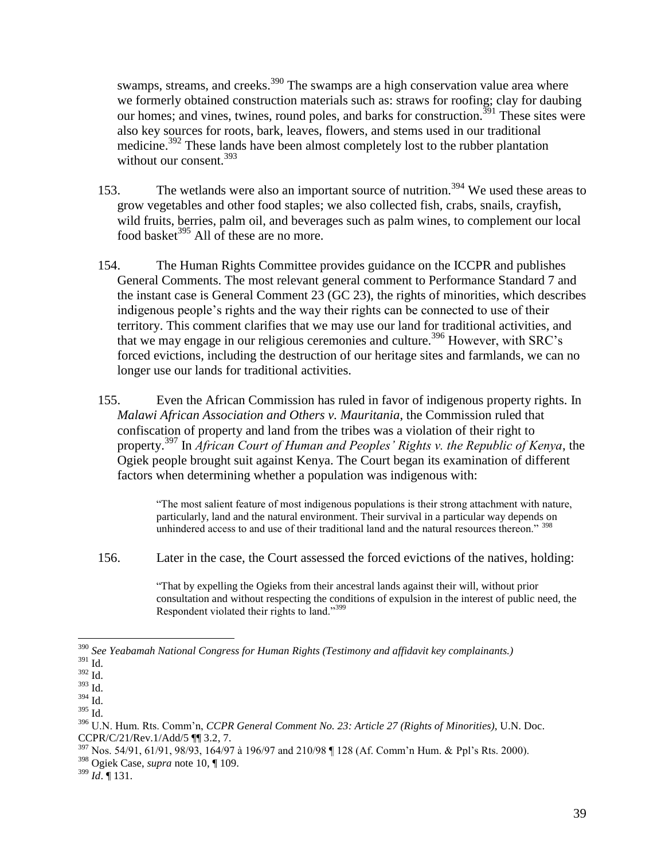swamps, streams, and creeks.<sup>390</sup> The swamps are a high conservation value area where we formerly obtained construction materials such as: straws for roofing; clay for daubing our homes; and vines, twines, round poles, and barks for construction.<sup>391</sup> These sites were also key sources for roots, bark, leaves, flowers, and stems used in our traditional medicine.<sup>392</sup> These lands have been almost completely lost to the rubber plantation without our consent.<sup>393</sup>

- 153. The wetlands were also an important source of nutrition.<sup>394</sup> We used these areas to grow vegetables and other food staples; we also collected fish, crabs, snails, crayfish, wild fruits, berries, palm oil, and beverages such as palm wines, to complement our local food basket<sup>395</sup> All of these are no more.
- 154. The Human Rights Committee provides guidance on the ICCPR and publishes General Comments. The most relevant general comment to Performance Standard 7 and the instant case is General Comment 23 (GC 23), the rights of minorities, which describes indigenous people's rights and the way their rights can be connected to use of their territory. This comment clarifies that we may use our land for traditional activities, and that we may engage in our religious ceremonies and culture.<sup>396</sup> However, with SRC's forced evictions, including the destruction of our heritage sites and farmlands, we can no longer use our lands for traditional activities.
- 155. Even the African Commission has ruled in favor of indigenous property rights. In *Malawi African Association and Others v. Mauritania*, the Commission ruled that confiscation of property and land from the tribes was a violation of their right to property.<sup>397</sup> In *African Court of Human and Peoples' Rights v. the Republic of Kenya*, the Ogiek people brought suit against Kenya. The Court began its examination of different factors when determining whether a population was indigenous with:

"The most salient feature of most indigenous populations is their strong attachment with nature, particularly, land and the natural environment. Their survival in a particular way depends on unhindered access to and use of their traditional land and the natural resources thereon."  $\frac{398}{2}$ 

156. Later in the case, the Court assessed the forced evictions of the natives, holding:

"That by expelling the Ogieks from their ancestral lands against their will, without prior consultation and without respecting the conditions of expulsion in the interest of public need, the Respondent violated their rights to land."<sup>399</sup>

<sup>390</sup> *See Yeabamah National Congress for Human Rights (Testimony and affidavit key complainants.)*

 $^{391}$  Id.

<sup>392</sup> Id.

<sup>393</sup> Id.

 $^{394}$  Id.

<sup>395</sup> Id.

<sup>396</sup> U.N. Hum. Rts. Comm'n, *CCPR General Comment No. 23: Article 27 (Rights of Minorities)*, U.N. Doc. CCPR/C/21/Rev.1/Add/5 ¶¶ 3.2, 7.

<sup>&</sup>lt;sup>397</sup> Nos. 54/91, 61/91, 98/93, 164/97 à 196/97 and 210/98 ¶ 128 (Af. Comm'n Hum. & Ppl's Rts. 2000).

<sup>398</sup> Ogiek Case, *supra* note [10,](#page-2-0) ¶ 109.

<sup>399</sup> *Id*. ¶ 131.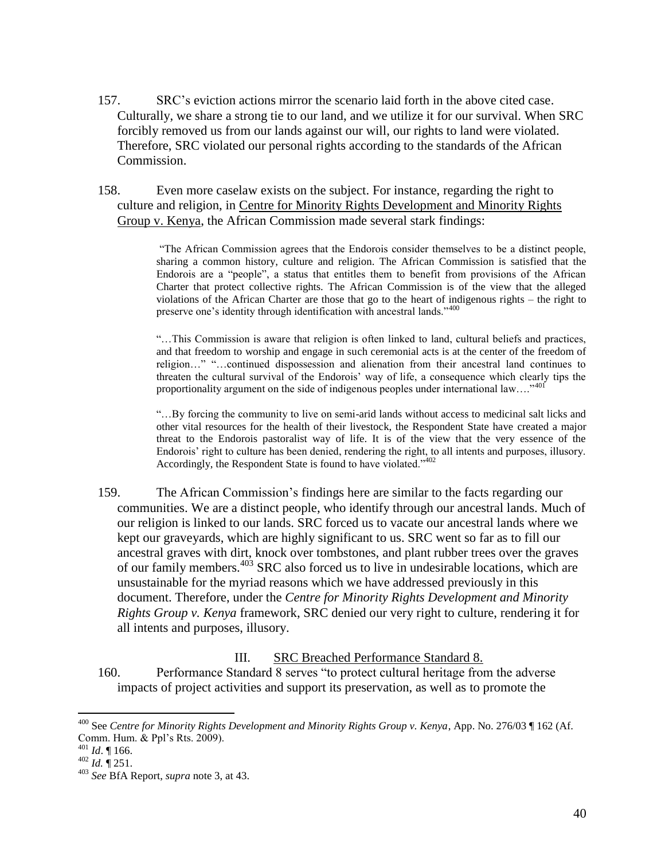157. SRC's eviction actions mirror the scenario laid forth in the above cited case. Culturally, we share a strong tie to our land, and we utilize it for our survival. When SRC forcibly removed us from our lands against our will, our rights to land were violated. Therefore, SRC violated our personal rights according to the standards of the African Commission.

158. Even more caselaw exists on the subject. For instance, regarding the right to culture and religion, in Centre for Minority Rights Development and Minority Rights Group v. Kenya, the African Commission made several stark findings:

> "The African Commission agrees that the Endorois consider themselves to be a distinct people, sharing a common history, culture and religion. The African Commission is satisfied that the Endorois are a "people", a status that entitles them to benefit from provisions of the African Charter that protect collective rights. The African Commission is of the view that the alleged violations of the African Charter are those that go to the heart of indigenous rights – the right to preserve one's identity through identification with ancestral lands."<sup>400</sup>

> "…This Commission is aware that religion is often linked to land, cultural beliefs and practices, and that freedom to worship and engage in such ceremonial acts is at the center of the freedom of religion…" "…continued dispossession and alienation from their ancestral land continues to threaten the cultural survival of the Endorois' way of life, a consequence which clearly tips the proportionality argument on the side of indigenous peoples under international law...."<sup>401</sup>

> "…By forcing the community to live on semi-arid lands without access to medicinal salt licks and other vital resources for the health of their livestock, the Respondent State have created a major threat to the Endorois pastoralist way of life. It is of the view that the very essence of the Endorois' right to culture has been denied, rendering the right, to all intents and purposes, illusory. Accordingly, the Respondent State is found to have violated."<sup>402</sup>

159. The African Commission's findings here are similar to the facts regarding our communities. We are a distinct people, who identify through our ancestral lands. Much of our religion is linked to our lands. SRC forced us to vacate our ancestral lands where we kept our graveyards, which are highly significant to us. SRC went so far as to fill our ancestral graves with dirt, knock over tombstones, and plant rubber trees over the graves of our family members.<sup>403</sup> SRC also forced us to live in undesirable locations, which are unsustainable for the myriad reasons which we have addressed previously in this document. Therefore, under the *Centre for Minority Rights Development and Minority Rights Group v. Kenya* framework, SRC denied our very right to culture, rendering it for all intents and purposes, illusory.

III. SRC Breached Performance Standard 8.

160. Performance Standard 8 serves "to protect cultural heritage from the adverse impacts of project activities and support its preservation, as well as to promote the

<sup>400</sup> See *Centre for Minority Rights Development and Minority Rights Group v. Kenya*, App. No. 276/03 ¶ 162 (Af. Comm. Hum. & Ppl's Rts. 2009).

 $401$  *Id.* 166.

 $^{402}$  *Id.*  $\sqrt{\ }$  251.

<sup>403</sup> *See* BfA Report, *supra* not[e 3,](#page-0-0) at 43.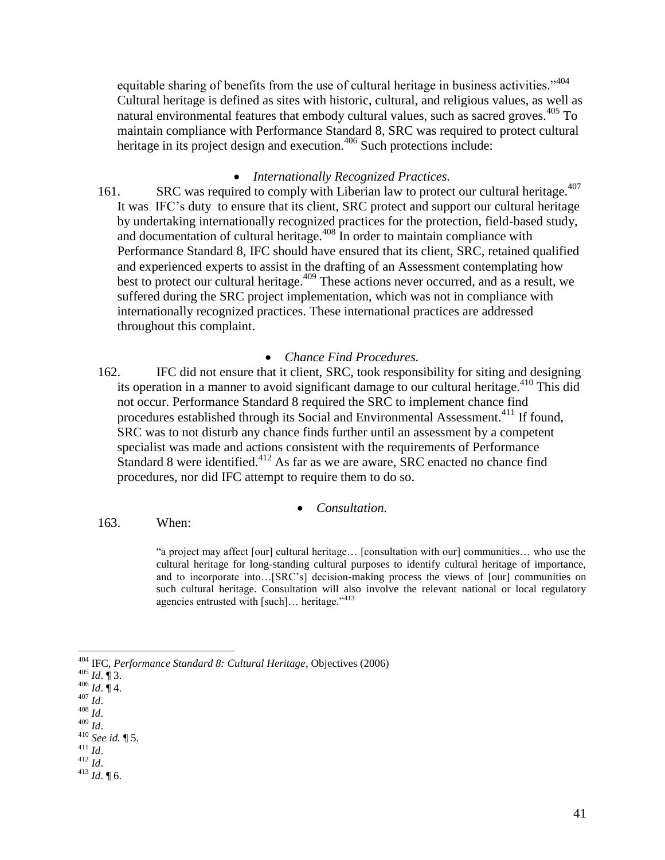equitable sharing of benefits from the use of cultural heritage in business activities."<sup>404</sup> Cultural heritage is defined as sites with historic, cultural, and religious values, as well as natural environmental features that embody cultural values, such as sacred groves.<sup>405</sup> To maintain compliance with Performance Standard 8, SRC was required to protect cultural heritage in its project design and execution.<sup>406</sup> Such protections include:

#### <span id="page-40-0"></span>*Internationally Recognized Practices.*

161. SRC was required to comply with Liberian law to protect our cultural heritage.<sup>407</sup> It was IFC's duty to ensure that its client, SRC protect and support our cultural heritage by undertaking internationally recognized practices for the protection, field-based study, and documentation of cultural heritage. $408$  In order to maintain compliance with Performance Standard 8, IFC should have ensured that its client, SRC, retained qualified and experienced experts to assist in the drafting of an Assessment contemplating how best to protect our cultural heritage. <sup>409</sup> These actions never occurred, and as a result, we suffered during the SRC project implementation, which was not in compliance with internationally recognized practices. These international practices are addressed throughout this complaint.

### *Chance Find Procedures.*

162. IFC did not ensure that it client, SRC, took responsibility for siting and designing its operation in a manner to avoid significant damage to our cultural heritage.<sup>410</sup> This did not occur. Performance Standard 8 required the SRC to implement chance find procedures established through its Social and Environmental Assessment.<sup>411</sup> If found, SRC was to not disturb any chance finds further until an assessment by a competent specialist was made and actions consistent with the requirements of Performance Standard 8 were identified.<sup>412</sup> As far as we are aware, SRC enacted no chance find procedures, nor did IFC attempt to require them to do so.

#### *Consultation.*

163. When:

"a project may affect [our] cultural heritage… [consultation with our] communities… who use the cultural heritage for long-standing cultural purposes to identify cultural heritage of importance, and to incorporate into…[SRC's] decision-making process the views of [our] communities on such cultural heritage. Consultation will also involve the relevant national or local regulatory agencies entrusted with  $[such]$ ... heritage."<sup>413</sup>

<sup>404</sup> IFC, *Performance Standard 8: Cultural Heritage*, Objectives (2006)

<sup>405</sup> *Id*. ¶ 3.

<sup>406</sup> *Id*. ¶ 4.

<sup>407</sup> *Id*.

<sup>408</sup> *Id*.

<sup>409</sup> *Id*.

<sup>410</sup> *See id.* ¶ 5. <sup>411</sup> *Id*.

 $412$   $\frac{1}{6}$ .

<sup>413</sup> *Id*. ¶ 6.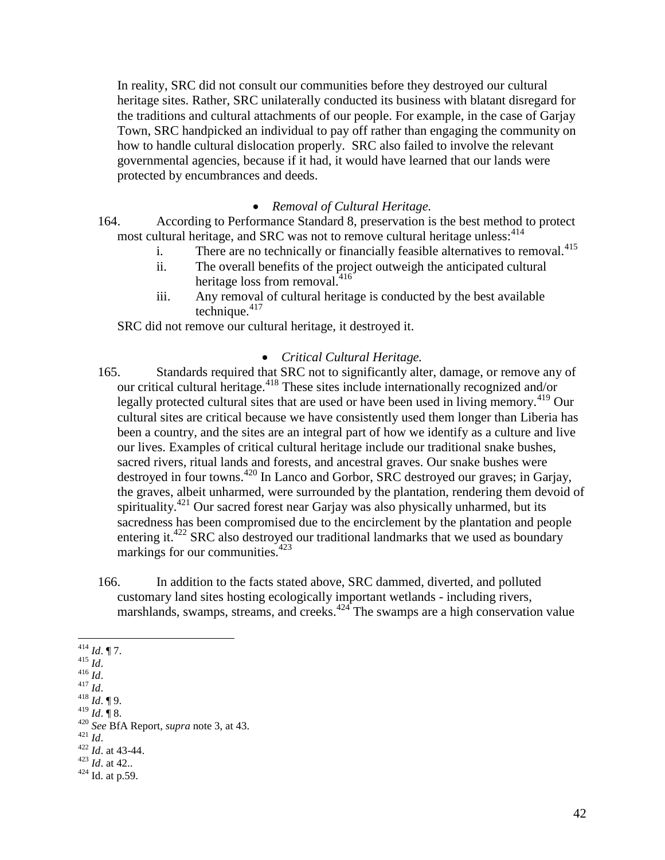In reality, SRC did not consult our communities before they destroyed our cultural heritage sites. Rather, SRC unilaterally conducted its business with blatant disregard for the traditions and cultural attachments of our people. For example, in the case of Garjay Town, SRC handpicked an individual to pay off rather than engaging the community on how to handle cultural dislocation properly. SRC also failed to involve the relevant governmental agencies, because if it had, it would have learned that our lands were protected by encumbrances and deeds.

### *Removal of Cultural Heritage.*

164. According to Performance Standard 8, preservation is the best method to protect most cultural heritage, and SRC was not to remove cultural heritage unless: <sup>414</sup>

- i. There are no technically or financially feasible alternatives to removal.<sup>415</sup>
- ii. The overall benefits of the project outweigh the anticipated cultural heritage loss from removal.<sup>416</sup>
- iii. Any removal of cultural heritage is conducted by the best available technique. $417$

SRC did not remove our cultural heritage, it destroyed it.

### *Critical Cultural Heritage.*

- 165. Standards required that SRC not to significantly alter, damage, or remove any of our critical cultural heritage.<sup>418</sup> These sites include internationally recognized and/or legally protected cultural sites that are used or have been used in living memory.<sup>419</sup> Our cultural sites are critical because we have consistently used them longer than Liberia has been a country, and the sites are an integral part of how we identify as a culture and live our lives. Examples of critical cultural heritage include our traditional snake bushes, sacred rivers, ritual lands and forests, and ancestral graves. Our snake bushes were destroyed in four towns.<sup>420</sup> In Lanco and Gorbor, SRC destroyed our graves; in Garjay, the graves, albeit unharmed, were surrounded by the plantation, rendering them devoid of spirituality.<sup>421</sup> Our sacred forest near Garjay was also physically unharmed, but its sacredness has been compromised due to the encirclement by the plantation and people entering it.<sup>422</sup> SRC also destroyed our traditional landmarks that we used as boundary markings for our communities.<sup>423</sup>
- 166. In addition to the facts stated above, SRC dammed, diverted, and polluted customary land sites hosting ecologically important wetlands - including rivers, marshlands, swamps, streams, and creeks.<sup>424</sup> The swamps are a high conservation value

- $416$  *Id.*  $^{417}$  *Id.*
- 

<sup>421</sup> *Id*.

<sup>423</sup> *Id*. at 42..

 $\overline{a}$  $^{414}$  *Id*. ¶ 7.

<sup>415</sup> *Id*.

<sup>418</sup> *Id*. ¶ 9. <sup>419</sup> *Id*. ¶ 8.

<sup>420</sup> *See* BfA Report, *supra* not[e 3,](#page-0-0) at 43.

<sup>422</sup> *Id*. at 43-44.

 $424$  Id. at p.59.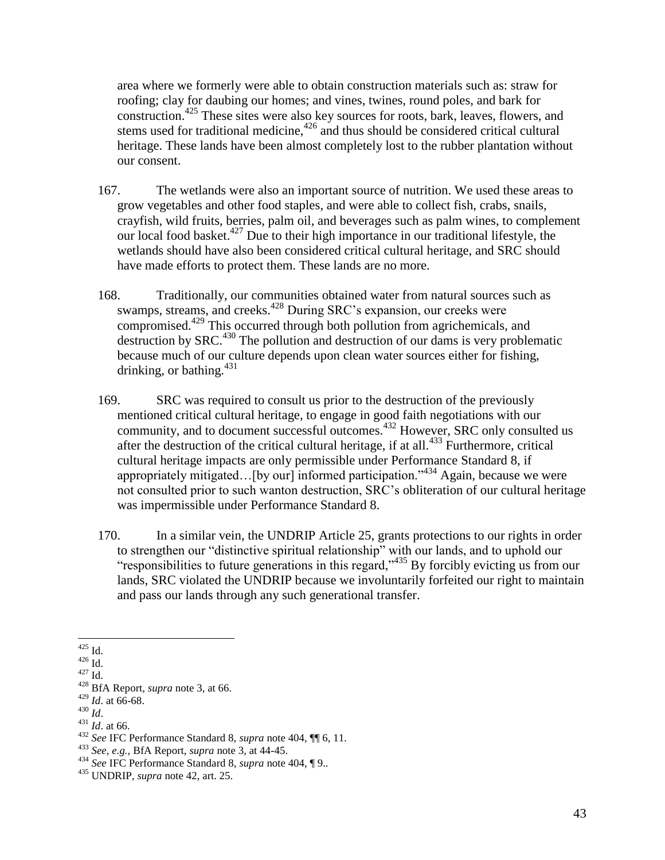area where we formerly were able to obtain construction materials such as: straw for roofing; clay for daubing our homes; and vines, twines, round poles, and bark for construction.<sup>425</sup> These sites were also key sources for roots, bark, leaves, flowers, and stems used for traditional medicine,<sup>426</sup> and thus should be considered critical cultural heritage. These lands have been almost completely lost to the rubber plantation without our consent.

- 167. The wetlands were also an important source of nutrition. We used these areas to grow vegetables and other food staples, and were able to collect fish, crabs, snails, crayfish, wild fruits, berries, palm oil, and beverages such as palm wines, to complement our local food basket. <sup>427</sup> Due to their high importance in our traditional lifestyle, the wetlands should have also been considered critical cultural heritage, and SRC should have made efforts to protect them. These lands are no more.
- 168. Traditionally, our communities obtained water from natural sources such as swamps, streams, and creeks.<sup>428</sup> During SRC's expansion, our creeks were compromised.<sup>429</sup> This occurred through both pollution from agrichemicals, and destruction by SRC.<sup>430</sup> The pollution and destruction of our dams is very problematic because much of our culture depends upon clean water sources either for fishing, drinking, or bathing. $431$
- 169. SRC was required to consult us prior to the destruction of the previously mentioned critical cultural heritage, to engage in good faith negotiations with our community, and to document successful outcomes.<sup>432</sup> However, SRC only consulted us after the destruction of the critical cultural heritage, if at all.<sup>433</sup> Furthermore, critical cultural heritage impacts are only permissible under Performance Standard 8, if appropriately mitigated... [by our] informed participation."<sup>434</sup> Again, because we were not consulted prior to such wanton destruction, SRC's obliteration of our cultural heritage was impermissible under Performance Standard 8.
- 170. In a similar vein, the UNDRIP Article 25, grants protections to our rights in order to strengthen our "distinctive spiritual relationship" with our lands, and to uphold our "responsibilities to future generations in this regard,"<sup>435</sup> By forcibly evicting us from our lands, SRC violated the UNDRIP because we involuntarily forfeited our right to maintain and pass our lands through any such generational transfer.

- <sup>430</sup> *Id*.
- <sup>431</sup> *Id*. at 66.

 $\overline{a}$  $425$  Id.

<sup>426</sup> Id.

 $^{427}$  Id.

<sup>428</sup> BfA Report, *supra* note [3,](#page-0-0) at 66.

<sup>429</sup> *Id*. at 66-68.

<sup>432</sup> *See* IFC Performance Standard 8, *supra* note [404,](#page-40-0) ¶¶ 6, 11.

<sup>433</sup> *See, e.g.,* BfA Report, *supra* note [3,](#page-0-0) at 44-45.

<sup>434</sup> *See* IFC Performance Standard 8, *supra* note [404,](#page-40-0) ¶ 9..

<sup>435</sup> UNDRIP, *supra* note [42,](#page-6-0) art. 25.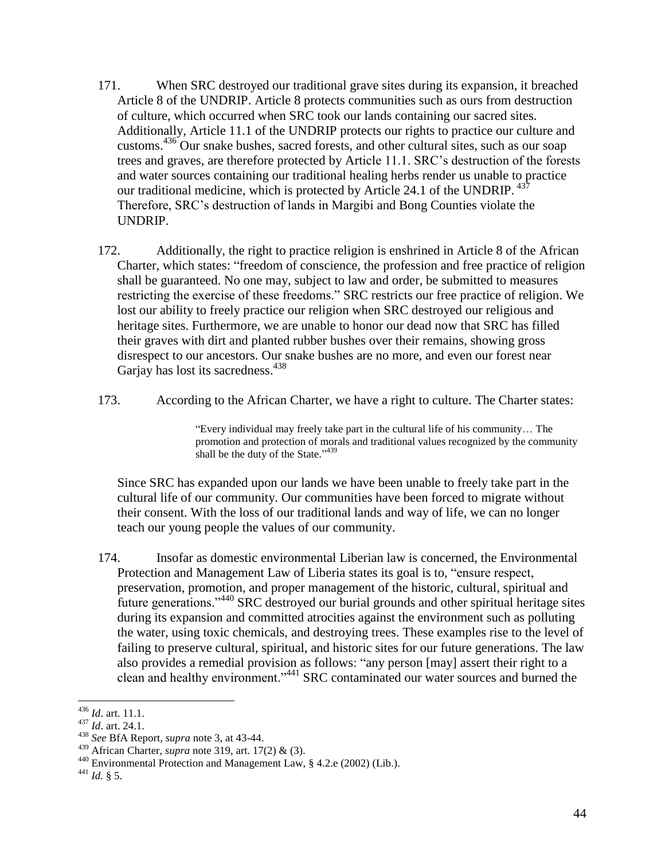- 171. When SRC destroyed our traditional grave sites during its expansion, it breached Article 8 of the UNDRIP. Article 8 protects communities such as ours from destruction of culture, which occurred when SRC took our lands containing our sacred sites. Additionally, Article 11.1 of the UNDRIP protects our rights to practice our culture and customs.<sup>436</sup> Our snake bushes, sacred forests, and other cultural sites, such as our soap trees and graves, are therefore protected by Article 11.1. SRC's destruction of the forests and water sources containing our traditional healing herbs render us unable to practice our traditional medicine, which is protected by Article 24.1 of the UNDRIP. <sup>437</sup> Therefore, SRC's destruction of lands in Margibi and Bong Counties violate the UNDRIP.
- 172. Additionally, the right to practice religion is enshrined in Article 8 of the African Charter, which states: "freedom of conscience, the profession and free practice of religion shall be guaranteed. No one may, subject to law and order, be submitted to measures restricting the exercise of these freedoms." SRC restricts our free practice of religion. We lost our ability to freely practice our religion when SRC destroyed our religious and heritage sites. Furthermore, we are unable to honor our dead now that SRC has filled their graves with dirt and planted rubber bushes over their remains, showing gross disrespect to our ancestors. Our snake bushes are no more, and even our forest near Garjay has lost its sacredness.<sup>438</sup>
- 173. According to the African Charter, we have a right to culture. The Charter states:

"Every individual may freely take part in the cultural life of his community… The promotion and protection of morals and traditional values recognized by the community shall be the duty of the State."<sup>439</sup>

Since SRC has expanded upon our lands we have been unable to freely take part in the cultural life of our community. Our communities have been forced to migrate without their consent. With the loss of our traditional lands and way of life, we can no longer teach our young people the values of our community.

174. Insofar as domestic environmental Liberian law is concerned, the Environmental Protection and Management Law of Liberia states its goal is to, "ensure respect, preservation, promotion, and proper management of the historic, cultural, spiritual and future generations."<sup>440</sup> SRC destroyed our burial grounds and other spiritual heritage sites during its expansion and committed atrocities against the environment such as polluting the water, using toxic chemicals, and destroying trees. These examples rise to the level of failing to preserve cultural, spiritual, and historic sites for our future generations. The law also provides a remedial provision as follows: "any person [may] assert their right to a clean and healthy environment."<sup>441</sup> SRC contaminated our water sources and burned the

<sup>436</sup> *Id*. art. 11.1.

<sup>437</sup> *Id*. art. 24.1.

<sup>438</sup> *See* BfA Report, *supra* not[e 3,](#page-0-0) at 43-44.

<sup>439</sup> African Charter, *supra* note [319,](#page-29-0) art. 17(2) & (3).

<sup>440</sup> Environmental Protection and Management Law, § 4.2.e (2002) (Lib.).

<sup>441</sup> *Id.* § 5.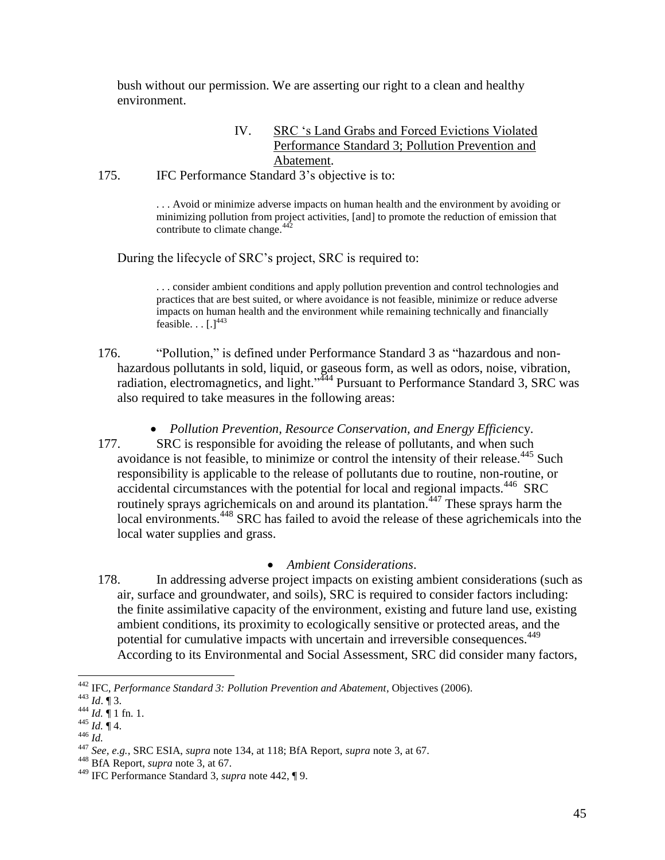bush without our permission. We are asserting our right to a clean and healthy environment.

### <span id="page-44-0"></span>IV. SRC 's Land Grabs and Forced Evictions Violated Performance Standard 3; Pollution Prevention and Abatement.

175. IFC Performance Standard 3's objective is to:

. . . Avoid or minimize adverse impacts on human health and the environment by avoiding or minimizing pollution from project activities, [and] to promote the reduction of emission that contribute to climate change. $442$ 

During the lifecycle of SRC's project, SRC is required to:

. . . consider ambient conditions and apply pollution prevention and control technologies and practices that are best suited, or where avoidance is not feasible, minimize or reduce adverse impacts on human health and the environment while remaining technically and financially feasible.  $\ldots$   $\lceil . \rceil^{443}$ 

- 176. "Pollution," is defined under Performance Standard 3 as "hazardous and nonhazardous pollutants in sold, liquid, or gaseous form, as well as odors, noise, vibration, radiation, electromagnetics, and light."<sup>444</sup> Pursuant to Performance Standard 3, SRC was also required to take measures in the following areas:
	- *Pollution Prevention, Resource Conservation, and Energy Efficien*cy.
- 177. SRC is responsible for avoiding the release of pollutants, and when such avoidance is not feasible, to minimize or control the intensity of their release.<sup>445</sup> Such responsibility is applicable to the release of pollutants due to routine, non-routine, or accidental circumstances with the potential for local and regional impacts.<sup>446</sup> SRC routinely sprays agrichemicals on and around its plantation.<sup> $447$ </sup> These sprays harm the local environments.<sup>448</sup> SRC has failed to avoid the release of these agrichemicals into the local water supplies and grass.

# *Ambient Considerations*.

178. In addressing adverse project impacts on existing ambient considerations (such as air, surface and groundwater, and soils), SRC is required to consider factors including: the finite assimilative capacity of the environment, existing and future land use, existing ambient conditions, its proximity to ecologically sensitive or protected areas, and the potential for cumulative impacts with uncertain and irreversible consequences.<sup>449</sup> According to its Environmental and Social Assessment, SRC did consider many factors,

<sup>442</sup> IFC, *Performance Standard 3: Pollution Prevention and Abatement*, Objectives (2006).

<sup>443</sup> *Id*. ¶ 3.

 $^{444}$  *Id.*  $\parallel$  1 fn. 1.

<sup>445</sup> *Id.* ¶ 4.

<sup>446</sup> *Id.*

<sup>447</sup> *See, e.g.*, SRC ESIA, *supra* note [134,](#page-12-0) at 118; BfA Report, *supra* note [3,](#page-0-0) at 67.

<sup>448</sup> BfA Report, *supra* note [3,](#page-0-0) at 67.

<sup>449</sup> IFC Performance Standard 3, *supra* note [442,](#page-44-0) ¶ 9.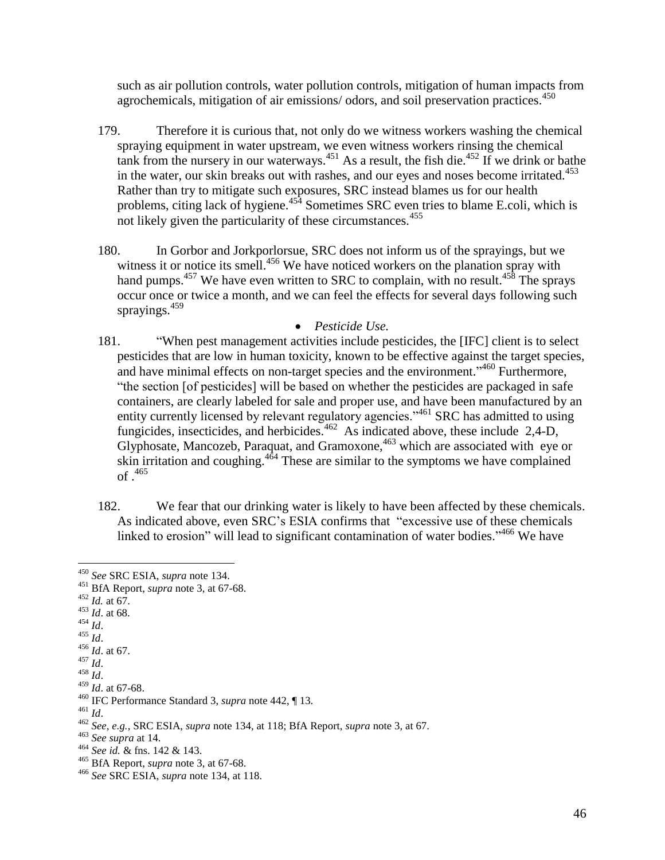such as air pollution controls, water pollution controls, mitigation of human impacts from agrochemicals, mitigation of air emissions/ odors, and soil preservation practices.<sup>450</sup>

- 179. Therefore it is curious that, not only do we witness workers washing the chemical spraying equipment in water upstream, we even witness workers rinsing the chemical tank from the nursery in our waterways.<sup>451</sup> As a result, the fish die.<sup>452</sup> If we drink or bathe in the water, our skin breaks out with rashes, and our eyes and noses become irritated.<sup>453</sup> Rather than try to mitigate such exposures, SRC instead blames us for our health problems, citing lack of hygiene.<sup>454</sup> Sometimes SRC even tries to blame E.coli, which is not likely given the particularity of these circumstances. $455$
- 180. In Gorbor and Jorkporlorsue, SRC does not inform us of the sprayings, but we witness it or notice its smell.<sup>456</sup> We have noticed workers on the planation spray with hand pumps.<sup>457</sup> We have even written to SRC to complain, with no result.<sup>458</sup> The sprays occur once or twice a month, and we can feel the effects for several days following such sprayings. 459

### *Pesticide Use.*

- 181. "When pest management activities include pesticides, the [IFC] client is to select pesticides that are low in human toxicity, known to be effective against the target species, and have minimal effects on non-target species and the environment."<sup>460</sup> Furthermore, "the section [of pesticides] will be based on whether the pesticides are packaged in safe containers, are clearly labeled for sale and proper use, and have been manufactured by an entity currently licensed by relevant regulatory agencies."<sup>461</sup> SRC has admitted to using fungicides, insecticides, and herbicides.<sup>462</sup> As indicated above, these include 2,4-D, Glyphosate, Mancozeb, Paraquat, and Gramoxone, <sup>463</sup> which are associated with eye or skin irritation and coughing. $4^{64}$  These are similar to the symptoms we have complained of . 465
- 182. We fear that our drinking water is likely to have been affected by these chemicals. As indicated above, even SRC's ESIA confirms that "excessive use of these chemicals linked to erosion" will lead to significant contamination of water bodies."<sup>466</sup> We have

- <sup>452</sup> *Id.* at 67.
- $453$  *Id.* at 68.
- <sup>454</sup> *Id*.

 $\overline{a}$ 

- $455$   $\frac{1}{1}$ .
- <sup>456</sup> *Id*. at 67.
- <sup>457</sup> *Id*. <sup>458</sup> *Id*.
- 

<sup>461</sup> *Id*.

<sup>450</sup> *See* SRC ESIA, *supra* note [134.](#page-12-0)

<sup>451</sup> BfA Report, *supra* note [3,](#page-0-0) at 67-68.

<sup>459</sup> *Id*. at 67-68.

<sup>460</sup> IFC Performance Standard 3, *supra* note [442,](#page-44-0) ¶ 13.

<sup>462</sup> *See, e.g.*, SRC ESIA, *supra* note [134,](#page-12-0) at 118; BfA Report, *supra* note [3,](#page-0-0) at 67.

<sup>463</sup> *See supra* at 14.

<sup>464</sup> *See id.* & fns. 142 & 143.

<sup>465</sup> BfA Report, *supra* note [3,](#page-0-0) at 67-68.

<sup>466</sup> *See* SRC ESIA, *supra* note [134,](#page-12-0) at 118.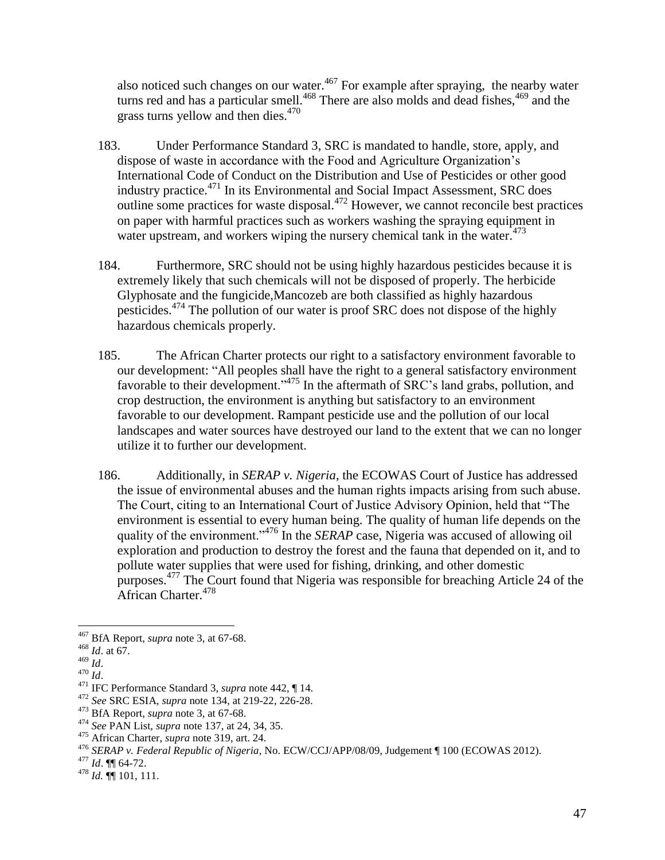also noticed such changes on our water.<sup>467</sup> For example after spraying, the nearby water turns red and has a particular smell.<sup>468</sup> There are also molds and dead fishes,  $469$  and the grass turns yellow and then dies.<sup>470</sup>

- 183. Under Performance Standard 3, SRC is mandated to handle, store, apply, and dispose of waste in accordance with the Food and Agriculture Organization's International Code of Conduct on the Distribution and Use of Pesticides or other good industry practice.<sup>471</sup> In its Environmental and Social Impact Assessment, SRC does outline some practices for waste disposal. <sup>472</sup> However, we cannot reconcile best practices on paper with harmful practices such as workers washing the spraying equipment in water upstream, and workers wiping the nursery chemical tank in the water.<sup>473</sup>
- 184. Furthermore, SRC should not be using highly hazardous pesticides because it is extremely likely that such chemicals will not be disposed of properly. The herbicide Glyphosate and the fungicide,Mancozeb are both classified as highly hazardous pesticides.<sup>474</sup> The pollution of our water is proof SRC does not dispose of the highly hazardous chemicals properly.
- 185. The African Charter protects our right to a satisfactory environment favorable to our development: "All peoples shall have the right to a general satisfactory environment favorable to their development."<sup>475</sup> In the aftermath of  $\overline{S}RC$ 's land grabs, pollution, and crop destruction, the environment is anything but satisfactory to an environment favorable to our development. Rampant pesticide use and the pollution of our local landscapes and water sources have destroyed our land to the extent that we can no longer utilize it to further our development.
- 186. Additionally, in *SERAP v. Nigeria*, the ECOWAS Court of Justice has addressed the issue of environmental abuses and the human rights impacts arising from such abuse. The Court, citing to an International Court of Justice Advisory Opinion, held that "The environment is essential to every human being. The quality of human life depends on the quality of the environment."<sup>476</sup> In the *SERAP* case, Nigeria was accused of allowing oil exploration and production to destroy the forest and the fauna that depended on it, and to pollute water supplies that were used for fishing, drinking, and other domestic purposes.<sup>477</sup> The Court found that Nigeria was responsible for breaching Article 24 of the African Charter.<sup>478</sup>

<sup>467</sup> BfA Report, *supra* note [3,](#page-0-0) at 67-68.

<sup>468</sup> *Id*. at 67.

<sup>469</sup> *Id*.

 $470$   $\overline{Id}$ .

<sup>471</sup> IFC Performance Standard 3, *supra* note [442,](#page-44-0) ¶ 14.

<sup>472</sup> *See* SRC ESIA, *supra* note [134,](#page-12-0) at 219-22, 226-28.

<sup>473</sup> BfA Report, *supra* note [3,](#page-0-0) at 67-68.

<sup>474</sup> *See* PAN List, *supra* not[e 137,](#page-13-0) at 24, 34, 35.

<sup>475</sup> African Charter, *supra* note [319,](#page-29-0) art. 24.

<sup>476</sup> *SERAP v. Federal Republic of Nigeria*, No. ECW/CCJ/APP/08/09, Judgement ¶ 100 (ECOWAS 2012).

<sup>477</sup> *Id*. ¶¶ 64-72.

<sup>478</sup> *Id.* ¶¶ 101, 111.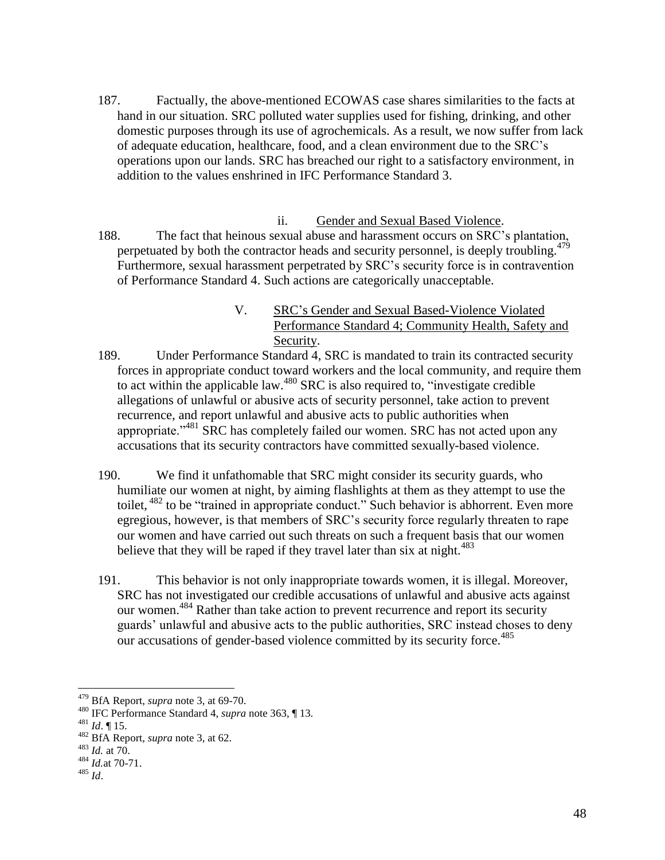- 187. Factually, the above-mentioned ECOWAS case shares similarities to the facts at hand in our situation. SRC polluted water supplies used for fishing, drinking, and other domestic purposes through its use of agrochemicals. As a result, we now suffer from lack of adequate education, healthcare, food, and a clean environment due to the SRC's operations upon our lands. SRC has breached our right to a satisfactory environment, in addition to the values enshrined in IFC Performance Standard 3.
- ii. Gender and Sexual Based Violence. 188. The fact that heinous sexual abuse and harassment occurs on SRC's plantation, perpetuated by both the contractor heads and security personnel, is deeply troubling.  $479$ Furthermore, sexual harassment perpetrated by SRC's security force is in contravention of Performance Standard 4. Such actions are categorically unacceptable.
	- V. SRC's Gender and Sexual Based-Violence Violated Performance Standard 4; Community Health, Safety and Security.
- 189. Under Performance Standard 4, SRC is mandated to train its contracted security forces in appropriate conduct toward workers and the local community, and require them to act within the applicable law.<sup>480</sup> SRC is also required to, "investigate credible" allegations of unlawful or abusive acts of security personnel, take action to prevent recurrence, and report unlawful and abusive acts to public authorities when appropriate."<sup>481</sup> SRC has completely failed our women. SRC has not acted upon any accusations that its security contractors have committed sexually-based violence.
- 190. We find it unfathomable that SRC might consider its security guards, who humiliate our women at night, by aiming flashlights at them as they attempt to use the toilet, <sup>482</sup> to be "trained in appropriate conduct." Such behavior is abhorrent. Even more egregious, however, is that members of SRC's security force regularly threaten to rape our women and have carried out such threats on such a frequent basis that our women believe that they will be raped if they travel later than six at night.<sup>483</sup>
- 191. This behavior is not only inappropriate towards women, it is illegal. Moreover, SRC has not investigated our credible accusations of unlawful and abusive acts against our women.<sup>484</sup> Rather than take action to prevent recurrence and report its security guards' unlawful and abusive acts to the public authorities, SRC instead choses to deny our accusations of gender-based violence committed by its security force.<sup>485</sup>

<sup>479</sup> BfA Report, *supra* note [3,](#page-0-0) at 69-70.

<sup>480</sup> IFC Performance Standard 4, *supra* note [363,](#page-34-0) ¶ 13.

<sup>481</sup> *Id*. ¶ 15.

<sup>482</sup> BfA Report, *supra* note [3,](#page-0-0) at 62.

<sup>483</sup> *Id.* at 70.

<sup>484</sup> *Id.*at 70-71.

<sup>485</sup> *Id*.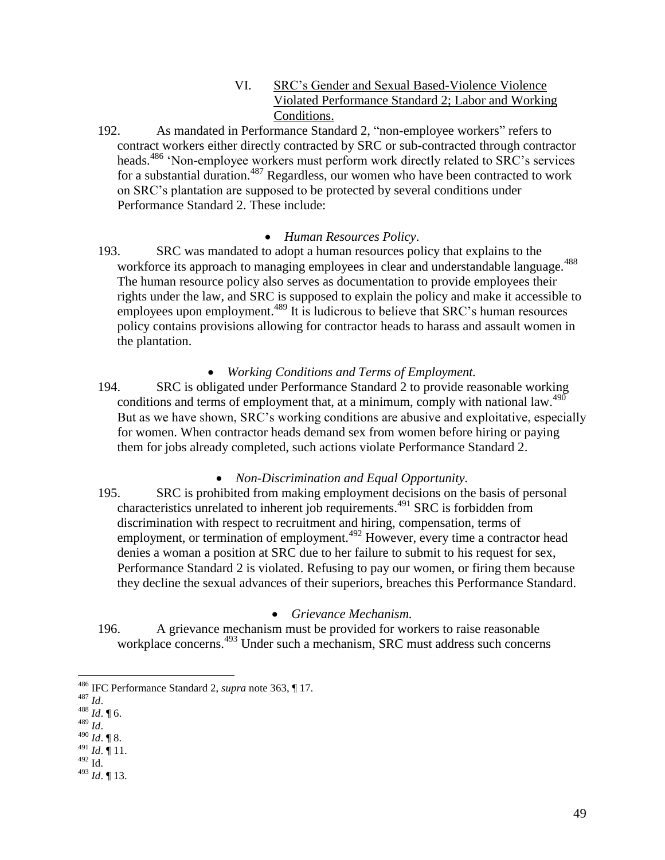- VI. SRC's Gender and Sexual Based-Violence Violence Violated Performance Standard 2; Labor and Working Conditions.
- 192. As mandated in Performance Standard 2, "non-employee workers" refers to contract workers either directly contracted by SRC or sub-contracted through contractor heads.<sup>486</sup> 'Non-employee workers must perform work directly related to SRC's services for a substantial duration.<sup>487</sup> Regardless, our women who have been contracted to work on SRC's plantation are supposed to be protected by several conditions under Performance Standard 2. These include:

### *Human Resources Policy*.

193. SRC was mandated to adopt a human resources policy that explains to the workforce its approach to managing employees in clear and understandable language.<sup>488</sup> The human resource policy also serves as documentation to provide employees their rights under the law, and SRC is supposed to explain the policy and make it accessible to employees upon employment.<sup>489</sup> It is ludicrous to believe that SRC's human resources policy contains provisions allowing for contractor heads to harass and assault women in the plantation.

# *Working Conditions and Terms of Employment.*

194. SRC is obligated under Performance Standard 2 to provide reasonable working conditions and terms of employment that, at a minimum, comply with national law. $490$ But as we have shown, SRC's working conditions are abusive and exploitative, especially for women. When contractor heads demand sex from women before hiring or paying them for jobs already completed, such actions violate Performance Standard 2.

# *Non-Discrimination and Equal Opportunity.*

195. SRC is prohibited from making employment decisions on the basis of personal characteristics unrelated to inherent job requirements.<sup>491</sup> SRC is forbidden from discrimination with respect to recruitment and hiring, compensation, terms of employment, or termination of employment.<sup>492</sup> However, every time a contractor head denies a woman a position at SRC due to her failure to submit to his request for sex, Performance Standard 2 is violated. Refusing to pay our women, or firing them because they decline the sexual advances of their superiors, breaches this Performance Standard.

# *Grievance Mechanism.*

196. A grievance mechanism must be provided for workers to raise reasonable workplace concerns.<sup>493</sup> Under such a mechanism, SRC must address such concerns

- <sup>488</sup> *Id*. ¶ 6.
- <sup>489</sup> *Id*.
- <sup>490</sup> *Id*. ¶ 8. <sup>491</sup> *Id*. ¶ 11.
- $492$  Id.
- <sup>493</sup> *Id*. ¶ 13.

<sup>486</sup> IFC Performance Standard 2, *supra* note [363,](#page-34-0) ¶ 17.

<sup>487</sup> *Id*.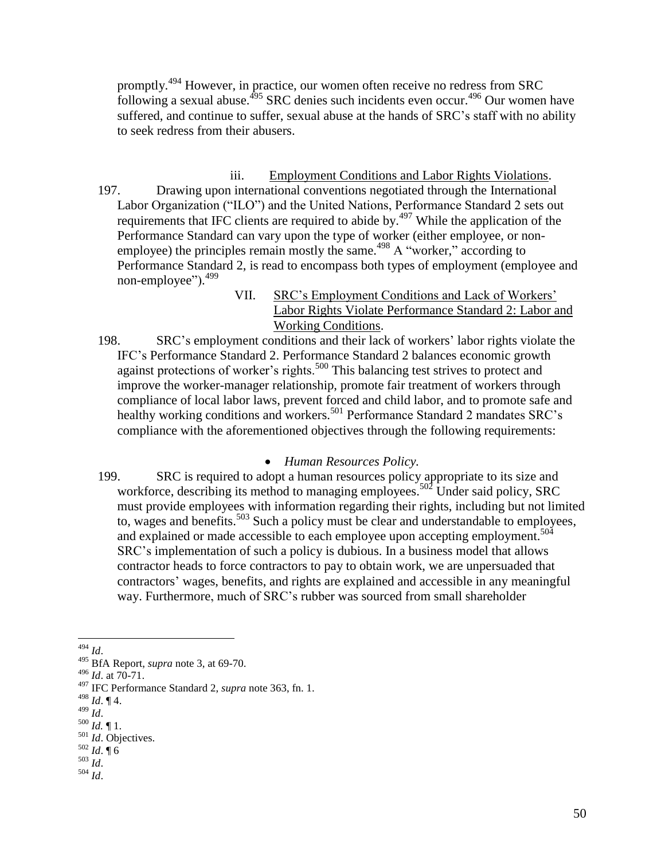promptly.<sup>494</sup> However, in practice, our women often receive no redress from SRC following a sexual abuse.<sup>495</sup> SRC denies such incidents even occur.<sup>496</sup> Our women have suffered, and continue to suffer, sexual abuse at the hands of SRC's staff with no ability to seek redress from their abusers.

- iii. Employment Conditions and Labor Rights Violations. 197. Drawing upon international conventions negotiated through the International Labor Organization ("ILO") and the United Nations, Performance Standard 2 sets out requirements that IFC clients are required to abide by. $497$  While the application of the Performance Standard can vary upon the type of worker (either employee, or nonemployee) the principles remain mostly the same.<sup>498</sup> A "worker," according to Performance Standard 2, is read to encompass both types of employment (employee and non-employee").<sup>499</sup>
	- VII. SRC's Employment Conditions and Lack of Workers' Labor Rights Violate Performance Standard 2: Labor and Working Conditions.
- 198. SRC's employment conditions and their lack of workers' labor rights violate the IFC's Performance Standard 2. Performance Standard 2 balances economic growth against protections of worker's rights.<sup>500</sup> This balancing test strives to protect and improve the worker-manager relationship, promote fair treatment of workers through compliance of local labor laws, prevent forced and child labor, and to promote safe and healthy working conditions and workers.<sup>501</sup> Performance Standard 2 mandates SRC's compliance with the aforementioned objectives through the following requirements:

### *Human Resources Policy.*

199. SRC is required to adopt a human resources policy appropriate to its size and workforce, describing its method to managing employees.<sup>502</sup> Under said policy, SRC must provide employees with information regarding their rights, including but not limited to, wages and benefits.<sup>503</sup> Such a policy must be clear and understandable to employees, and explained or made accessible to each employee upon accepting employment.<sup>504</sup> SRC's implementation of such a policy is dubious. In a business model that allows contractor heads to force contractors to pay to obtain work, we are unpersuaded that contractors' wages, benefits, and rights are explained and accessible in any meaningful way. Furthermore, much of SRC's rubber was sourced from small shareholder

 $\overline{a}$ <sup>494</sup> *Id*.

<sup>495</sup> BfA Report, *supra* note [3,](#page-0-0) at 69-70.

<sup>496</sup> *Id*. at 70-71.

<sup>497</sup> IFC Performance Standard 2, *supra* note [363,](#page-34-0) fn. 1.

<sup>498</sup> *Id*. ¶ 4.

<sup>499</sup> *Id*.

<sup>500</sup> *Id.* ¶ 1.

<sup>501</sup> *Id*. Objectives. <sup>502</sup> *Id*. ¶ 6

<sup>503</sup> *Id*.

<sup>504</sup> *Id*.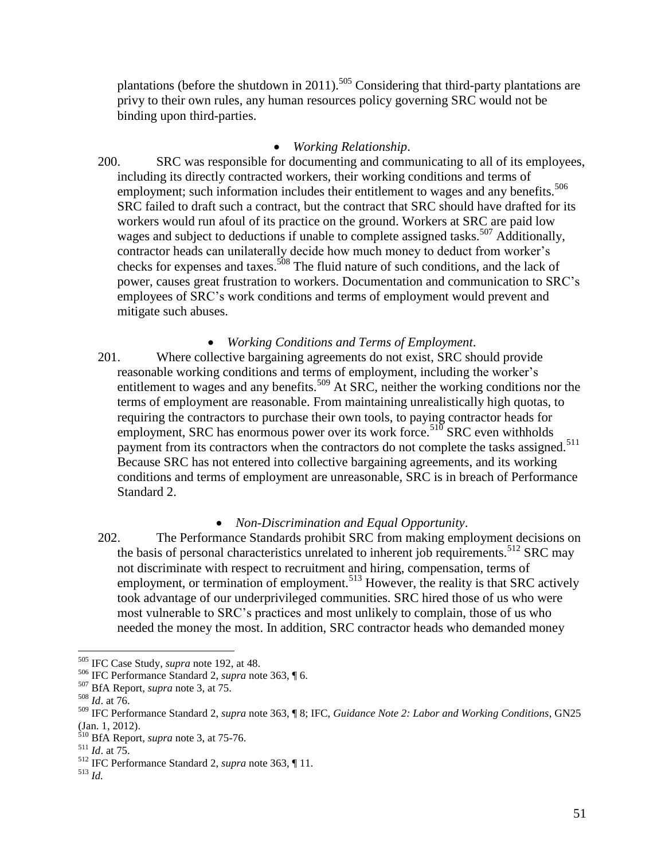plantations (before the shutdown in 2011).<sup>505</sup> Considering that third-party plantations are privy to their own rules, any human resources policy governing SRC would not be binding upon third-parties.

### *Working Relationship*.

200. SRC was responsible for documenting and communicating to all of its employees, including its directly contracted workers, their working conditions and terms of employment; such information includes their entitlement to wages and any benefits.<sup>506</sup> SRC failed to draft such a contract, but the contract that SRC should have drafted for its workers would run afoul of its practice on the ground. Workers at SRC are paid low wages and subject to deductions if unable to complete assigned tasks.<sup>507</sup> Additionally, contractor heads can unilaterally decide how much money to deduct from worker's checks for expenses and taxes.<sup>508</sup> The fluid nature of such conditions, and the lack of power, causes great frustration to workers. Documentation and communication to SRC's employees of SRC's work conditions and terms of employment would prevent and mitigate such abuses.

*Working Conditions and Terms of Employment*.

201. Where collective bargaining agreements do not exist, SRC should provide reasonable working conditions and terms of employment, including the worker's entitlement to wages and any benefits.<sup>509</sup> At SRC, neither the working conditions nor the terms of employment are reasonable. From maintaining unrealistically high quotas, to requiring the contractors to purchase their own tools, to paying contractor heads for employment, SRC has enormous power over its work force.<sup>510</sup> SRC even withholds payment from its contractors when the contractors do not complete the tasks assigned.<sup>511</sup> Because SRC has not entered into collective bargaining agreements, and its working conditions and terms of employment are unreasonable, SRC is in breach of Performance Standard 2.

# *Non-Discrimination and Equal Opportunity*.

202. The Performance Standards prohibit SRC from making employment decisions on the basis of personal characteristics unrelated to inherent job requirements.<sup>512</sup> SRC may not discriminate with respect to recruitment and hiring, compensation, terms of employment, or termination of employment.<sup>513</sup> However, the reality is that SRC actively took advantage of our underprivileged communities. SRC hired those of us who were most vulnerable to SRC's practices and most unlikely to complain, those of us who needed the money the most. In addition, SRC contractor heads who demanded money

<sup>505</sup> IFC Case Study, *supra* not[e 192,](#page-16-0) at 48.

<sup>506</sup> IFC Performance Standard 2, *supra* note [363,](#page-34-0) ¶ 6.

<sup>507</sup> BfA Report, *supra* note 3, at 75.

<sup>508</sup> *Id*. at 76.

<sup>509</sup> IFC Performance Standard 2, *supra* note [363,](#page-34-0) ¶ 8; IFC, *Guidance Note 2: Labor and Working Conditions*, GN25 (Jan. 1, 2012).

<sup>510</sup> BfA Report, *supra* note 3, at 75-76.

<sup>511</sup> *Id*. at 75.

<sup>512</sup> IFC Performance Standard 2, *supra* note [363,](#page-34-0) ¶ 11.

<sup>513</sup> *Id.*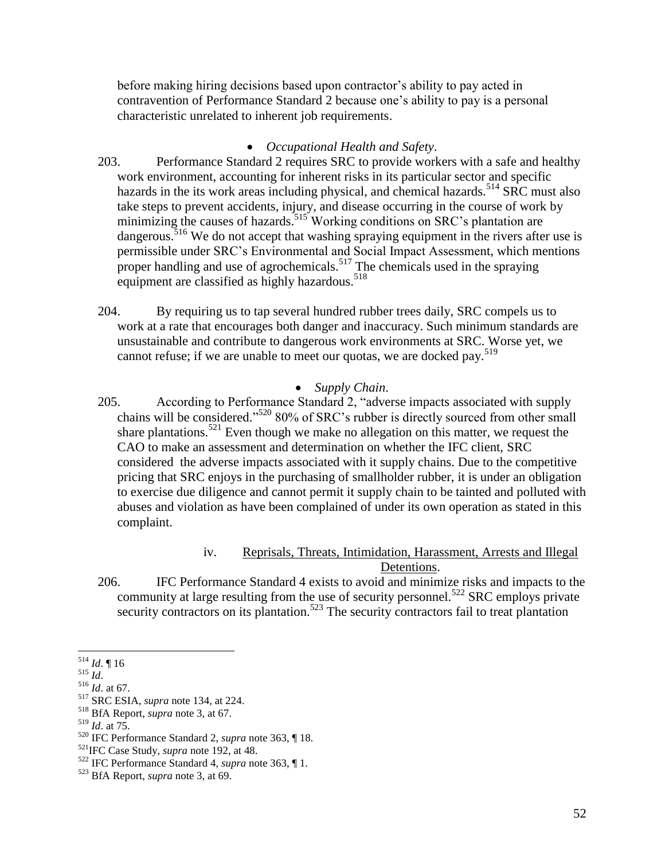before making hiring decisions based upon contractor's ability to pay acted in contravention of Performance Standard 2 because one's ability to pay is a personal characteristic unrelated to inherent job requirements.

# *Occupational Health and Safety*.

- 203. Performance Standard 2 requires SRC to provide workers with a safe and healthy work environment, accounting for inherent risks in its particular sector and specific hazards in the its work areas including physical, and chemical hazards.<sup>514</sup> SRC must also take steps to prevent accidents, injury, and disease occurring in the course of work by minimizing the causes of hazards.<sup>515</sup> Working conditions on SRC's plantation are dangerous.<sup>516</sup> We do not accept that washing spraying equipment in the rivers after use is permissible under SRC's Environmental and Social Impact Assessment, which mentions proper handling and use of agrochemicals.<sup>517</sup> The chemicals used in the spraying equipment are classified as highly hazardous.<sup>518</sup>
- 204. By requiring us to tap several hundred rubber trees daily, SRC compels us to work at a rate that encourages both danger and inaccuracy. Such minimum standards are unsustainable and contribute to dangerous work environments at SRC. Worse yet, we cannot refuse; if we are unable to meet our quotas, we are docked pay.<sup>519</sup>

# *Supply Chain*.

205. According to Performance Standard 2, "adverse impacts associated with supply chains will be considered."<sup>520</sup> 80% of SRC's rubber is directly sourced from other small share plantations.<sup>521</sup> Even though we make no allegation on this matter, we request the CAO to make an assessment and determination on whether the IFC client, SRC considered the adverse impacts associated with it supply chains. Due to the competitive pricing that SRC enjoys in the purchasing of smallholder rubber, it is under an obligation to exercise due diligence and cannot permit it supply chain to be tainted and polluted with abuses and violation as have been complained of under its own operation as stated in this complaint.

# iv. Reprisals, Threats, Intimidation, Harassment, Arrests and Illegal Detentions.

206. IFC Performance Standard 4 exists to avoid and minimize risks and impacts to the community at large resulting from the use of security personnel.<sup>522</sup> SRC employs private security contractors on its plantation.<sup>523</sup> The security contractors fail to treat plantation

 $\overline{a}$ <sup>514</sup> *Id*. ¶ 16

 $515$  *Id.* 

<sup>516</sup> *Id*. at 67.

<sup>517</sup> SRC ESIA, *supra* note [134,](#page-12-0) at 224.

<sup>518</sup> BfA Report, *supra* note 3, at 67.

<sup>519</sup> *Id*. at 75.

<sup>520</sup> IFC Performance Standard 2, *supra* note [363,](#page-34-0) ¶ 18.

<sup>521</sup>IFC Case Study, *supra* note [192,](#page-16-0) at 48.

<sup>522</sup> IFC Performance Standard 4, *supra* note [363,](#page-34-0) ¶ 1.

<sup>523</sup> BfA Report, *supra* note 3, at 69.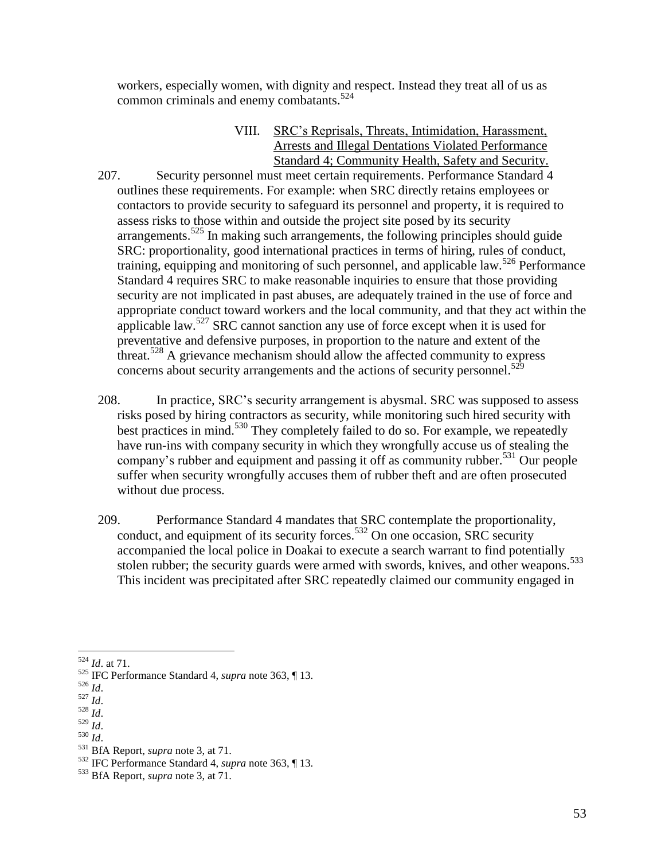workers, especially women, with dignity and respect. Instead they treat all of us as common criminals and enemy combatants.<sup>524</sup>

- VIII. SRC's Reprisals, Threats, Intimidation, Harassment, Arrests and Illegal Dentations Violated Performance Standard 4; Community Health, Safety and Security.
- 207. Security personnel must meet certain requirements. Performance Standard 4 outlines these requirements. For example: when SRC directly retains employees or contactors to provide security to safeguard its personnel and property, it is required to assess risks to those within and outside the project site posed by its security  $\alpha$  arrangements.<sup>525</sup> In making such arrangements, the following principles should guide SRC: proportionality, good international practices in terms of hiring, rules of conduct, training, equipping and monitoring of such personnel, and applicable law.<sup>526</sup> Performance Standard 4 requires SRC to make reasonable inquiries to ensure that those providing security are not implicated in past abuses, are adequately trained in the use of force and appropriate conduct toward workers and the local community, and that they act within the applicable law.<sup>527</sup> SRC cannot sanction any use of force except when it is used for preventative and defensive purposes, in proportion to the nature and extent of the threat.<sup>528</sup> A grievance mechanism should allow the affected community to express concerns about security arrangements and the actions of security personnel.<sup>529</sup>
- 208. In practice, SRC's security arrangement is abysmal. SRC was supposed to assess risks posed by hiring contractors as security, while monitoring such hired security with best practices in mind.<sup>530</sup> They completely failed to do so. For example, we repeatedly have run-ins with company security in which they wrongfully accuse us of stealing the company's rubber and equipment and passing it off as community rubber.<sup>531</sup> Our people suffer when security wrongfully accuses them of rubber theft and are often prosecuted without due process.
- 209. Performance Standard 4 mandates that SRC contemplate the proportionality, conduct, and equipment of its security forces.<sup>532</sup> On one occasion, SRC security accompanied the local police in Doakai to execute a search warrant to find potentially stolen rubber; the security guards were armed with swords, knives, and other weapons.<sup>533</sup> This incident was precipitated after SRC repeatedly claimed our community engaged in

<sup>528</sup> *Id*.

 $\overline{a}$ <sup>524</sup> *Id*. at 71.

<sup>525</sup> IFC Performance Standard 4, *supra* note [363,](#page-34-0) ¶ 13.

<sup>526</sup> *Id*.

<sup>527</sup> *Id*.

<sup>529</sup> *Id*. <sup>530</sup> *Id*.

<sup>531</sup> BfA Report, *supra* note 3, at 71.

<sup>532</sup> IFC Performance Standard 4, *supra* note [363,](#page-34-0) ¶ 13.

<sup>533</sup> BfA Report, *supra* note 3, at 71.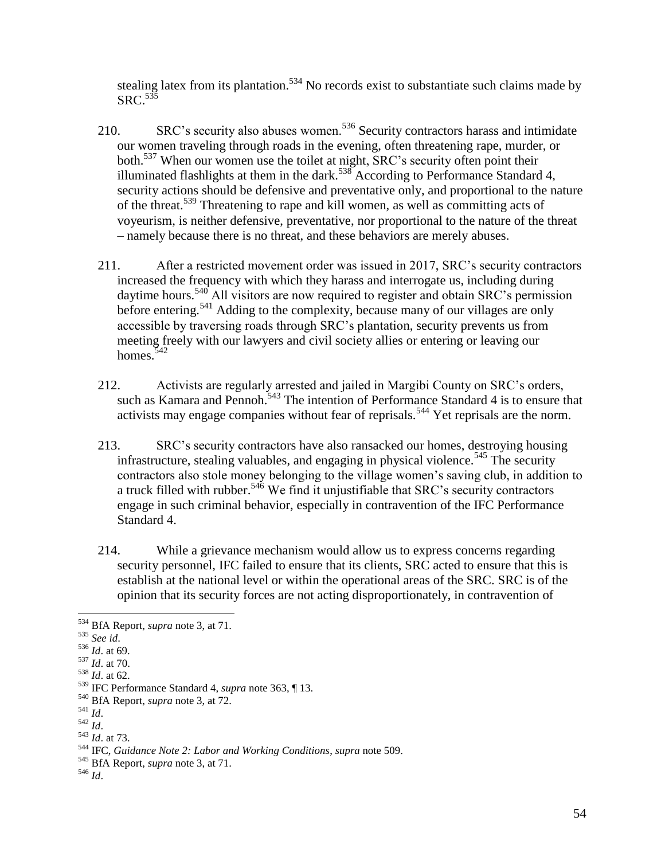stealing latex from its plantation.<sup>534</sup> No records exist to substantiate such claims made by  $\mathrm{SRC.}^{5\bar{3}\bar{5}}$ 

- 210. SRC's security also abuses women.<sup>536</sup> Security contractors harass and intimidate our women traveling through roads in the evening, often threatening rape, murder, or both.<sup>537</sup> When our women use the toilet at night, SRC's security often point their illuminated flashlights at them in the dark.<sup>538</sup> According to Performance Standard 4, security actions should be defensive and preventative only, and proportional to the nature of the threat.<sup>539</sup> Threatening to rape and kill women, as well as committing acts of voyeurism, is neither defensive, preventative, nor proportional to the nature of the threat – namely because there is no threat, and these behaviors are merely abuses.
- 211. After a restricted movement order was issued in 2017, SRC's security contractors increased the frequency with which they harass and interrogate us, including during daytime hours.<sup>540</sup> All visitors are now required to register and obtain SRC's permission before entering.<sup>541</sup> Adding to the complexity, because many of our villages are only accessible by traversing roads through SRC's plantation, security prevents us from meeting freely with our lawyers and civil society allies or entering or leaving our homes.<sup>542</sup>
- 212. Activists are regularly arrested and jailed in Margibi County on SRC's orders, such as Kamara and Pennoh.<sup>543</sup> The intention of Performance Standard 4 is to ensure that activists may engage companies without fear of reprisals.<sup>544</sup> Yet reprisals are the norm.
- 213. SRC's security contractors have also ransacked our homes, destroying housing infrastructure, stealing valuables, and engaging in physical violence.<sup>545</sup> The security contractors also stole money belonging to the village women's saving club, in addition to a truck filled with rubber.<sup>546</sup> We find it unjustifiable that SRC's security contractors engage in such criminal behavior, especially in contravention of the IFC Performance Standard 4.
- 214. While a grievance mechanism would allow us to express concerns regarding security personnel, IFC failed to ensure that its clients, SRC acted to ensure that this is establish at the national level or within the operational areas of the SRC. SRC is of the opinion that its security forces are not acting disproportionately, in contravention of

<sup>534</sup> BfA Report, *supra* note 3, at 71.

<sup>535</sup> *See id*.

<sup>536</sup> *Id*. at 69.

<sup>537</sup> *Id*. at 70.

 $\frac{1}{10}$ . at 62.

<sup>539</sup> IFC Performance Standard 4, *supra* note [363,](#page-34-0) ¶ 13.

<sup>540</sup> BfA Report, *supra* note 3, at 72.

<sup>541</sup> *Id*.

<sup>542</sup> *Id*.

<sup>543</sup> *Id*. at 73.

<sup>544</sup> IFC, *Guidance Note 2: Labor and Working Conditions*, *supra* note 509.

<sup>545</sup> BfA Report, *supra* note 3, at 71.

<sup>546</sup> *Id*.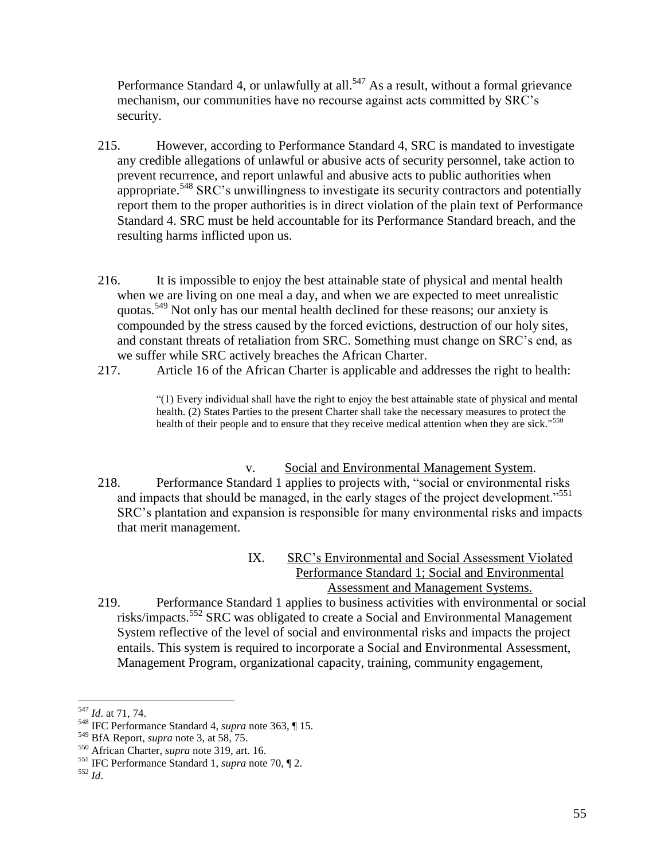Performance Standard 4, or unlawfully at all.<sup>547</sup> As a result, without a formal grievance mechanism, our communities have no recourse against acts committed by SRC's security.

- 215. However, according to Performance Standard 4, SRC is mandated to investigate any credible allegations of unlawful or abusive acts of security personnel, take action to prevent recurrence, and report unlawful and abusive acts to public authorities when appropriate.<sup>548</sup> SRC's unwillingness to investigate its security contractors and potentially report them to the proper authorities is in direct violation of the plain text of Performance Standard 4. SRC must be held accountable for its Performance Standard breach, and the resulting harms inflicted upon us.
- 216. It is impossible to enjoy the best attainable state of physical and mental health when we are living on one meal a day, and when we are expected to meet unrealistic quotas.<sup>549</sup> Not only has our mental health declined for these reasons; our anxiety is compounded by the stress caused by the forced evictions, destruction of our holy sites, and constant threats of retaliation from SRC. Something must change on SRC's end, as we suffer while SRC actively breaches the African Charter.
- 217. Article 16 of the African Charter is applicable and addresses the right to health:

"(1) Every individual shall have the right to enjoy the best attainable state of physical and mental health. (2) States Parties to the present Charter shall take the necessary measures to protect the health of their people and to ensure that they receive medical attention when they are sick."<sup>550</sup>

- v. Social and Environmental Management System.
- 218. Performance Standard 1 applies to projects with, "social or environmental risks and impacts that should be managed, in the early stages of the project development."<sup>551</sup> SRC's plantation and expansion is responsible for many environmental risks and impacts that merit management.
	- IX. SRC's Environmental and Social Assessment Violated Performance Standard 1; Social and Environmental Assessment and Management Systems.
- 219. Performance Standard 1 applies to business activities with environmental or social risks/impacts.<sup>552</sup> SRC was obligated to create a Social and Environmental Management System reflective of the level of social and environmental risks and impacts the project entails. This system is required to incorporate a Social and Environmental Assessment, Management Program, organizational capacity, training, community engagement,

<sup>547</sup> *Id*. at 71, 74.

<sup>548</sup> IFC Performance Standard 4, *supra* note [363,](#page-34-0) ¶ 15.

<sup>549</sup> BfA Report, *supra* note 3, at 58, 75.

<sup>550</sup> African Charter, *supra* note [319,](#page-29-0) art. 16.

<sup>551</sup> IFC Performance Standard 1, *supra* note 70, ¶ 2.

<sup>552</sup> *Id*.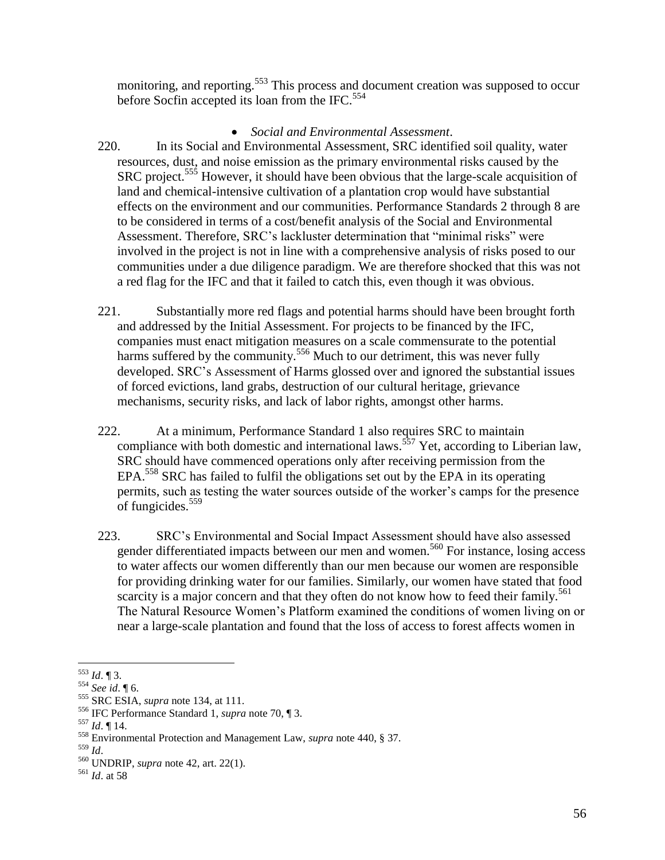monitoring, and reporting.<sup>553</sup> This process and document creation was supposed to occur before Socfin accepted its loan from the IFC.<sup>554</sup>

### *Social and Environmental Assessment*.

- 220. In its Social and Environmental Assessment, SRC identified soil quality, water resources, dust, and noise emission as the primary environmental risks caused by the SRC project.<sup>555</sup> However, it should have been obvious that the large-scale acquisition of land and chemical-intensive cultivation of a plantation crop would have substantial effects on the environment and our communities. Performance Standards 2 through 8 are to be considered in terms of a cost/benefit analysis of the Social and Environmental Assessment. Therefore, SRC's lackluster determination that "minimal risks" were involved in the project is not in line with a comprehensive analysis of risks posed to our communities under a due diligence paradigm. We are therefore shocked that this was not a red flag for the IFC and that it failed to catch this, even though it was obvious.
- 221. Substantially more red flags and potential harms should have been brought forth and addressed by the Initial Assessment. For projects to be financed by the IFC, companies must enact mitigation measures on a scale commensurate to the potential harms suffered by the community.<sup>556</sup> Much to our detriment, this was never fully developed. SRC's Assessment of Harms glossed over and ignored the substantial issues of forced evictions, land grabs, destruction of our cultural heritage, grievance mechanisms, security risks, and lack of labor rights, amongst other harms.
- 222. At a minimum, Performance Standard 1 also requires SRC to maintain compliance with both domestic and international laws.<sup>557</sup> Yet, according to Liberian law, SRC should have commenced operations only after receiving permission from the EPA.<sup>558</sup> SRC has failed to fulfil the obligations set out by the EPA in its operating permits, such as testing the water sources outside of the worker's camps for the presence of fungicides.<sup>559</sup>
- 223. SRC's Environmental and Social Impact Assessment should have also assessed gender differentiated impacts between our men and women.<sup>560</sup> For instance, losing access to water affects our women differently than our men because our women are responsible for providing drinking water for our families. Similarly, our women have stated that food scarcity is a major concern and that they often do not know how to feed their family.<sup>561</sup> The Natural Resource Women's Platform examined the conditions of women living on or near a large-scale plantation and found that the loss of access to forest affects women in

 $\overline{a}$ <sup>553</sup> *Id*. ¶ 3.

<sup>554</sup> *See id*. ¶ 6.

<sup>555</sup> SRC ESIA, *supra* note [134,](#page-12-0) at 111.

<sup>556</sup> IFC Performance Standard 1, *supra* note 70, ¶ 3.

<sup>557</sup> *Id*. ¶ 14.

<sup>558</sup> Environmental Protection and Management Law, *supra* note 440, § 37.

<sup>559</sup> *Id*.

<sup>560</sup> UNDRIP, *supra* note [42,](#page-6-0) art. 22(1).

<sup>561</sup> *Id*. at 58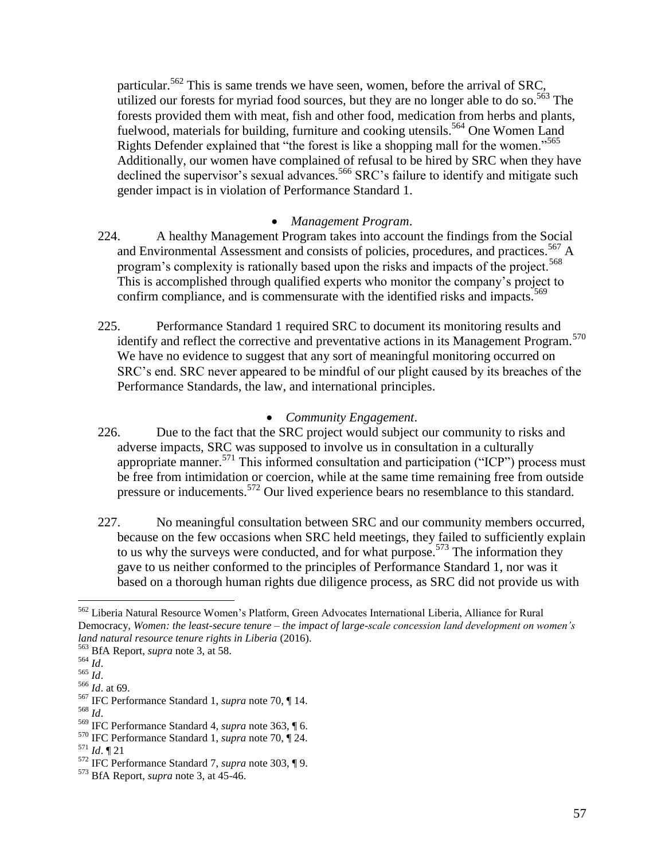particular.<sup>562</sup> This is same trends we have seen, women, before the arrival of SRC. utilized our forests for myriad food sources, but they are no longer able to do so.<sup>563</sup> The forests provided them with meat, fish and other food, medication from herbs and plants, fuelwood, materials for building, furniture and cooking utensils.<sup>564</sup> One Women Land Rights Defender explained that "the forest is like a shopping mall for the women."<sup>565</sup> Additionally, our women have complained of refusal to be hired by SRC when they have declined the supervisor's sexual advances.<sup>566</sup> SRC's failure to identify and mitigate such gender impact is in violation of Performance Standard 1.

### *Management Program*.

- 224. A healthy Management Program takes into account the findings from the Social and Environmental Assessment and consists of policies, procedures, and practices.<sup>567</sup> A program's complexity is rationally based upon the risks and impacts of the project.<sup>568</sup> This is accomplished through qualified experts who monitor the company's project to confirm compliance, and is commensurate with the identified risks and impacts.<sup>569</sup>
- 225. Performance Standard 1 required SRC to document its monitoring results and identify and reflect the corrective and preventative actions in its Management Program.<sup>570</sup> We have no evidence to suggest that any sort of meaningful monitoring occurred on SRC's end. SRC never appeared to be mindful of our plight caused by its breaches of the Performance Standards, the law, and international principles.

### *Community Engagement*.

- 226. Due to the fact that the SRC project would subject our community to risks and adverse impacts, SRC was supposed to involve us in consultation in a culturally appropriate manner.<sup>571</sup> This informed consultation and participation ("ICP") process must be free from intimidation or coercion, while at the same time remaining free from outside pressure or inducements.<sup>572</sup> Our lived experience bears no resemblance to this standard.
- 227. No meaningful consultation between SRC and our community members occurred, because on the few occasions when SRC held meetings, they failed to sufficiently explain to us why the surveys were conducted, and for what purpose.<sup>573</sup> The information they gave to us neither conformed to the principles of Performance Standard 1, nor was it based on a thorough human rights due diligence process, as SRC did not provide us with

 $\overline{a}$ 

<sup>568</sup> *Id*.

<sup>562</sup> Liberia Natural Resource Women's Platform, Green Advocates International Liberia, Alliance for Rural Democracy, *Women: the least-secure tenure – the impact of large-scale concession land development on women's land natural resource tenure rights in Liberia* (2016).

<sup>563</sup> BfA Report, *supra* note 3, at 58.

<sup>564</sup> *Id*.

<sup>565</sup> *Id*.

<sup>566</sup> *Id*. at 69.

<sup>567</sup> IFC Performance Standard 1, *supra* note 70, ¶ 14.

<sup>569</sup> IFC Performance Standard 4, *supra* note [363,](#page-34-0) ¶ 6.

<sup>570</sup> IFC Performance Standard 1, *supra* note 70, ¶ 24.

<sup>571</sup> *Id*. ¶ 21

<sup>572</sup> IFC Performance Standard 7, *supra* note [303,](#page-27-0) ¶ 9.

<sup>573</sup> BfA Report, *supra* note 3, at 45-46.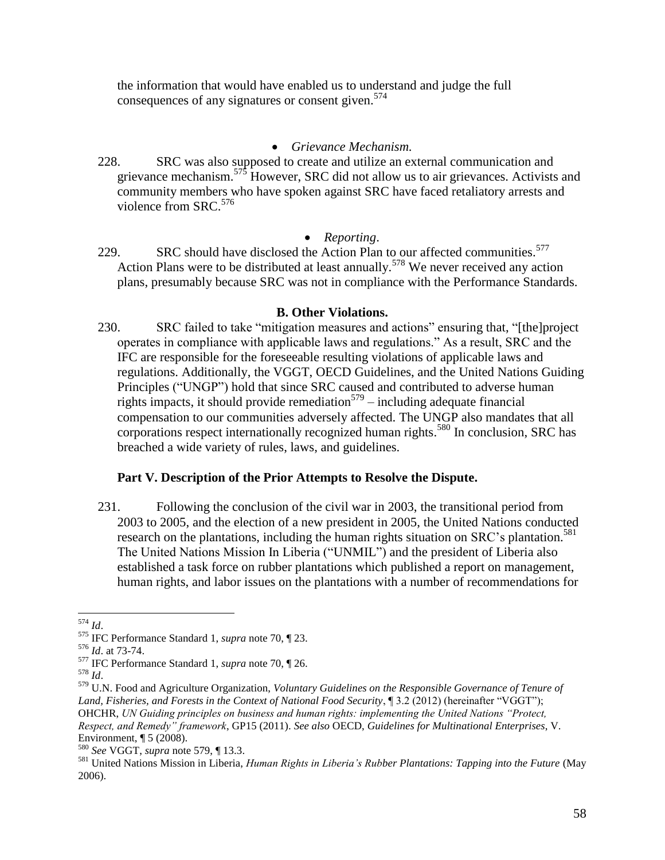the information that would have enabled us to understand and judge the full consequences of any signatures or consent given. $574$ 

### *Grievance Mechanism.*

228. SRC was also supposed to create and utilize an external communication and grievance mechanism.<sup>575</sup> However, SRC did not allow us to air grievances. Activists and community members who have spoken against SRC have faced retaliatory arrests and violence from  $SRC<sup>576</sup>$ 

### *Reporting*.

229. SRC should have disclosed the Action Plan to our affected communities.<sup>577</sup> Action Plans were to be distributed at least annually.<sup>578</sup> We never received any action plans, presumably because SRC was not in compliance with the Performance Standards.

### <span id="page-57-0"></span>**B. Other Violations.**

230. SRC failed to take "mitigation measures and actions" ensuring that, "[the]project operates in compliance with applicable laws and regulations." As a result, SRC and the IFC are responsible for the foreseeable resulting violations of applicable laws and regulations. Additionally, the VGGT, OECD Guidelines, and the United Nations Guiding Principles ("UNGP") hold that since SRC caused and contributed to adverse human rights impacts, it should provide remediation<sup>579</sup> – including adequate financial compensation to our communities adversely affected. The UNGP also mandates that all corporations respect internationally recognized human rights.<sup>580</sup> In conclusion, SRC has breached a wide variety of rules, laws, and guidelines.

# **Part V. Description of the Prior Attempts to Resolve the Dispute.**

231. Following the conclusion of the civil war in 2003, the transitional period from 2003 to 2005, and the election of a new president in 2005, the United Nations conducted research on the plantations, including the human rights situation on SRC's plantation.<sup>581</sup> The United Nations Mission In Liberia ("UNMIL") and the president of Liberia also established a task force on rubber plantations which published a report on management, human rights, and labor issues on the plantations with a number of recommendations for

 $\overline{a}$ <sup>574</sup> *Id*.

<sup>575</sup> IFC Performance Standard 1, *supra* note 70, ¶ 23.

<sup>576</sup> *Id*. at 73-74.

<sup>577</sup> IFC Performance Standard 1, *supra* note 70, ¶ 26.

<sup>578</sup> *Id*.

<sup>579</sup> U.N. Food and Agriculture Organization, *Voluntary Guidelines on the Responsible Governance of Tenure of*  Land, Fisheries, and Forests in the Context of National Food Security, ¶ 3.2 (2012) (hereinafter "VGGT"); OHCHR, *UN Guiding principles on business and human rights: implementing the United Nations "Protect, Respect, and Remedy" framework*, GP15 (2011). *See also* OECD, *Guidelines for Multinational Enterprises*, V. Environment, ¶ 5 (2008).

<sup>580</sup> *See* VGGT, *supra* note [579,](#page-57-0) ¶ 13.3.

<sup>581</sup> United Nations Mission in Liberia, *Human Rights in Liberia's Rubber Plantations: Tapping into the Future* (May 2006).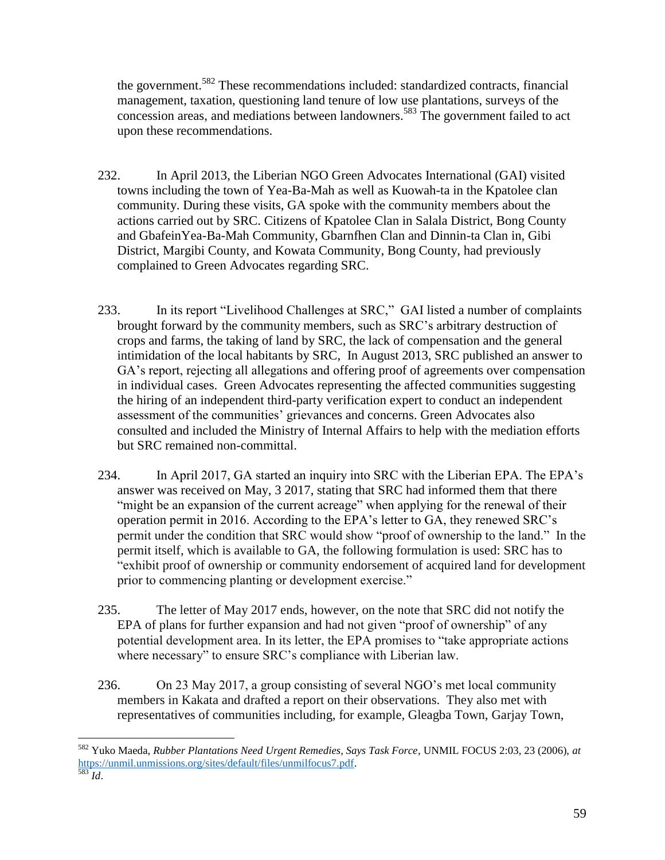the government.<sup>582</sup> These recommendations included: standardized contracts, financial management, taxation, questioning land tenure of low use plantations, surveys of the concession areas, and mediations between landowners. <sup>583</sup> The government failed to act upon these recommendations.

- 232. In April 2013, the Liberian NGO Green Advocates International (GAI) visited towns including the town of Yea-Ba-Mah as well as Kuowah-ta in the Kpatolee clan community. During these visits, GA spoke with the community members about the actions carried out by SRC. Citizens of Kpatolee Clan in Salala District, Bong County and GbafeinYea-Ba-Mah Community, Gbarnfhen Clan and Dinnin-ta Clan in, Gibi District, Margibi County, and Kowata Community, Bong County, had previously complained to Green Advocates regarding SRC.
- 233. In its report "Livelihood Challenges at SRC," GAI listed a number of complaints brought forward by the community members, such as SRC's arbitrary destruction of crops and farms, the taking of land by SRC, the lack of compensation and the general intimidation of the local habitants by SRC, In August 2013, SRC published an answer to GA's report, rejecting all allegations and offering proof of agreements over compensation in individual cases. Green Advocates representing the affected communities suggesting the hiring of an independent third-party verification expert to conduct an independent assessment of the communities' grievances and concerns. Green Advocates also consulted and included the Ministry of Internal Affairs to help with the mediation efforts but SRC remained non-committal.
- 234. In April 2017, GA started an inquiry into SRC with the Liberian EPA. The EPA's answer was received on May, 3 2017, stating that SRC had informed them that there "might be an expansion of the current acreage" when applying for the renewal of their operation permit in 2016. According to the EPA's letter to GA, they renewed SRC's permit under the condition that SRC would show "proof of ownership to the land." In the permit itself, which is available to GA, the following formulation is used: SRC has to "exhibit proof of ownership or community endorsement of acquired land for development prior to commencing planting or development exercise."
- 235. The letter of May 2017 ends, however, on the note that SRC did not notify the EPA of plans for further expansion and had not given "proof of ownership" of any potential development area. In its letter, the EPA promises to "take appropriate actions where necessary" to ensure SRC's compliance with Liberian law.
- 236. On 23 May 2017, a group consisting of several NGO's met local community members in Kakata and drafted a report on their observations. They also met with representatives of communities including, for example, Gleagba Town, Garjay Town,

 $\overline{a}$ <sup>582</sup> Yuko Maeda, *Rubber Plantations Need Urgent Remedies, Says Task Force*, UNMIL FOCUS 2:03, 23 (2006), *at* [https://unmil.unmissions.org/sites/default/files/unmilfocus7.pdf.](https://unmil.unmissions.org/sites/default/files/unmilfocus7.pdf)

<sup>583</sup> *Id*.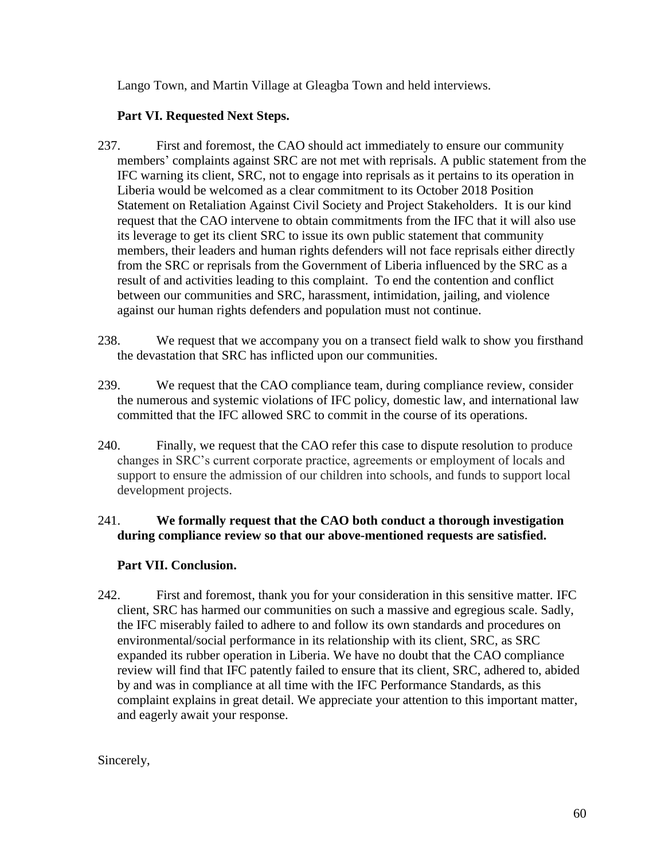Lango Town, and Martin Village at Gleagba Town and held interviews.

# **Part VI. Requested Next Steps.**

- 237. First and foremost, the CAO should act immediately to ensure our community members' complaints against SRC are not met with reprisals. A public statement from the IFC warning its client, SRC, not to engage into reprisals as it pertains to its operation in Liberia would be welcomed as a clear commitment to its October 2018 Position Statement on Retaliation Against Civil Society and Project Stakeholders. It is our kind request that the CAO intervene to obtain commitments from the IFC that it will also use its leverage to get its client SRC to issue its own public statement that community members, their leaders and human rights defenders will not face reprisals either directly from the SRC or reprisals from the Government of Liberia influenced by the SRC as a result of and activities leading to this complaint. To end the contention and conflict between our communities and SRC, harassment, intimidation, jailing, and violence against our human rights defenders and population must not continue.
- 238. We request that we accompany you on a transect field walk to show you firsthand the devastation that SRC has inflicted upon our communities.
- 239. We request that the CAO compliance team, during compliance review, consider the numerous and systemic violations of IFC policy, domestic law, and international law committed that the IFC allowed SRC to commit in the course of its operations.
- 240. Finally, we request that the CAO refer this case to dispute resolution to produce changes in SRC's current corporate practice, agreements or employment of locals and support to ensure the admission of our children into schools, and funds to support local development projects.

# 241. **We formally request that the CAO both conduct a thorough investigation during compliance review so that our above-mentioned requests are satisfied.**

# **Part VII. Conclusion.**

242. First and foremost, thank you for your consideration in this sensitive matter. IFC client, SRC has harmed our communities on such a massive and egregious scale. Sadly, the IFC miserably failed to adhere to and follow its own standards and procedures on environmental/social performance in its relationship with its client, SRC, as SRC expanded its rubber operation in Liberia. We have no doubt that the CAO compliance review will find that IFC patently failed to ensure that its client, SRC, adhered to, abided by and was in compliance at all time with the IFC Performance Standards, as this complaint explains in great detail. We appreciate your attention to this important matter, and eagerly await your response.

Sincerely,